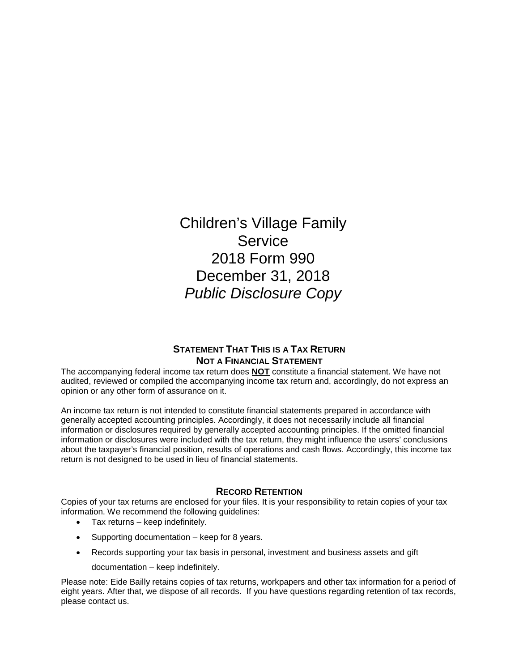Children's Village Family **Service** 2018 Form 990 December 31, 2018 *Public Disclosure Copy*

### **STATEMENT THAT THIS IS A TAX RETURN NOT A FINANCIAL STATEMENT**

The accompanying federal income tax return does **NOT** constitute a financial statement. We have not audited, reviewed or compiled the accompanying income tax return and, accordingly, do not express an opinion or any other form of assurance on it.

An income tax return is not intended to constitute financial statements prepared in accordance with generally accepted accounting principles. Accordingly, it does not necessarily include all financial information or disclosures required by generally accepted accounting principles. If the omitted financial information or disclosures were included with the tax return, they might influence the users' conclusions about the taxpayer's financial position, results of operations and cash flows. Accordingly, this income tax return is not designed to be used in lieu of financial statements.

### **RECORD RETENTION**

Copies of your tax returns are enclosed for your files. It is your responsibility to retain copies of your tax information. We recommend the following guidelines:

- Tax returns keep indefinitely.
- Supporting documentation keep for 8 years.
- Records supporting your tax basis in personal, investment and business assets and gift
	- documentation keep indefinitely.

Please note: Eide Bailly retains copies of tax returns, workpapers and other tax information for a period of eight years. After that, we dispose of all records. If you have questions regarding retention of tax records, please contact us.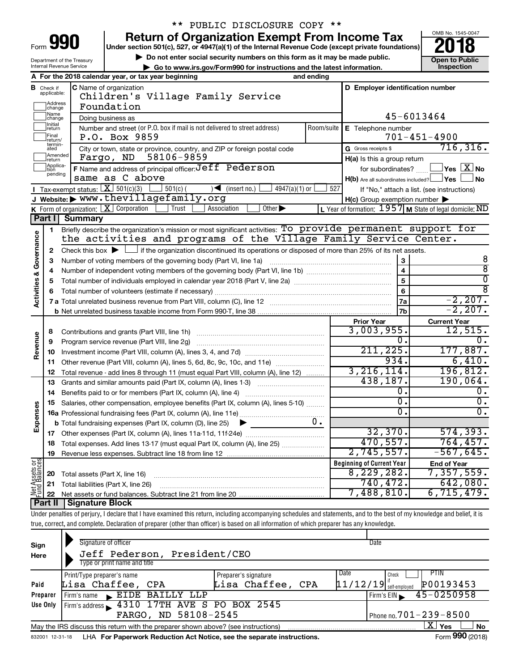| Form<br>ı |  |  |
|-----------|--|--|

Department of the Treasury Internal Revenue Service

## \*\* PUBLIC DISCLOSURE COPY \*\*

**990** Return of Organization Exempt From Income Tax **Punce 1845-004 Puncer section 501(c), 527, or 4947(a)(1)** of the Internal Revenue Code (except private foundations) **2018** 

▶ Do not enter social security numbers on this form as it may be made public.<br>
inspection and the latest information. **Dependent in the latest information** and the latest information. **| Go to www.irs.gov/Form990 for instructions and the latest information. Inspection**



| A                                  |                              | For the 2018 calendar year, or tax year beginning                                                                                           | and ending |                                                     |                                                           |  |  |  |  |  |
|------------------------------------|------------------------------|---------------------------------------------------------------------------------------------------------------------------------------------|------------|-----------------------------------------------------|-----------------------------------------------------------|--|--|--|--|--|
| В                                  | Check if<br>applicable:      | <b>C</b> Name of organization                                                                                                               |            | D Employer identification number                    |                                                           |  |  |  |  |  |
|                                    |                              | Children's Village Family Service                                                                                                           |            |                                                     |                                                           |  |  |  |  |  |
|                                    | Address<br> change           | Foundation                                                                                                                                  |            |                                                     |                                                           |  |  |  |  |  |
|                                    | Name<br> change              | Doing business as                                                                                                                           |            |                                                     | 45-6013464                                                |  |  |  |  |  |
|                                    | Initial<br>return            | Number and street (or P.O. box if mail is not delivered to street address)                                                                  | Room/suite | E Telephone number                                  |                                                           |  |  |  |  |  |
|                                    | Final<br>return/             | P.O. Box 9859                                                                                                                               |            |                                                     | $701 - 451 - 4900$                                        |  |  |  |  |  |
|                                    | termin-<br>ated              | City or town, state or province, country, and ZIP or foreign postal code                                                                    |            | G Gross receipts \$                                 | 716, 316.                                                 |  |  |  |  |  |
|                                    | Amended<br>return            | 58106-9859<br>Fargo, ND                                                                                                                     |            | H(a) Is this a group return                         |                                                           |  |  |  |  |  |
|                                    | Applica-<br>Ition<br>pending | F Name and address of principal officer: Jeff Pederson                                                                                      |            | for subordinates?                                   | $\mathsf{l}$ Yes $\mathsf{l}$ $\mathsf{X} \mathsf{l}$ No  |  |  |  |  |  |
|                                    |                              | same as C above                                                                                                                             |            | $H(b)$ Are all subordinates included? $\Box$ Yes    | l No                                                      |  |  |  |  |  |
|                                    |                              | Tax-exempt status: $\boxed{\mathbf{X}}$ 501(c)(3) [<br>$\overline{\mathcal{A}}$ (insert no.)<br>$\frac{1}{2}$ 501(c) (<br>$4947(a)(1)$ or   | 527        |                                                     | If "No," attach a list. (see instructions)                |  |  |  |  |  |
|                                    |                              | Website:▶ www.thevillagefamily.org                                                                                                          |            | $H(c)$ Group exemption number $\blacktriangleright$ |                                                           |  |  |  |  |  |
|                                    |                              | Other $\blacktriangleright$<br>K Form of organization: $X$ Corporation<br>Trust<br>Association                                              |            |                                                     | L Year of formation: $1957$ M State of legal domicile: ND |  |  |  |  |  |
|                                    | Part I                       | <b>Summary</b>                                                                                                                              |            |                                                     |                                                           |  |  |  |  |  |
|                                    | 1                            | Briefly describe the organization's mission or most significant activities: To provide permanent support for                                |            |                                                     |                                                           |  |  |  |  |  |
|                                    |                              | the activities and programs of the Village Family Service Center.                                                                           |            |                                                     |                                                           |  |  |  |  |  |
| <b>Activities &amp; Governance</b> | 2                            | Check this box $\blacktriangleright$ $\Box$ if the organization discontinued its operations or disposed of more than 25% of its net assets. |            |                                                     |                                                           |  |  |  |  |  |
|                                    | 3                            | Number of voting members of the governing body (Part VI, line 1a)                                                                           |            | 3                                                   | 8                                                         |  |  |  |  |  |
|                                    | $\overline{a}$               |                                                                                                                                             |            | $\overline{4}$<br>$\overline{5}$                    | $\overline{8}$<br>$\overline{0}$                          |  |  |  |  |  |
|                                    | 5                            |                                                                                                                                             |            |                                                     |                                                           |  |  |  |  |  |
|                                    | 6                            |                                                                                                                                             |            | 6                                                   | ह                                                         |  |  |  |  |  |
|                                    |                              |                                                                                                                                             |            | 7a                                                  | $-2, 207.$                                                |  |  |  |  |  |
|                                    |                              |                                                                                                                                             |            | 7b                                                  | $-2, 207.$                                                |  |  |  |  |  |
|                                    |                              |                                                                                                                                             |            | <b>Prior Year</b>                                   | <b>Current Year</b>                                       |  |  |  |  |  |
|                                    | 8                            | Contributions and grants (Part VIII, line 1h)                                                                                               |            | 3,003,955.                                          | 12,515.                                                   |  |  |  |  |  |
|                                    | 9                            | Program service revenue (Part VIII, line 2g)                                                                                                |            | 0.                                                  | $\overline{0}$ .                                          |  |  |  |  |  |
| Revenue                            | 10                           |                                                                                                                                             |            | 211,225.<br>934.                                    | 177,887.<br>6,410.                                        |  |  |  |  |  |
|                                    | 11                           | Other revenue (Part VIII, column (A), lines 5, 6d, 8c, 9c, 10c, and 11e)                                                                    |            |                                                     |                                                           |  |  |  |  |  |
|                                    | 12                           | Total revenue - add lines 8 through 11 (must equal Part VIII, column (A), line 12)                                                          |            | 3, 216, 114.                                        | 196,812.                                                  |  |  |  |  |  |
|                                    | 13                           | Grants and similar amounts paid (Part IX, column (A), lines 1-3)                                                                            |            | 438,187.                                            | 190,064.                                                  |  |  |  |  |  |
|                                    | 14                           |                                                                                                                                             |            | Ο.                                                  | ο.                                                        |  |  |  |  |  |
|                                    | 15                           | Salaries, other compensation, employee benefits (Part IX, column (A), lines 5-10)                                                           |            | 0.                                                  | σ.                                                        |  |  |  |  |  |
| Expenses                           |                              |                                                                                                                                             |            | 0.                                                  | О.                                                        |  |  |  |  |  |
|                                    |                              | <b>b</b> Total fundraising expenses (Part IX, column (D), line 25)<br>▶                                                                     | υ.         |                                                     |                                                           |  |  |  |  |  |
|                                    |                              |                                                                                                                                             |            | 32,370.                                             | 574, 393.                                                 |  |  |  |  |  |
|                                    | 18                           | Total expenses. Add lines 13-17 (must equal Part IX, column (A), line 25)                                                                   |            | 470,557.                                            | 764, 457.                                                 |  |  |  |  |  |
|                                    | 19                           |                                                                                                                                             |            | 2,745,557.                                          | $-567,645.$                                               |  |  |  |  |  |
| Net Assets or                      |                              |                                                                                                                                             |            | <b>Beginning of Current Year</b>                    | <b>End of Year</b>                                        |  |  |  |  |  |
|                                    | 20                           | Total assets (Part X, line 16)                                                                                                              |            | 8,229,282.                                          | 7,357,559.                                                |  |  |  |  |  |
|                                    | 21                           | Total liabilities (Part X, line 26)                                                                                                         |            | 740,472.                                            | 642,080.                                                  |  |  |  |  |  |
|                                    |                              |                                                                                                                                             |            | 7,488,810.                                          | 6,715,479.                                                |  |  |  |  |  |
|                                    | Part II                      | Signature Block                                                                                                                             |            |                                                     |                                                           |  |  |  |  |  |

Under penalties of perjury, I declare that I have examined this return, including accompanying schedules and statements, and to the best of my knowledge and belief, it is true, correct, and complete. Declaration of preparer (other than officer) is based on all information of which preparer has any knowledge.

| Sign<br>Here | Signature of officer<br>Jeff Pederson, President/CEO<br>Type or print name and title                         |                                           | Date                                                                  |  |  |  |  |  |  |  |  |
|--------------|--------------------------------------------------------------------------------------------------------------|-------------------------------------------|-----------------------------------------------------------------------|--|--|--|--|--|--|--|--|
| Paid         | Print/Type preparer's name<br>Lisa Chaffee, CPA                                                              | Preparer's signature<br>Lisa Chaffee, CPA | Date<br><b>PTIN</b><br>Check<br>$11/12/19$ self-employed<br>P00193453 |  |  |  |  |  |  |  |  |
|              |                                                                                                              |                                           |                                                                       |  |  |  |  |  |  |  |  |
| Preparer     | EIDE BAILLY LLP<br>Firm's name<br>$\blacksquare$                                                             |                                           | $45 - 0250958$<br>Firm's $EIN$                                        |  |  |  |  |  |  |  |  |
| Use Only     | Firm's address 1310 17TH AVE S PO BOX 2545                                                                   |                                           |                                                                       |  |  |  |  |  |  |  |  |
|              | FARGO, ND 58108-2545                                                                                         |                                           | Phone no. $701 - 239 - 8500$                                          |  |  |  |  |  |  |  |  |
|              | May the IRS discuss this return with the preparer shown above? (see instructions)                            |                                           | X.<br>Yes<br><b>No</b>                                                |  |  |  |  |  |  |  |  |
|              | Form 990 (2018)<br>LHA For Paperwork Reduction Act Notice, see the separate instructions.<br>832001 12-31-18 |                                           |                                                                       |  |  |  |  |  |  |  |  |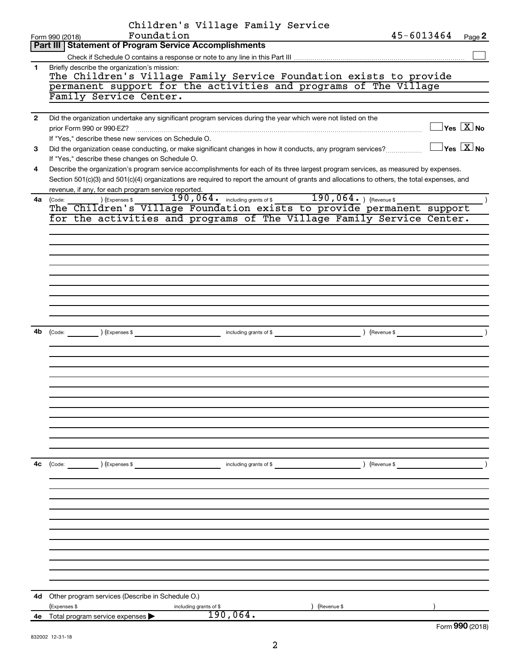|              | Children's Village Family Service                                                                                                                                                                                                                                                    |                                               |
|--------------|--------------------------------------------------------------------------------------------------------------------------------------------------------------------------------------------------------------------------------------------------------------------------------------|-----------------------------------------------|
|              | Foundation<br>45-6013464<br>Form 990 (2018)                                                                                                                                                                                                                                          | Page 2                                        |
|              | Part III   Statement of Program Service Accomplishments                                                                                                                                                                                                                              |                                               |
|              |                                                                                                                                                                                                                                                                                      |                                               |
| 1.           | Briefly describe the organization's mission:<br>The Children's Village Family Service Foundation exists to provide                                                                                                                                                                   |                                               |
|              | permanent support for the activities and programs of The Village                                                                                                                                                                                                                     |                                               |
|              | Family Service Center.                                                                                                                                                                                                                                                               |                                               |
|              |                                                                                                                                                                                                                                                                                      |                                               |
| $\mathbf{2}$ | Did the organization undertake any significant program services during the year which were not listed on the                                                                                                                                                                         |                                               |
|              | prior Form 990 or 990-EZ?                                                                                                                                                                                                                                                            | $\Box$ Yes $[\overline{\mathrm{X}}]$ No       |
|              | If "Yes," describe these new services on Schedule O.                                                                                                                                                                                                                                 |                                               |
| 3            | Did the organization cease conducting, or make significant changes in how it conducts, any program services?                                                                                                                                                                         | $\sqrt{}$ Yes $\sqrt{ \ \overline{\rm X}}$ No |
|              | If "Yes," describe these changes on Schedule O.                                                                                                                                                                                                                                      |                                               |
| 4            | Describe the organization's program service accomplishments for each of its three largest program services, as measured by expenses.<br>Section 501(c)(3) and 501(c)(4) organizations are required to report the amount of grants and allocations to others, the total expenses, and |                                               |
|              | revenue, if any, for each program service reported.                                                                                                                                                                                                                                  |                                               |
|              | 4a (Code:                                                                                                                                                                                                                                                                            |                                               |
|              |                                                                                                                                                                                                                                                                                      |                                               |
|              | for the activities and programs of The Village Family Service Center.                                                                                                                                                                                                                |                                               |
|              |                                                                                                                                                                                                                                                                                      |                                               |
|              |                                                                                                                                                                                                                                                                                      |                                               |
|              |                                                                                                                                                                                                                                                                                      |                                               |
|              |                                                                                                                                                                                                                                                                                      |                                               |
|              |                                                                                                                                                                                                                                                                                      |                                               |
|              |                                                                                                                                                                                                                                                                                      |                                               |
|              |                                                                                                                                                                                                                                                                                      |                                               |
|              |                                                                                                                                                                                                                                                                                      |                                               |
|              |                                                                                                                                                                                                                                                                                      |                                               |
| 4b           | (Code: ) (Expenses \$<br>including grants of \$ (Revenue \$)                                                                                                                                                                                                                         | $\rightarrow$                                 |
|              |                                                                                                                                                                                                                                                                                      |                                               |
|              |                                                                                                                                                                                                                                                                                      |                                               |
|              |                                                                                                                                                                                                                                                                                      |                                               |
|              |                                                                                                                                                                                                                                                                                      |                                               |
|              |                                                                                                                                                                                                                                                                                      |                                               |
|              |                                                                                                                                                                                                                                                                                      |                                               |
|              |                                                                                                                                                                                                                                                                                      |                                               |
|              |                                                                                                                                                                                                                                                                                      |                                               |
|              |                                                                                                                                                                                                                                                                                      |                                               |
|              |                                                                                                                                                                                                                                                                                      |                                               |
|              |                                                                                                                                                                                                                                                                                      |                                               |
| 4с           | (Code: ) (Expenses \$<br>) (Revenue \$<br>including grants of $$$                                                                                                                                                                                                                    |                                               |
|              |                                                                                                                                                                                                                                                                                      |                                               |
|              |                                                                                                                                                                                                                                                                                      |                                               |
|              |                                                                                                                                                                                                                                                                                      |                                               |
|              |                                                                                                                                                                                                                                                                                      |                                               |
|              |                                                                                                                                                                                                                                                                                      |                                               |
|              |                                                                                                                                                                                                                                                                                      |                                               |
|              |                                                                                                                                                                                                                                                                                      |                                               |
|              |                                                                                                                                                                                                                                                                                      |                                               |
|              |                                                                                                                                                                                                                                                                                      |                                               |
|              |                                                                                                                                                                                                                                                                                      |                                               |
|              |                                                                                                                                                                                                                                                                                      |                                               |
| 4d           | Other program services (Describe in Schedule O.)                                                                                                                                                                                                                                     |                                               |
|              | (Expenses \$<br>including grants of \$<br>(Revenue \$                                                                                                                                                                                                                                |                                               |
|              | 190,064.<br>4e Total program service expenses                                                                                                                                                                                                                                        |                                               |
|              |                                                                                                                                                                                                                                                                                      | Form 990 (2018)                               |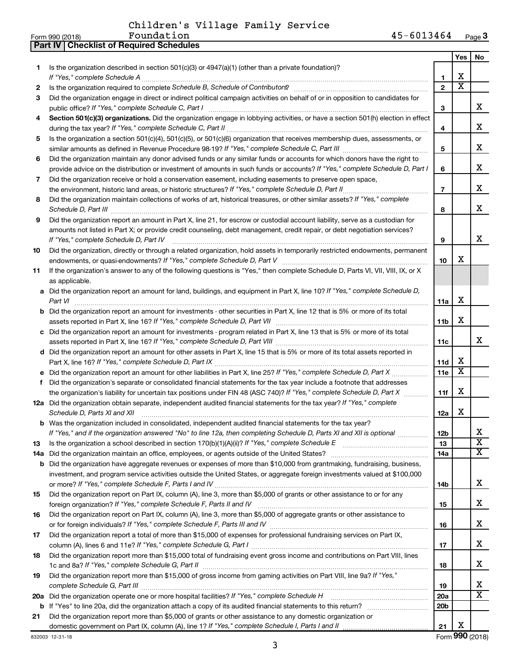**Part IV Checklist of Required Schedules**

|    |                                                                                                                                                                                                                                                            |                 | Yes                     | No                      |
|----|------------------------------------------------------------------------------------------------------------------------------------------------------------------------------------------------------------------------------------------------------------|-----------------|-------------------------|-------------------------|
| 1. | Is the organization described in section 501(c)(3) or 4947(a)(1) (other than a private foundation)?                                                                                                                                                        | 1               | X                       |                         |
| 2  | Is the organization required to complete Schedule B, Schedule of Contributors? [111] [12] the organization required to complete Schedule B, Schedule of Contributors?                                                                                      | $\overline{2}$  | $\overline{\text{x}}$   |                         |
| 3  | Did the organization engage in direct or indirect political campaign activities on behalf of or in opposition to candidates for                                                                                                                            |                 |                         |                         |
|    |                                                                                                                                                                                                                                                            | 3               |                         | x                       |
| 4  | Section 501(c)(3) organizations. Did the organization engage in lobbying activities, or have a section 501(h) election in effect                                                                                                                           |                 |                         |                         |
|    |                                                                                                                                                                                                                                                            | 4               |                         | х                       |
| 5  | Is the organization a section 501(c)(4), 501(c)(5), or 501(c)(6) organization that receives membership dues, assessments, or                                                                                                                               |                 |                         |                         |
|    |                                                                                                                                                                                                                                                            | 5               |                         | х                       |
| 6  | Did the organization maintain any donor advised funds or any similar funds or accounts for which donors have the right to                                                                                                                                  |                 |                         |                         |
|    | provide advice on the distribution or investment of amounts in such funds or accounts? If "Yes," complete Schedule D, Part I                                                                                                                               | 6               |                         | х                       |
| 7  | Did the organization receive or hold a conservation easement, including easements to preserve open space,                                                                                                                                                  |                 |                         |                         |
|    |                                                                                                                                                                                                                                                            | $\overline{7}$  |                         | х                       |
| 8  | Did the organization maintain collections of works of art, historical treasures, or other similar assets? If "Yes," complete                                                                                                                               |                 |                         | x                       |
|    |                                                                                                                                                                                                                                                            | 8               |                         |                         |
| 9  | Did the organization report an amount in Part X, line 21, for escrow or custodial account liability, serve as a custodian for<br>amounts not listed in Part X; or provide credit counseling, debt management, credit repair, or debt negotiation services? |                 |                         |                         |
|    | If "Yes," complete Schedule D, Part IV                                                                                                                                                                                                                     | 9               |                         | x                       |
| 10 | Did the organization, directly or through a related organization, hold assets in temporarily restricted endowments, permanent                                                                                                                              |                 |                         |                         |
|    |                                                                                                                                                                                                                                                            | 10              | X                       |                         |
| 11 | If the organization's answer to any of the following questions is "Yes," then complete Schedule D, Parts VI, VII, VIII, IX, or X                                                                                                                           |                 |                         |                         |
|    | as applicable.                                                                                                                                                                                                                                             |                 |                         |                         |
|    | a Did the organization report an amount for land, buildings, and equipment in Part X, line 10? If "Yes," complete Schedule D,                                                                                                                              |                 |                         |                         |
|    | Part VI                                                                                                                                                                                                                                                    | 11a             | X                       |                         |
|    | <b>b</b> Did the organization report an amount for investments - other securities in Part X, line 12 that is 5% or more of its total                                                                                                                       |                 |                         |                         |
|    |                                                                                                                                                                                                                                                            | 11b             | X                       |                         |
|    | c Did the organization report an amount for investments - program related in Part X, line 13 that is 5% or more of its total                                                                                                                               |                 |                         |                         |
|    |                                                                                                                                                                                                                                                            | 11c             |                         | x                       |
|    | d Did the organization report an amount for other assets in Part X, line 15 that is 5% or more of its total assets reported in                                                                                                                             |                 |                         |                         |
|    |                                                                                                                                                                                                                                                            | 11d             | х                       |                         |
|    |                                                                                                                                                                                                                                                            | 11e             | $\overline{\mathbf{x}}$ |                         |
| f  | Did the organization's separate or consolidated financial statements for the tax year include a footnote that addresses                                                                                                                                    |                 |                         |                         |
|    | the organization's liability for uncertain tax positions under FIN 48 (ASC 740)? If "Yes," complete Schedule D, Part X                                                                                                                                     | 11f             | X                       |                         |
|    | 12a Did the organization obtain separate, independent audited financial statements for the tax year? If "Yes," complete<br>Schedule D, Parts XI and XII                                                                                                    |                 | X                       |                         |
|    | <b>b</b> Was the organization included in consolidated, independent audited financial statements for the tax year?                                                                                                                                         | 12a             |                         |                         |
|    | If "Yes," and if the organization answered "No" to line 12a, then completing Schedule D, Parts XI and XII is optional                                                                                                                                      | 12 <sub>b</sub> |                         |                         |
| 13 |                                                                                                                                                                                                                                                            | 13              |                         | $\overline{\textbf{x}}$ |
|    |                                                                                                                                                                                                                                                            | 14a             |                         | $\overline{\mathbf{X}}$ |
|    | <b>b</b> Did the organization have aggregate revenues or expenses of more than \$10,000 from grantmaking, fundraising, business,                                                                                                                           |                 |                         |                         |
|    | investment, and program service activities outside the United States, or aggregate foreign investments valued at \$100,000                                                                                                                                 |                 |                         |                         |
|    |                                                                                                                                                                                                                                                            | 14b             |                         | х                       |
| 15 | Did the organization report on Part IX, column (A), line 3, more than \$5,000 of grants or other assistance to or for any                                                                                                                                  |                 |                         |                         |
|    |                                                                                                                                                                                                                                                            | 15              |                         | x                       |
| 16 | Did the organization report on Part IX, column (A), line 3, more than \$5,000 of aggregate grants or other assistance to                                                                                                                                   |                 |                         |                         |
|    |                                                                                                                                                                                                                                                            | 16              |                         | х                       |
| 17 | Did the organization report a total of more than \$15,000 of expenses for professional fundraising services on Part IX,                                                                                                                                    |                 |                         |                         |
|    |                                                                                                                                                                                                                                                            | 17              |                         | x                       |
| 18 | Did the organization report more than \$15,000 total of fundraising event gross income and contributions on Part VIII, lines                                                                                                                               | 18              |                         | x                       |
| 19 | Did the organization report more than \$15,000 of gross income from gaming activities on Part VIII, line 9a? If "Yes,"                                                                                                                                     |                 |                         |                         |
|    |                                                                                                                                                                                                                                                            | 19              |                         | х                       |
|    | 20a Did the organization operate one or more hospital facilities? If "Yes," complete Schedule H                                                                                                                                                            | 20a             |                         | X                       |
|    |                                                                                                                                                                                                                                                            | 20 <sub>b</sub> |                         |                         |
| 21 | Did the organization report more than \$5,000 of grants or other assistance to any domestic organization or                                                                                                                                                |                 |                         |                         |
|    |                                                                                                                                                                                                                                                            | 21              | X                       |                         |
|    | 832003 12-31-18                                                                                                                                                                                                                                            |                 |                         | Form 990 (2018)         |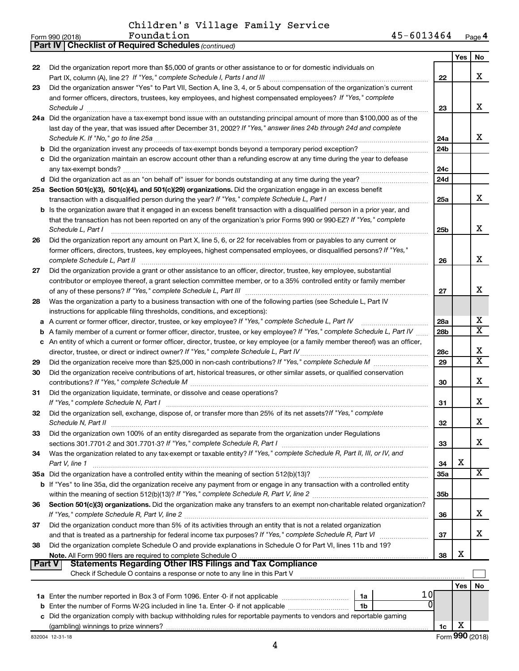**Part IV Checklist of Required Schedules**

*(continued)*

|               |                                                                                                                                             |                 | Yes        | No                           |
|---------------|---------------------------------------------------------------------------------------------------------------------------------------------|-----------------|------------|------------------------------|
| 22            | Did the organization report more than \$5,000 of grants or other assistance to or for domestic individuals on                               |                 |            |                              |
|               |                                                                                                                                             | 22              |            | x                            |
| 23            | Did the organization answer "Yes" to Part VII, Section A, line 3, 4, or 5 about compensation of the organization's current                  |                 |            |                              |
|               | and former officers, directors, trustees, key employees, and highest compensated employees? If "Yes," complete                              |                 |            |                              |
|               | Schedule J                                                                                                                                  | 23              |            | х                            |
|               | 24a Did the organization have a tax-exempt bond issue with an outstanding principal amount of more than \$100,000 as of the                 |                 |            |                              |
|               | last day of the year, that was issued after December 31, 2002? If "Yes," answer lines 24b through 24d and complete                          |                 |            |                              |
|               |                                                                                                                                             | 24a             |            | x                            |
|               |                                                                                                                                             | 24 <sub>b</sub> |            |                              |
|               | c Did the organization maintain an escrow account other than a refunding escrow at any time during the year to defease                      |                 |            |                              |
|               |                                                                                                                                             | 24c             |            |                              |
|               |                                                                                                                                             | 24d             |            |                              |
|               | 25a Section 501(c)(3), 501(c)(4), and 501(c)(29) organizations. Did the organization engage in an excess benefit                            |                 |            |                              |
|               |                                                                                                                                             | 25a             |            | x                            |
|               | <b>b</b> Is the organization aware that it engaged in an excess benefit transaction with a disqualified person in a prior year, and         |                 |            |                              |
|               | that the transaction has not been reported on any of the organization's prior Forms 990 or 990-EZ? If "Yes," complete                       |                 |            |                              |
|               | Schedule L, Part I                                                                                                                          | 25b             |            | x                            |
| 26            | Did the organization report any amount on Part X, line 5, 6, or 22 for receivables from or payables to any current or                       |                 |            |                              |
|               | former officers, directors, trustees, key employees, highest compensated employees, or disqualified persons? If "Yes,"                      |                 |            |                              |
|               | complete Schedule L, Part II                                                                                                                | 26              |            | х                            |
| 27            | Did the organization provide a grant or other assistance to an officer, director, trustee, key employee, substantial                        |                 |            |                              |
|               | contributor or employee thereof, a grant selection committee member, or to a 35% controlled entity or family member                         |                 |            |                              |
|               |                                                                                                                                             | 27              |            | x                            |
| 28            | Was the organization a party to a business transaction with one of the following parties (see Schedule L, Part IV                           |                 |            |                              |
|               | instructions for applicable filing thresholds, conditions, and exceptions):                                                                 |                 |            |                              |
| a             | A current or former officer, director, trustee, or key employee? If "Yes," complete Schedule L, Part IV                                     | 28a             |            | х<br>$\overline{\mathbf{X}}$ |
| b             | A family member of a current or former officer, director, trustee, or key employee? If "Yes," complete Schedule L, Part IV                  | 28 <sub>b</sub> |            |                              |
|               | c An entity of which a current or former officer, director, trustee, or key employee (or a family member thereof) was an officer,           |                 |            |                              |
|               |                                                                                                                                             | 28c             |            | х<br>X                       |
| 29            |                                                                                                                                             | 29              |            |                              |
| 30            | Did the organization receive contributions of art, historical treasures, or other similar assets, or qualified conservation                 |                 |            | x                            |
|               |                                                                                                                                             | 30              |            |                              |
| 31            | Did the organization liquidate, terminate, or dissolve and cease operations?                                                                |                 |            | x                            |
|               |                                                                                                                                             | 31              |            |                              |
| 32            | Did the organization sell, exchange, dispose of, or transfer more than 25% of its net assets? If "Yes," complete                            |                 |            | x                            |
|               |                                                                                                                                             | 32              |            |                              |
| 33            | Did the organization own 100% of an entity disregarded as separate from the organization under Regulations                                  |                 |            | х                            |
|               |                                                                                                                                             | 33              |            |                              |
| 34            | Was the organization related to any tax-exempt or taxable entity? If "Yes," complete Schedule R, Part II, III, or IV, and<br>Part V, line 1 | 34              | X          |                              |
|               | 35a Did the organization have a controlled entity within the meaning of section 512(b)(13)?                                                 | 35a             |            | х                            |
|               | b If "Yes" to line 35a, did the organization receive any payment from or engage in any transaction with a controlled entity                 |                 |            |                              |
|               |                                                                                                                                             | 35 <sub>b</sub> |            |                              |
| 36            | Section 501(c)(3) organizations. Did the organization make any transfers to an exempt non-charitable related organization?                  |                 |            |                              |
|               |                                                                                                                                             | 36              |            | x                            |
| 37            | Did the organization conduct more than 5% of its activities through an entity that is not a related organization                            |                 |            |                              |
|               | and that is treated as a partnership for federal income tax purposes? If "Yes," complete Schedule R, Part VI                                | 37              |            | х                            |
| 38            | Did the organization complete Schedule O and provide explanations in Schedule O for Part VI, lines 11b and 19?                              |                 |            |                              |
|               | Note. All Form 990 filers are required to complete Schedule O.                                                                              | 38              | X          |                              |
| <b>Part V</b> |                                                                                                                                             |                 |            |                              |
|               | Check if Schedule O contains a response or note to any line in this Part V                                                                  |                 |            |                              |
|               |                                                                                                                                             |                 | <b>Yes</b> | No                           |
|               | 10<br>1a                                                                                                                                    |                 |            |                              |
| b             | 0<br>1 <sub>b</sub><br>Enter the number of Forms W-2G included in line 1a. Enter -0- if not applicable                                      |                 |            |                              |
|               | c Did the organization comply with backup withholding rules for reportable payments to vendors and reportable gaming                        |                 |            |                              |
|               |                                                                                                                                             | 1c              | х          |                              |
|               |                                                                                                                                             |                 |            |                              |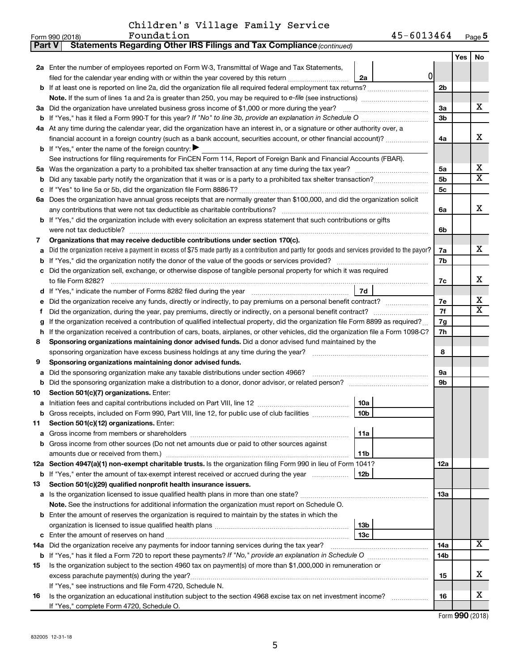| Children's Village Family Service |  |
|-----------------------------------|--|
|-----------------------------------|--|

| <b>Part V</b> | Statements Regarding Other IRS Filings and Tax Compliance (continued)                                                                           |                |     |     |  |  |  |  |  |  |
|---------------|-------------------------------------------------------------------------------------------------------------------------------------------------|----------------|-----|-----|--|--|--|--|--|--|
|               |                                                                                                                                                 |                | Yes | No. |  |  |  |  |  |  |
|               | 2a Enter the number of employees reported on Form W-3, Transmittal of Wage and Tax Statements,                                                  |                |     |     |  |  |  |  |  |  |
|               | 0<br>filed for the calendar year ending with or within the year covered by this return<br>2a                                                    |                |     |     |  |  |  |  |  |  |
| b             | If at least one is reported on line 2a, did the organization file all required federal employment tax returns?                                  | 2 <sub>b</sub> |     |     |  |  |  |  |  |  |
|               | Note. If the sum of lines 1a and 2a is greater than 250, you may be required to e-file (see instructions) <i></i>                               |                |     |     |  |  |  |  |  |  |
| За            | Did the organization have unrelated business gross income of \$1,000 or more during the year?                                                   | За             |     | x   |  |  |  |  |  |  |
| b             | If "Yes," has it filed a Form 990 T for this year? If "No" to line 3b, provide an explanation in Schedule O manumum                             |                |     |     |  |  |  |  |  |  |
|               | 4a At any time during the calendar year, did the organization have an interest in, or a signature or other authority over, a                    |                |     |     |  |  |  |  |  |  |
|               | financial account in a foreign country (such as a bank account, securities account, or other financial account)?                                | 4a             |     | x   |  |  |  |  |  |  |
|               | <b>b</b> If "Yes," enter the name of the foreign country: $\blacktriangleright$                                                                 |                |     |     |  |  |  |  |  |  |
|               | See instructions for filing requirements for FinCEN Form 114, Report of Foreign Bank and Financial Accounts (FBAR).                             |                |     |     |  |  |  |  |  |  |
| 5a            |                                                                                                                                                 | 5a             |     | х   |  |  |  |  |  |  |
| b             |                                                                                                                                                 | 5b             |     | X   |  |  |  |  |  |  |
|               |                                                                                                                                                 | 5с             |     |     |  |  |  |  |  |  |
|               | 6a Does the organization have annual gross receipts that are normally greater than \$100,000, and did the organization solicit                  |                |     |     |  |  |  |  |  |  |
|               |                                                                                                                                                 | 6a             |     | x   |  |  |  |  |  |  |
| b             | If "Yes," did the organization include with every solicitation an express statement that such contributions or gifts                            |                |     |     |  |  |  |  |  |  |
|               | were not tax deductible?                                                                                                                        | 6b             |     |     |  |  |  |  |  |  |
| 7             | Organizations that may receive deductible contributions under section 170(c).                                                                   |                |     |     |  |  |  |  |  |  |
| а             | Did the organization receive a payment in excess of \$75 made partly as a contribution and partly for goods and services provided to the payor? | 7a             |     | x.  |  |  |  |  |  |  |
| b             |                                                                                                                                                 | 7b             |     |     |  |  |  |  |  |  |
|               | Did the organization sell, exchange, or otherwise dispose of tangible personal property for which it was required                               |                |     |     |  |  |  |  |  |  |
|               |                                                                                                                                                 | 7c             |     | x   |  |  |  |  |  |  |
| d             | 7d                                                                                                                                              |                |     | х   |  |  |  |  |  |  |
|               | Did the organization receive any funds, directly or indirectly, to pay premiums on a personal benefit contract?                                 | 7е             |     | x   |  |  |  |  |  |  |
| f             | Did the organization, during the year, pay premiums, directly or indirectly, on a personal benefit contract?                                    | 7f             |     |     |  |  |  |  |  |  |
| g             | If the organization received a contribution of qualified intellectual property, did the organization file Form 8899 as required?                | 7g             |     |     |  |  |  |  |  |  |
| h             | If the organization received a contribution of cars, boats, airplanes, or other vehicles, did the organization file a Form 1098-C?              | 7h             |     |     |  |  |  |  |  |  |
| 8             | Sponsoring organizations maintaining donor advised funds. Did a donor advised fund maintained by the                                            | 8              |     |     |  |  |  |  |  |  |
| 9             | Sponsoring organizations maintaining donor advised funds.                                                                                       |                |     |     |  |  |  |  |  |  |
| а             | Did the sponsoring organization make any taxable distributions under section 4966?                                                              | <b>9a</b>      |     |     |  |  |  |  |  |  |
| b             |                                                                                                                                                 | 9b             |     |     |  |  |  |  |  |  |
| 10            | Section 501(c)(7) organizations. Enter:                                                                                                         |                |     |     |  |  |  |  |  |  |
| а             | 10a                                                                                                                                             |                |     |     |  |  |  |  |  |  |
|               | 10 <sub>b</sub><br>Gross receipts, included on Form 990, Part VIII, line 12, for public use of club facilities                                  |                |     |     |  |  |  |  |  |  |
| 11            | Section 501(c)(12) organizations. Enter:                                                                                                        |                |     |     |  |  |  |  |  |  |
| а             | 11a                                                                                                                                             |                |     |     |  |  |  |  |  |  |
| b             | Gross income from other sources (Do not net amounts due or paid to other sources against                                                        |                |     |     |  |  |  |  |  |  |
|               | 11 <sub>b</sub><br>amounts due or received from them.)                                                                                          |                |     |     |  |  |  |  |  |  |
|               | 12a Section 4947(a)(1) non-exempt charitable trusts. Is the organization filing Form 990 in lieu of Form 1041?                                  | 12a            |     |     |  |  |  |  |  |  |
|               | 12 <sub>b</sub><br>b If "Yes," enter the amount of tax-exempt interest received or accrued during the year                                      |                |     |     |  |  |  |  |  |  |
| 13            | Section 501(c)(29) qualified nonprofit health insurance issuers.                                                                                |                |     |     |  |  |  |  |  |  |
|               | <b>a</b> Is the organization licensed to issue qualified health plans in more than one state?                                                   | 13a            |     |     |  |  |  |  |  |  |
|               | Note. See the instructions for additional information the organization must report on Schedule O.                                               |                |     |     |  |  |  |  |  |  |
| b             | Enter the amount of reserves the organization is required to maintain by the states in which the                                                |                |     |     |  |  |  |  |  |  |
|               | 13 <sub>b</sub>                                                                                                                                 |                |     |     |  |  |  |  |  |  |
| с             | 13 <sub>c</sub>                                                                                                                                 |                |     |     |  |  |  |  |  |  |
|               | 14a Did the organization receive any payments for indoor tanning services during the tax year?                                                  | 14a            |     | x   |  |  |  |  |  |  |
|               |                                                                                                                                                 | 14b            |     |     |  |  |  |  |  |  |
| 15            | Is the organization subject to the section 4960 tax on payment(s) of more than \$1,000,000 in remuneration or                                   |                |     |     |  |  |  |  |  |  |
|               | excess parachute payment(s) during the year?                                                                                                    | 15             |     | x   |  |  |  |  |  |  |
|               | If "Yes," see instructions and file Form 4720, Schedule N.                                                                                      |                |     |     |  |  |  |  |  |  |
| 16            | Is the organization an educational institution subject to the section 4968 excise tax on net investment income?                                 | 16             |     | х   |  |  |  |  |  |  |
|               | If "Yes," complete Form 4720, Schedule O.                                                                                                       |                |     |     |  |  |  |  |  |  |

Form (2018) **990**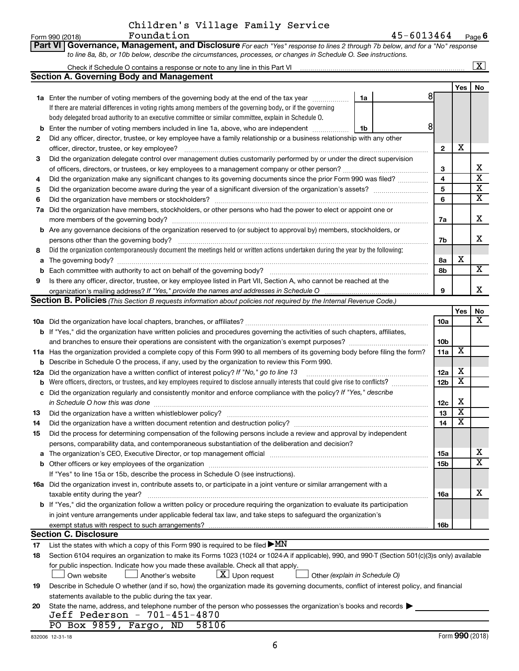$\frac{1}{2}$ Form 990 (2018) Page Report of Page Report of Page Report of Page Report of Page Report of Page Report of Page Report of Page Report of Page Report of Page Report of Page Report of Page Report of Page Report of P **6** Foundation 45-6013464

|     | Part VI Governance, Management, and Disclosure For each "Yes" response to lines 2 through 7b below, and for a "No" response                                                                                                   |                 |                         |                         |
|-----|-------------------------------------------------------------------------------------------------------------------------------------------------------------------------------------------------------------------------------|-----------------|-------------------------|-------------------------|
|     | to line 8a, 8b, or 10b below, describe the circumstances, processes, or changes in Schedule O. See instructions.                                                                                                              |                 |                         |                         |
|     |                                                                                                                                                                                                                               |                 |                         | $\boxed{\text{X}}$      |
|     | <b>Section A. Governing Body and Management</b>                                                                                                                                                                               |                 |                         |                         |
|     |                                                                                                                                                                                                                               |                 | Yes                     | No                      |
|     | 8<br>1a Enter the number of voting members of the governing body at the end of the tax year<br>1a                                                                                                                             |                 |                         |                         |
|     | If there are material differences in voting rights among members of the governing body, or if the governing                                                                                                                   |                 |                         |                         |
|     | body delegated broad authority to an executive committee or similar committee, explain in Schedule O.                                                                                                                         |                 |                         |                         |
| b   | 8<br>Enter the number of voting members included in line 1a, above, who are independent<br>1b                                                                                                                                 |                 |                         |                         |
| 2   | Did any officer, director, trustee, or key employee have a family relationship or a business relationship with any other                                                                                                      |                 |                         |                         |
|     | officer, director, trustee, or key employee?                                                                                                                                                                                  | $\mathbf{2}$    | х                       |                         |
| 3   | Did the organization delegate control over management duties customarily performed by or under the direct supervision                                                                                                         |                 |                         |                         |
|     |                                                                                                                                                                                                                               | 3               |                         | х                       |
| 4   | Did the organization make any significant changes to its governing documents since the prior Form 990 was filed?                                                                                                              | 4               |                         | $\overline{\mathbf{x}}$ |
| 5   |                                                                                                                                                                                                                               | 5               |                         | $\overline{\mathbf{x}}$ |
| 6   |                                                                                                                                                                                                                               | 6               |                         | X                       |
| 7a  | Did the organization have members, stockholders, or other persons who had the power to elect or appoint one or                                                                                                                |                 |                         |                         |
|     |                                                                                                                                                                                                                               | 7a              |                         | X                       |
| b   | Are any governance decisions of the organization reserved to (or subject to approval by) members, stockholders, or                                                                                                            |                 |                         |                         |
|     | persons other than the governing body?                                                                                                                                                                                        | 7b              |                         | х                       |
| 8   | Did the organization contemporaneously document the meetings held or written actions undertaken during the year by the following:                                                                                             |                 |                         |                         |
| а   |                                                                                                                                                                                                                               | 8а              | х                       |                         |
| b   |                                                                                                                                                                                                                               | 8b              |                         | X                       |
| 9   | Is there any officer, director, trustee, or key employee listed in Part VII, Section A, who cannot be reached at the                                                                                                          |                 |                         |                         |
|     |                                                                                                                                                                                                                               | 9               |                         | x                       |
|     | Section B. Policies (This Section B requests information about policies not required by the Internal Revenue Code.)                                                                                                           |                 |                         |                         |
|     |                                                                                                                                                                                                                               |                 | Yes                     | No                      |
|     |                                                                                                                                                                                                                               | 10a             |                         | x                       |
|     | <b>b</b> If "Yes," did the organization have written policies and procedures governing the activities of such chapters, affiliates,                                                                                           |                 |                         |                         |
|     |                                                                                                                                                                                                                               | 10 <sub>b</sub> |                         |                         |
|     | 11a Has the organization provided a complete copy of this Form 990 to all members of its governing body before filing the form?                                                                                               | 11a             | X                       |                         |
| b   | Describe in Schedule O the process, if any, used by the organization to review this Form 990.                                                                                                                                 |                 |                         |                         |
| 12a | Did the organization have a written conflict of interest policy? If "No," go to line 13                                                                                                                                       | 12a             | х                       |                         |
| b   | Were officers, directors, or trustees, and key employees required to disclose annually interests that could give rise to conflicts?                                                                                           | 12 <sub>b</sub> | х                       |                         |
| с   | Did the organization regularly and consistently monitor and enforce compliance with the policy? If "Yes," describe                                                                                                            |                 |                         |                         |
|     | in Schedule O how this was done <i>manually chedule O</i> how this was done                                                                                                                                                   | 12c             | х                       |                         |
| 13  |                                                                                                                                                                                                                               | 13              | $\overline{\textbf{x}}$ |                         |
| 14  | Did the organization have a written document retention and destruction policy? [111] [12] manument content and the organization have a written document retention and destruction policy?                                     | 14              | $\overline{\mathtt{x}}$ |                         |
| 15  | Did the process for determining compensation of the following persons include a review and approval by independent                                                                                                            |                 |                         |                         |
|     | persons, comparability data, and contemporaneous substantiation of the deliberation and decision?                                                                                                                             |                 |                         |                         |
|     | The organization's CEO, Executive Director, or top management official manufactured content of the organization's CEO, Executive Director, or top management official manufactured and the state of the state of the state of | 15a             |                         | x                       |
|     |                                                                                                                                                                                                                               | 15 <sub>b</sub> |                         | X                       |
|     | If "Yes" to line 15a or 15b, describe the process in Schedule O (see instructions).                                                                                                                                           |                 |                         |                         |
|     | 16a Did the organization invest in, contribute assets to, or participate in a joint venture or similar arrangement with a                                                                                                     |                 |                         |                         |
|     | taxable entity during the year?                                                                                                                                                                                               | 16a             |                         | x                       |
|     | b If "Yes," did the organization follow a written policy or procedure requiring the organization to evaluate its participation                                                                                                |                 |                         |                         |
|     | in joint venture arrangements under applicable federal tax law, and take steps to safeguard the organization's                                                                                                                |                 |                         |                         |
|     | exempt status with respect to such arrangements?                                                                                                                                                                              | 16b             |                         |                         |
|     | <b>Section C. Disclosure</b>                                                                                                                                                                                                  |                 |                         |                         |
| 17  | List the states with which a copy of this Form 990 is required to be filed $\blacktriangleright MN$                                                                                                                           |                 |                         |                         |
| 18  | Section 6104 requires an organization to make its Forms 1023 (1024 or 1024 A if applicable), 990, and 990 T (Section 501(c)(3)s only) available                                                                               |                 |                         |                         |
|     | for public inspection. Indicate how you made these available. Check all that apply.                                                                                                                                           |                 |                         |                         |
|     | $\lfloor x \rfloor$ Upon request<br>Another's website<br>Other (explain in Schedule O)<br>Own website                                                                                                                         |                 |                         |                         |
| 19  | Describe in Schedule O whether (and if so, how) the organization made its governing documents, conflict of interest policy, and financial                                                                                     |                 |                         |                         |
|     | statements available to the public during the tax year.                                                                                                                                                                       |                 |                         |                         |
| 20  | State the name, address, and telephone number of the person who possesses the organization's books and records                                                                                                                |                 |                         |                         |
|     | Jeff Pederson - 701-451-4870                                                                                                                                                                                                  |                 |                         |                         |
|     | PO Box 9859, Fargo, ND<br>58106                                                                                                                                                                                               |                 |                         |                         |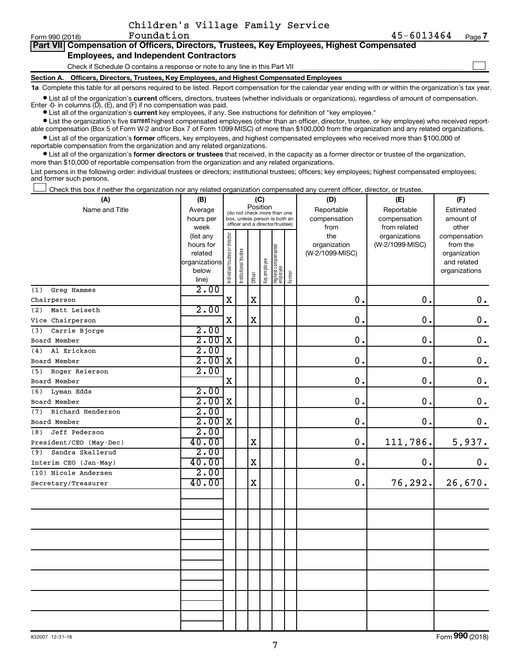$\Box$ 

| Part VII Compensation of Officers, Directors, Trustees, Key Employees, Highest Compensated |
|--------------------------------------------------------------------------------------------|
| <b>Employees, and Independent Contractors</b>                                              |

**Section A. Officers, Directors, Trustees, Key Employees, and Highest Compensated Employees** Check if Schedule O contains a response or note to any line in this Part VII

**1a**  Complete this table for all persons required to be listed. Report compensation for the calendar year ending with or within the organization's tax year. **•** List all of the organization's current officers, directors, trustees (whether individuals or organizations), regardless of amount of compensation.

Enter -0- in columns  $(D)$ ,  $(E)$ , and  $(F)$  if no compensation was paid.

**•** List all of the organization's **current** key employees, if any. See instructions for definition of "key employee."

**•** List the organization's five current highest compensated employees (other than an officer, director, trustee, or key employee) who received reportable compensation (Box 5 of Form W-2 and/or Box 7 of Form 1099-MISC) of more than \$100,000 from the organization and any related organizations.

**•** List all of the organization's former officers, key employees, and highest compensated employees who received more than \$100,000 of reportable compensation from the organization and any related organizations.

**•** List all of the organization's former directors or trustees that received, in the capacity as a former director or trustee of the organization, more than \$10,000 of reportable compensation from the organization and any related organizations.

List persons in the following order: individual trustees or directors; institutional trustees; officers; key employees; highest compensated employees; and former such persons.

Check this box if neither the organization nor any related organization compensated any current officer, director, or trustee.  $\Box$ 

| (A)                      | (B)            |                                |                                                                  | (C)                                     |              |                                   |           | (D)             | (E)             | (F)                |  |  |  |
|--------------------------|----------------|--------------------------------|------------------------------------------------------------------|-----------------------------------------|--------------|-----------------------------------|-----------|-----------------|-----------------|--------------------|--|--|--|
| Name and Title           | Average        |                                |                                                                  | Position<br>(do not check more than one |              |                                   |           | Reportable      | Reportable      | Estimated          |  |  |  |
|                          | hours per      |                                | box, unless person is both an<br>officer and a director/trustee) |                                         | compensation | compensation                      | amount of |                 |                 |                    |  |  |  |
|                          | week           |                                |                                                                  |                                         |              |                                   |           | from            | from related    | other              |  |  |  |
|                          | (list any      |                                |                                                                  |                                         |              |                                   |           | the             | organizations   | compensation       |  |  |  |
|                          | hours for      |                                |                                                                  |                                         |              |                                   |           | organization    | (W-2/1099-MISC) | from the           |  |  |  |
|                          | related        |                                |                                                                  |                                         |              |                                   |           | (W-2/1099-MISC) |                 | organization       |  |  |  |
|                          | organizations  |                                |                                                                  |                                         |              |                                   |           |                 |                 | and related        |  |  |  |
|                          | below<br>line) | Individual trustee or director | Institutional trustee                                            | Officer                                 | Key employee | Highest compensated<br>  employee | Former    |                 |                 | organizations      |  |  |  |
| Greg Hammes<br>(1)       | 2.00           |                                |                                                                  |                                         |              |                                   |           |                 |                 |                    |  |  |  |
| Chairperson              |                | $\mathbf X$                    |                                                                  | $\mathbf X$                             |              |                                   |           | 0.              | $\mathbf 0$ .   | $0 \cdot$          |  |  |  |
| (2)<br>Matt Leiseth      | 2.00           |                                |                                                                  |                                         |              |                                   |           |                 |                 |                    |  |  |  |
| Vice Chairperson         |                | $\mathbf X$                    |                                                                  | $\mathbf X$                             |              |                                   |           | 0.              | 0.              | $\mathbf 0$ .      |  |  |  |
| Carrie Bjorge<br>(3)     | 2.00           |                                |                                                                  |                                         |              |                                   |           |                 |                 |                    |  |  |  |
| Board Member             | 2.00           | $\mathbf X$                    |                                                                  |                                         |              |                                   |           | 0.              | 0.              | $\mathbf 0$ .      |  |  |  |
| Al Erickson<br>(4)       | 2.00           |                                |                                                                  |                                         |              |                                   |           |                 |                 |                    |  |  |  |
| Board Member             | 2.00           | X                              |                                                                  |                                         |              |                                   |           | 0.              | 0.              | $\mathbf 0$ .      |  |  |  |
| Roger Reierson<br>(5)    | 2.00           |                                |                                                                  |                                         |              |                                   |           |                 |                 |                    |  |  |  |
| Board Member             |                | $\mathbf X$                    |                                                                  |                                         |              |                                   |           | $0$ .           | 0.              | $\mathbf 0$ .      |  |  |  |
| (6)<br>Lyman Edds        | 2.00           |                                |                                                                  |                                         |              |                                   |           |                 |                 |                    |  |  |  |
| Board Member             | 2.00           | X                              |                                                                  |                                         |              |                                   |           | 0.              | 0.              | $\boldsymbol{0}$ . |  |  |  |
| Richard Henderson<br>(7) | 2.00           |                                |                                                                  |                                         |              |                                   |           |                 |                 |                    |  |  |  |
| Board Member             | 2.00           | $\mathbf X$                    |                                                                  |                                         |              |                                   |           | 0.              | $\mathbf 0$ .   | $\mathbf 0$ .      |  |  |  |
| Jeff Pederson<br>(8)     | 2.00           |                                |                                                                  |                                         |              |                                   |           |                 |                 |                    |  |  |  |
| President/CEO (May-Dec)  | 40.00          |                                |                                                                  | $\mathbf X$                             |              |                                   |           | 0.              | 111,786.        | 5,937.             |  |  |  |
| Sandra Skallerud<br>(9)  | 2.00           |                                |                                                                  |                                         |              |                                   |           |                 |                 |                    |  |  |  |
| Interim CEO (Jan-May)    | 40.00          |                                |                                                                  | $\mathbf X$                             |              |                                   |           | 0.              | $\mathbf 0$ .   | $\mathbf 0$ .      |  |  |  |
| (10) Nicole Andersen     | 2.00           |                                |                                                                  |                                         |              |                                   |           |                 |                 |                    |  |  |  |
| Secretary/Treasurer      | 40.00          |                                |                                                                  | $\mathbf X$                             |              |                                   |           | 0.              | 76,292.         | 26,670.            |  |  |  |
|                          |                |                                |                                                                  |                                         |              |                                   |           |                 |                 |                    |  |  |  |
|                          |                |                                |                                                                  |                                         |              |                                   |           |                 |                 |                    |  |  |  |
|                          |                |                                |                                                                  |                                         |              |                                   |           |                 |                 |                    |  |  |  |
|                          |                |                                |                                                                  |                                         |              |                                   |           |                 |                 |                    |  |  |  |
|                          |                |                                |                                                                  |                                         |              |                                   |           |                 |                 |                    |  |  |  |
|                          |                |                                |                                                                  |                                         |              |                                   |           |                 |                 |                    |  |  |  |
|                          |                |                                |                                                                  |                                         |              |                                   |           |                 |                 |                    |  |  |  |
|                          |                |                                |                                                                  |                                         |              |                                   |           |                 |                 |                    |  |  |  |
|                          |                |                                |                                                                  |                                         |              |                                   |           |                 |                 |                    |  |  |  |
|                          |                |                                |                                                                  |                                         |              |                                   |           |                 |                 |                    |  |  |  |

Form (2018) **990**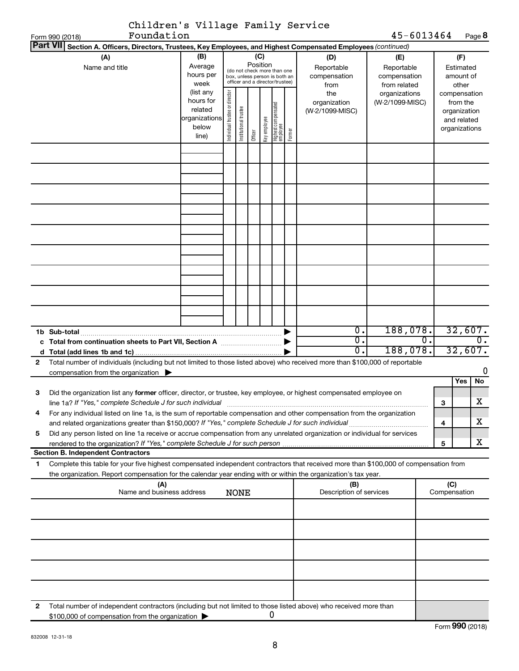|              | Children's Village Family Service                                                                                                                                                        |                                                               |                                |                       |                                                                                                                    |              |                                  |        |                                                                  |                                                                                       |    |     |                                                                    |   |
|--------------|------------------------------------------------------------------------------------------------------------------------------------------------------------------------------------------|---------------------------------------------------------------|--------------------------------|-----------------------|--------------------------------------------------------------------------------------------------------------------|--------------|----------------------------------|--------|------------------------------------------------------------------|---------------------------------------------------------------------------------------|----|-----|--------------------------------------------------------------------|---|
|              | Foundation<br>Form 990 (2018)                                                                                                                                                            |                                                               |                                |                       |                                                                                                                    |              |                                  |        |                                                                  | 45-6013464                                                                            |    |     | Page 8                                                             |   |
|              | Part VII Section A. Officers, Directors, Trustees, Key Employees, and Highest Compensated Employees (continued)                                                                          |                                                               |                                |                       |                                                                                                                    |              |                                  |        |                                                                  |                                                                                       |    |     |                                                                    |   |
|              | (A)<br>Name and title                                                                                                                                                                    | (B)<br>Average<br>hours per<br>week<br>(list any<br>hours for |                                |                       | (C)<br>Position<br>(do not check more than one<br>box, unless person is both an<br>officer and a director/trustee) |              |                                  |        | (D)<br>Reportable<br>compensation<br>from<br>the<br>organization | (E)<br>Reportable<br>compensation<br>from related<br>organizations<br>(W-2/1099-MISC) |    |     | (F)<br>Estimated<br>amount of<br>other<br>compensation<br>from the |   |
|              |                                                                                                                                                                                          | related<br>organizations<br>below<br>line)                    | Individual trustee or director | Institutional trustee | Officer                                                                                                            | Key employee | Highest compensate<br>  employee | Former | (W-2/1099-MISC)                                                  |                                                                                       |    |     | organization<br>and related<br>organizations                       |   |
|              |                                                                                                                                                                                          |                                                               |                                |                       |                                                                                                                    |              |                                  |        |                                                                  |                                                                                       |    |     |                                                                    |   |
|              |                                                                                                                                                                                          |                                                               |                                |                       |                                                                                                                    |              |                                  |        |                                                                  |                                                                                       |    |     |                                                                    |   |
|              |                                                                                                                                                                                          |                                                               |                                |                       |                                                                                                                    |              |                                  |        |                                                                  |                                                                                       |    |     |                                                                    |   |
|              |                                                                                                                                                                                          |                                                               |                                |                       |                                                                                                                    |              |                                  |        |                                                                  |                                                                                       |    |     |                                                                    |   |
| c            | 1b Sub-total                                                                                                                                                                             |                                                               |                                |                       |                                                                                                                    |              |                                  |        | Ο.<br>о.<br>0.                                                   | 188,078.<br>188,078.                                                                  | 0. |     | 32,607.<br>0.<br>32,607.                                           |   |
| $\mathbf{2}$ | Total number of individuals (including but not limited to those listed above) who received more than \$100,000 of reportable<br>compensation from the organization $\blacktriangleright$ |                                                               |                                |                       |                                                                                                                    |              |                                  |        |                                                                  |                                                                                       |    |     |                                                                    | 0 |
| з            | Did the organization list any former officer, director, or trustee, key employee, or highest compensated employee on                                                                     |                                                               |                                |                       |                                                                                                                    |              |                                  |        |                                                                  |                                                                                       |    |     | No<br>Yes                                                          |   |
| 4            | line 1a? If "Yes," complete Schedule J for such individual<br>For any individual listed on line 1a, is the sum of reportable compensation and other compensation from the organization   |                                                               |                                |                       |                                                                                                                    |              |                                  |        |                                                                  |                                                                                       |    | 3   | X                                                                  |   |
| 5            | Did any person listed on line 1a receive or accrue compensation from any unrelated organization or individual for services                                                               |                                                               |                                |                       |                                                                                                                    |              |                                  |        |                                                                  |                                                                                       |    | 4   | x                                                                  |   |
|              |                                                                                                                                                                                          |                                                               |                                |                       |                                                                                                                    |              |                                  |        |                                                                  |                                                                                       |    | 5   | x                                                                  |   |
| 1            | <b>Section B. Independent Contractors</b><br>Complete this table for your five highest compensated independent contractors that received more than \$100,000 of compensation from        |                                                               |                                |                       |                                                                                                                    |              |                                  |        |                                                                  |                                                                                       |    |     |                                                                    |   |
|              | the organization. Report compensation for the calendar year ending with or within the organization's tax year.<br>(A)<br>Name and business address                                       |                                                               |                                | <b>NONE</b>           |                                                                                                                    |              |                                  |        | (B)<br>Description of services                                   |                                                                                       |    | (C) | Compensation                                                       |   |
|              |                                                                                                                                                                                          |                                                               |                                |                       |                                                                                                                    |              |                                  |        |                                                                  |                                                                                       |    |     |                                                                    |   |
|              |                                                                                                                                                                                          |                                                               |                                |                       |                                                                                                                    |              |                                  |        |                                                                  |                                                                                       |    |     |                                                                    |   |
|              |                                                                                                                                                                                          |                                                               |                                |                       |                                                                                                                    |              |                                  |        |                                                                  |                                                                                       |    |     |                                                                    |   |
|              |                                                                                                                                                                                          |                                                               |                                |                       |                                                                                                                    |              |                                  |        |                                                                  |                                                                                       |    |     |                                                                    |   |
|              |                                                                                                                                                                                          |                                                               |                                |                       |                                                                                                                    |              |                                  |        |                                                                  |                                                                                       |    |     |                                                                    |   |
| 2            | Total number of independent contractors (including but not limited to those listed above) who received more than<br>\$100,000 of compensation from the organization                      |                                                               |                                |                       |                                                                                                                    |              | 0                                |        |                                                                  |                                                                                       |    |     |                                                                    |   |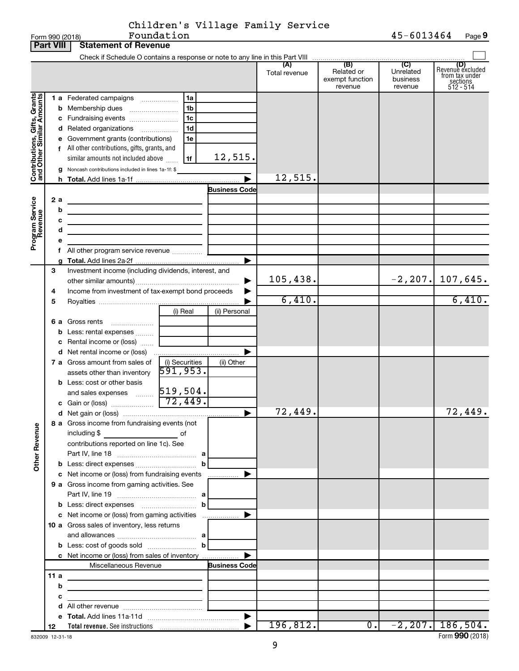|                                                                                         | <b>Part VIII</b>  | <b>Statement of Revenue</b>                                                                                                                                                                                                                                                                                                                                                                                                              |                                  |                                 |                      |                                                 |                                         |                                                                    |
|-----------------------------------------------------------------------------------------|-------------------|------------------------------------------------------------------------------------------------------------------------------------------------------------------------------------------------------------------------------------------------------------------------------------------------------------------------------------------------------------------------------------------------------------------------------------------|----------------------------------|---------------------------------|----------------------|-------------------------------------------------|-----------------------------------------|--------------------------------------------------------------------|
|                                                                                         |                   | Check if Schedule O contains a response or note to any line in this Part VIII [[[[[[[[[[[[[[[[[[[[[[[[[[[[[[[                                                                                                                                                                                                                                                                                                                            |                                  |                                 |                      |                                                 |                                         |                                                                    |
|                                                                                         |                   |                                                                                                                                                                                                                                                                                                                                                                                                                                          |                                  |                                 | (A)<br>Total revenue | (B)<br>Related or<br>exempt function<br>revenue | (C)<br>Unrelated<br>business<br>revenue | (D)<br>Revenue excluded<br>from tax under<br>sections<br>512 - 514 |
| Contributions, Gifts, Grants<br>and Other Similar Amounts<br>Program Service<br>Revenue | 2a<br>b<br>c<br>d | 1 a Federated campaigns<br><b>b</b> Membership dues<br>c Fundraising events<br>d Related organizations<br>e Government grants (contributions)<br>f All other contributions, gifts, grants, and<br>similar amounts not included above<br>g Noncash contributions included in lines 1a-1f: \$<br>the control of the control of the control of the control of the control of<br>the control of the control of the control of the control of | 1a<br>1b<br>1c<br>1d<br>1e<br>1f | 12,515.<br><b>Business Code</b> | 12,515.              |                                                 |                                         |                                                                    |
|                                                                                         |                   |                                                                                                                                                                                                                                                                                                                                                                                                                                          |                                  |                                 |                      |                                                 |                                         |                                                                    |
|                                                                                         | 3<br>4<br>5       | Investment income (including dividends, interest, and<br>Income from investment of tax-exempt bond proceeds                                                                                                                                                                                                                                                                                                                              |                                  |                                 | 105,438.<br>6,410.   |                                                 | $-2, 207.$                              | 107,645.<br>6,410.                                                 |
|                                                                                         |                   | 6 a Gross rents<br><b>b</b> Less: rental expenses<br>c Rental income or (loss)                                                                                                                                                                                                                                                                                                                                                           | (i) Real                         | (ii) Personal                   |                      |                                                 |                                         |                                                                    |
|                                                                                         |                   | 7 a Gross amount from sales of<br>assets other than inventory                                                                                                                                                                                                                                                                                                                                                                            | (i) Securities<br>591, 953.      | (ii) Other                      |                      |                                                 |                                         |                                                                    |
|                                                                                         |                   | <b>b</b> Less: cost or other basis                                                                                                                                                                                                                                                                                                                                                                                                       |                                  | ▶                               | 72,449.              |                                                 |                                         | 72,449.                                                            |
| <b>Other Revenue</b>                                                                    |                   | 8 a Gross income from fundraising events (not<br>including \$<br>contributions reported on line 1c). See                                                                                                                                                                                                                                                                                                                                 | of<br>b                          |                                 |                      |                                                 |                                         |                                                                    |
|                                                                                         |                   | c Net income or (loss) from fundraising events<br>9 a Gross income from gaming activities. See                                                                                                                                                                                                                                                                                                                                           |                                  |                                 |                      |                                                 |                                         |                                                                    |
|                                                                                         |                   | <b>b</b> Less: direct expenses <b>manually b</b><br>10 a Gross sales of inventory, less returns                                                                                                                                                                                                                                                                                                                                          |                                  |                                 |                      |                                                 |                                         |                                                                    |
|                                                                                         |                   | <b>b</b> Less: cost of goods sold $\ldots$ <b>b</b><br>c Net income or (loss) from sales of inventory                                                                                                                                                                                                                                                                                                                                    |                                  |                                 |                      |                                                 |                                         |                                                                    |
|                                                                                         |                   | Miscellaneous Revenue                                                                                                                                                                                                                                                                                                                                                                                                                    |                                  | <b>Business Code</b>            |                      |                                                 |                                         |                                                                    |
|                                                                                         | 11a               | the control of the control of the control of the control of                                                                                                                                                                                                                                                                                                                                                                              |                                  |                                 |                      |                                                 |                                         |                                                                    |
|                                                                                         | b                 | <u> 1989 - Johann Barbara, martin amerikan basar dan berasal dalam basar dalam basar dalam basar dalam basar dala</u>                                                                                                                                                                                                                                                                                                                    |                                  |                                 |                      |                                                 |                                         |                                                                    |
|                                                                                         | с                 | the control of the control of the control of the control of the control of                                                                                                                                                                                                                                                                                                                                                               |                                  |                                 |                      |                                                 |                                         |                                                                    |
|                                                                                         |                   |                                                                                                                                                                                                                                                                                                                                                                                                                                          |                                  |                                 |                      |                                                 |                                         |                                                                    |
|                                                                                         |                   |                                                                                                                                                                                                                                                                                                                                                                                                                                          |                                  |                                 |                      | $\overline{0.}$                                 |                                         |                                                                    |
|                                                                                         | 12                |                                                                                                                                                                                                                                                                                                                                                                                                                                          |                                  |                                 | 196,812.             |                                                 |                                         | $-2, 207$ . 186,504.                                               |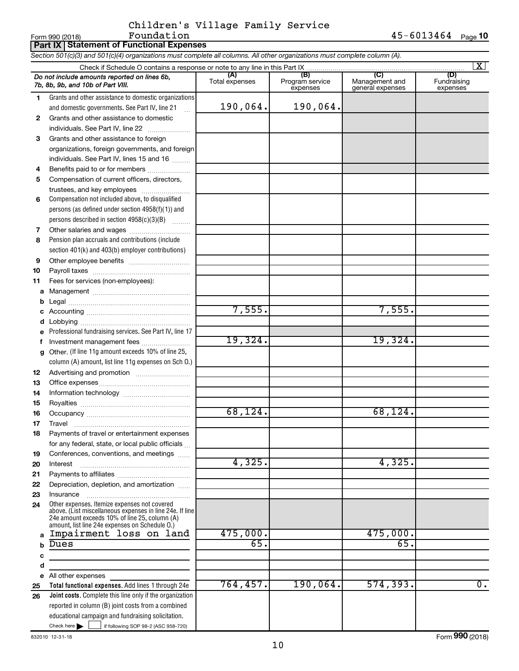|    | <b>Part IX Statement of Functional Expenses</b>                                                                                                                                                             |                       |                                    |                                           |                                |
|----|-------------------------------------------------------------------------------------------------------------------------------------------------------------------------------------------------------------|-----------------------|------------------------------------|-------------------------------------------|--------------------------------|
|    | Section 501(c)(3) and 501(c)(4) organizations must complete all columns. All other organizations must complete column (A).                                                                                  |                       |                                    |                                           |                                |
|    |                                                                                                                                                                                                             |                       |                                    |                                           | X                              |
|    | Do not include amounts reported on lines 6b,<br>7b, 8b, 9b, and 10b of Part VIII.                                                                                                                           | (A)<br>Total expenses | (B)<br>Program service<br>expenses | (C)<br>Management and<br>general expenses | (D)<br>Fundraising<br>expenses |
| 1  | Grants and other assistance to domestic organizations                                                                                                                                                       |                       |                                    |                                           |                                |
|    | and domestic governments. See Part IV, line 21                                                                                                                                                              | 190,064.              | 190,064.                           |                                           |                                |
| 2  | Grants and other assistance to domestic                                                                                                                                                                     |                       |                                    |                                           |                                |
|    | individuals. See Part IV, line 22                                                                                                                                                                           |                       |                                    |                                           |                                |
| 3  | Grants and other assistance to foreign                                                                                                                                                                      |                       |                                    |                                           |                                |
|    | organizations, foreign governments, and foreign                                                                                                                                                             |                       |                                    |                                           |                                |
|    | individuals. See Part IV, lines 15 and 16                                                                                                                                                                   |                       |                                    |                                           |                                |
| 4  | Benefits paid to or for members                                                                                                                                                                             |                       |                                    |                                           |                                |
| 5  | Compensation of current officers, directors,                                                                                                                                                                |                       |                                    |                                           |                                |
|    | trustees, and key employees                                                                                                                                                                                 |                       |                                    |                                           |                                |
| 6  | Compensation not included above, to disqualified                                                                                                                                                            |                       |                                    |                                           |                                |
|    | persons (as defined under section $4958(f)(1)$ ) and                                                                                                                                                        |                       |                                    |                                           |                                |
|    | persons described in section 4958(c)(3)(B)                                                                                                                                                                  |                       |                                    |                                           |                                |
| 7  |                                                                                                                                                                                                             |                       |                                    |                                           |                                |
| 8  | Pension plan accruals and contributions (include                                                                                                                                                            |                       |                                    |                                           |                                |
|    | section 401(k) and 403(b) employer contributions)                                                                                                                                                           |                       |                                    |                                           |                                |
| 9  |                                                                                                                                                                                                             |                       |                                    |                                           |                                |
| 10 |                                                                                                                                                                                                             |                       |                                    |                                           |                                |
| 11 | Fees for services (non-employees):                                                                                                                                                                          |                       |                                    |                                           |                                |
| a  |                                                                                                                                                                                                             |                       |                                    |                                           |                                |
|    |                                                                                                                                                                                                             | 7,555.                |                                    | 7,555.                                    |                                |
|    |                                                                                                                                                                                                             |                       |                                    |                                           |                                |
| d  | Professional fundraising services. See Part IV, line 17                                                                                                                                                     |                       |                                    |                                           |                                |
| f  | Investment management fees                                                                                                                                                                                  | 19,324.               |                                    | 19,324.                                   |                                |
| g  | Other. (If line 11g amount exceeds 10% of line 25,                                                                                                                                                          |                       |                                    |                                           |                                |
|    | column (A) amount, list line 11g expenses on Sch O.)                                                                                                                                                        |                       |                                    |                                           |                                |
| 12 |                                                                                                                                                                                                             |                       |                                    |                                           |                                |
| 13 |                                                                                                                                                                                                             |                       |                                    |                                           |                                |
| 14 |                                                                                                                                                                                                             |                       |                                    |                                           |                                |
| 15 |                                                                                                                                                                                                             |                       |                                    |                                           |                                |
| 16 |                                                                                                                                                                                                             | 68, 124.              |                                    | 68,124.                                   |                                |
| 17 | Travel                                                                                                                                                                                                      |                       |                                    |                                           |                                |
| 18 | Payments of travel or entertainment expenses                                                                                                                                                                |                       |                                    |                                           |                                |
|    | for any federal, state, or local public officials                                                                                                                                                           |                       |                                    |                                           |                                |
| 19 | Conferences, conventions, and meetings                                                                                                                                                                      |                       |                                    |                                           |                                |
| 20 | Interest                                                                                                                                                                                                    | 4,325.                |                                    | 4,325.                                    |                                |
| 21 |                                                                                                                                                                                                             |                       |                                    |                                           |                                |
| 22 | Depreciation, depletion, and amortization                                                                                                                                                                   |                       |                                    |                                           |                                |
| 23 | Insurance                                                                                                                                                                                                   |                       |                                    |                                           |                                |
| 24 | Other expenses. Itemize expenses not covered<br>above. (List miscellaneous expenses in line 24e. If line<br>24e amount exceeds 10% of line 25, column (A)<br>amount, list line 24e expenses on Schedule O.) |                       |                                    |                                           |                                |
| a  | Impairment loss on land                                                                                                                                                                                     | 475,000.              |                                    | 475,000.                                  |                                |
| b  | Dues                                                                                                                                                                                                        | 65.                   |                                    | 65.                                       |                                |
| c  |                                                                                                                                                                                                             |                       |                                    |                                           |                                |
| d  |                                                                                                                                                                                                             |                       |                                    |                                           |                                |
| е  | All other expenses                                                                                                                                                                                          |                       |                                    |                                           |                                |
| 25 | Total functional expenses. Add lines 1 through 24e                                                                                                                                                          | 764, 457.             | 190,064.                           | 574, 393.                                 | $\overline{0}$ .               |
| 26 | <b>Joint costs.</b> Complete this line only if the organization                                                                                                                                             |                       |                                    |                                           |                                |
|    | reported in column (B) joint costs from a combined                                                                                                                                                          |                       |                                    |                                           |                                |
|    | educational campaign and fundraising solicitation.                                                                                                                                                          |                       |                                    |                                           |                                |
|    | Check here $\blacktriangleright$<br>if following SOP 98-2 (ASC 958-720)                                                                                                                                     |                       |                                    |                                           |                                |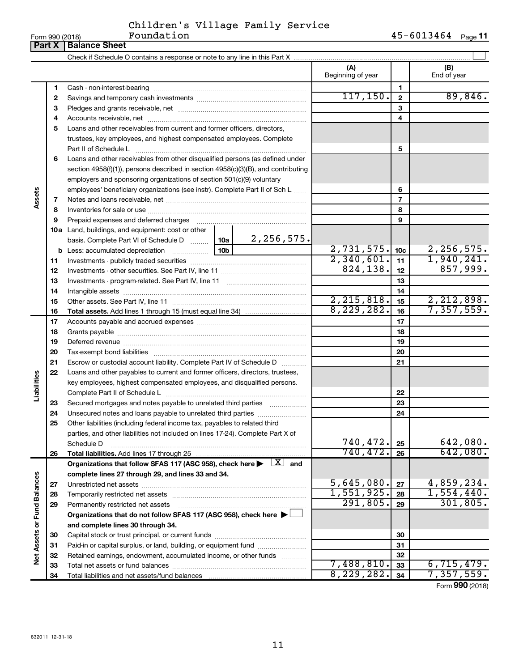**Part X Balance Sheet** 

 $\overline{\phantom{0}}$ 

| Children's Village Family Service |  |  |
|-----------------------------------|--|--|
|                                   |  |  |

|                             |          |                                                                                                                                                                                                                                |                 | (A)<br>Beginning of year |                 | (B)<br>End of year   |
|-----------------------------|----------|--------------------------------------------------------------------------------------------------------------------------------------------------------------------------------------------------------------------------------|-----------------|--------------------------|-----------------|----------------------|
|                             | 1        |                                                                                                                                                                                                                                |                 |                          | 1               |                      |
|                             | 2        |                                                                                                                                                                                                                                |                 | 117, 150.                | $\mathbf{2}$    | 89,846.              |
|                             | З        |                                                                                                                                                                                                                                |                 |                          | 3               |                      |
|                             | 4        |                                                                                                                                                                                                                                |                 | 4                        |                 |                      |
|                             | 5        | Loans and other receivables from current and former officers, directors,                                                                                                                                                       |                 |                          |                 |                      |
|                             |          | trustees, key employees, and highest compensated employees. Complete                                                                                                                                                           |                 |                          |                 |                      |
|                             |          |                                                                                                                                                                                                                                |                 |                          | 5               |                      |
|                             | 6        | Loans and other receivables from other disqualified persons (as defined under                                                                                                                                                  |                 |                          |                 |                      |
|                             |          | section 4958(f)(1)), persons described in section 4958(c)(3)(B), and contributing                                                                                                                                              |                 |                          |                 |                      |
|                             |          | employers and sponsoring organizations of section 501(c)(9) voluntary                                                                                                                                                          |                 |                          |                 |                      |
|                             |          | employees' beneficiary organizations (see instr). Complete Part II of Sch L                                                                                                                                                    |                 | 6                        |                 |                      |
| Assets                      | 7        |                                                                                                                                                                                                                                |                 |                          | $\overline{7}$  |                      |
|                             | 8        |                                                                                                                                                                                                                                |                 |                          | 8               |                      |
|                             | 9        | Prepaid expenses and deferred charges [11] [11] Prepaid expenses and deferred charges [11] [11] All and the summary series are presented as a series and the series and the series and series and series and series are series |                 |                          | 9               |                      |
|                             |          | <b>10a</b> Land, buildings, and equipment: cost or other                                                                                                                                                                       |                 |                          |                 |                      |
|                             |          | basis. Complete Part VI of Schedule D  10a                                                                                                                                                                                     | 2,256,575.      |                          |                 |                      |
|                             |          | <b>b</b> Less: accumulated depreciation                                                                                                                                                                                        | 10 <sub>b</sub> | 2,731,575.               | 10 <sub>c</sub> | 2, 256, 575.         |
|                             | 11       |                                                                                                                                                                                                                                |                 | 2,340,601.               | 11              | 1,940,241.           |
|                             | 12       |                                                                                                                                                                                                                                | 824, 138.       | 12                       | 857,999.        |                      |
|                             | 13       |                                                                                                                                                                                                                                |                 | 13                       |                 |                      |
|                             | 14       |                                                                                                                                                                                                                                |                 | 14                       |                 |                      |
|                             | 15       |                                                                                                                                                                                                                                |                 | 2, 215, 818.             | 15              | 2,212,898.           |
|                             | 16       |                                                                                                                                                                                                                                |                 | 8,229,282.               | 16              | 7,357,559.           |
|                             | 17       |                                                                                                                                                                                                                                |                 | 17                       |                 |                      |
|                             | 18       |                                                                                                                                                                                                                                |                 |                          | 18              |                      |
|                             | 19       |                                                                                                                                                                                                                                |                 |                          | 19              |                      |
|                             | 20       |                                                                                                                                                                                                                                |                 |                          | 20              |                      |
|                             | 21       | Escrow or custodial account liability. Complete Part IV of Schedule D                                                                                                                                                          |                 |                          | 21              |                      |
|                             | 22       | Loans and other payables to current and former officers, directors, trustees,                                                                                                                                                  |                 |                          |                 |                      |
| Liabilities                 |          | key employees, highest compensated employees, and disqualified persons.                                                                                                                                                        |                 |                          |                 |                      |
|                             |          |                                                                                                                                                                                                                                |                 |                          | 22              |                      |
|                             | 23       | Secured mortgages and notes payable to unrelated third parties                                                                                                                                                                 |                 |                          | 23              |                      |
|                             | 24       | Unsecured notes and loans payable to unrelated third parties                                                                                                                                                                   |                 |                          | 24              |                      |
|                             | 25       | Other liabilities (including federal income tax, payables to related third                                                                                                                                                     |                 |                          |                 |                      |
|                             |          | parties, and other liabilities not included on lines 17-24). Complete Part X of                                                                                                                                                |                 |                          |                 |                      |
|                             |          | Schedule D                                                                                                                                                                                                                     |                 | 740,472.<br>740, 472.    | 25              | 642,080.<br>642,080. |
|                             | 26       | Total liabilities. Add lines 17 through 25                                                                                                                                                                                     |                 |                          | 26              |                      |
|                             |          | Organizations that follow SFAS 117 (ASC 958), check here $\blacktriangleright \begin{array}{c} \boxed{X} \\ \end{array}$ and                                                                                                   |                 |                          |                 |                      |
|                             |          | complete lines 27 through 29, and lines 33 and 34.                                                                                                                                                                             |                 | 5,645,080.               |                 | 4,859,234.           |
|                             | 27       |                                                                                                                                                                                                                                |                 | 1,551,925.               | 27              | 1,554,440.           |
|                             | 28       | Temporarily restricted net assets                                                                                                                                                                                              |                 | 291,805.                 | 28              | 301, 805.            |
|                             | 29       | Permanently restricted net assets                                                                                                                                                                                              |                 |                          | 29              |                      |
|                             |          | Organizations that do not follow SFAS 117 (ASC 958), check here ▶<br>and complete lines 30 through 34.                                                                                                                         |                 |                          |                 |                      |
|                             |          |                                                                                                                                                                                                                                |                 |                          | 30              |                      |
|                             | 30       | Paid-in or capital surplus, or land, building, or equipment fund                                                                                                                                                               |                 |                          | 31              |                      |
| Net Assets or Fund Balances | 31       | Retained earnings, endowment, accumulated income, or other funds                                                                                                                                                               |                 |                          | 32              |                      |
|                             | 32<br>33 |                                                                                                                                                                                                                                |                 | 7,488,810.               | 33              | 6,715,479.           |
|                             | 34       |                                                                                                                                                                                                                                |                 | 8,229,282.               | 34              | 7,357,559.           |
|                             |          |                                                                                                                                                                                                                                |                 |                          |                 |                      |

Form (2018) **990**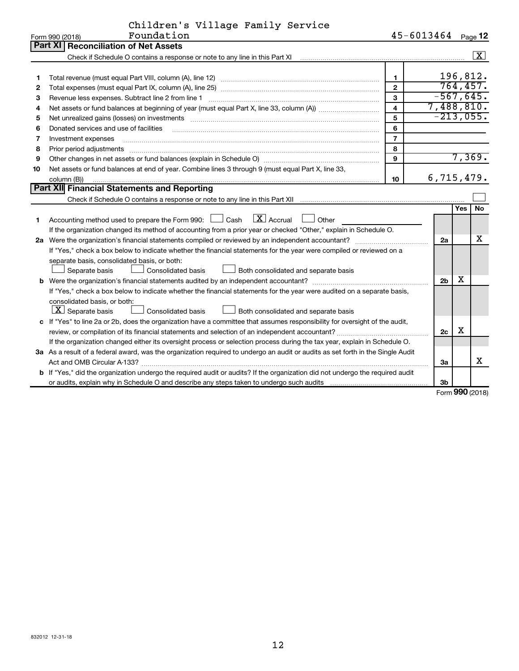| Children's Village Family Service |  |  |
|-----------------------------------|--|--|
|                                   |  |  |

|    | Foundation<br>Form 990 (2018)                                                                                                                                                                                                  |                         | 45-6013464     |     | Page 12            |
|----|--------------------------------------------------------------------------------------------------------------------------------------------------------------------------------------------------------------------------------|-------------------------|----------------|-----|--------------------|
|    | Part XII<br><b>Reconciliation of Net Assets</b>                                                                                                                                                                                |                         |                |     |                    |
|    |                                                                                                                                                                                                                                |                         |                |     | $\boxed{\text{X}}$ |
|    |                                                                                                                                                                                                                                |                         |                |     |                    |
| 1  |                                                                                                                                                                                                                                | 1                       |                |     | 196,812.           |
| 2  |                                                                                                                                                                                                                                | $\overline{2}$          |                |     | 764, 457.          |
| З  | Revenue less expenses. Subtract line 2 from line 1                                                                                                                                                                             | 3                       | $-567,645.$    |     |                    |
| 4  |                                                                                                                                                                                                                                | $\overline{\mathbf{4}}$ | 7,488,810.     |     |                    |
| 5  |                                                                                                                                                                                                                                | 5                       | $-213,055.$    |     |                    |
| 6  | Donated services and use of facilities                                                                                                                                                                                         | 6                       |                |     |                    |
| 7  | Investment expenses                                                                                                                                                                                                            | $\overline{7}$          |                |     |                    |
| 8  | Prior period adjustments material contents and content and content and content and content and content and content and content and content and content and content and content and content and content and content and content | 8                       |                |     |                    |
| 9  |                                                                                                                                                                                                                                | 9                       |                |     | 7,369.             |
| 10 | Net assets or fund balances at end of year. Combine lines 3 through 9 (must equal Part X, line 33,                                                                                                                             |                         |                |     |                    |
|    | column (B))                                                                                                                                                                                                                    | 10                      | 6,715,479.     |     |                    |
|    | Part XII Financial Statements and Reporting                                                                                                                                                                                    |                         |                |     |                    |
|    |                                                                                                                                                                                                                                |                         |                |     |                    |
|    |                                                                                                                                                                                                                                |                         |                | Yes | <b>No</b>          |
| 1  | Accounting method used to prepare the Form 990: $\Box$ Cash $\Box$ Accrual $\Box$ Other                                                                                                                                        |                         |                |     |                    |
|    | If the organization changed its method of accounting from a prior year or checked "Other," explain in Schedule O.                                                                                                              |                         |                |     |                    |
|    |                                                                                                                                                                                                                                |                         | 2a             |     | x                  |
|    | If "Yes," check a box below to indicate whether the financial statements for the year were compiled or reviewed on a                                                                                                           |                         |                |     |                    |
|    | separate basis, consolidated basis, or both:                                                                                                                                                                                   |                         |                |     |                    |
|    | Both consolidated and separate basis<br>Separate basis<br><b>Consolidated basis</b>                                                                                                                                            |                         |                |     |                    |
|    | <b>b</b> Were the organization's financial statements audited by an independent accountant?                                                                                                                                    |                         | 2 <sub>b</sub> | х   |                    |
|    | If "Yes," check a box below to indicate whether the financial statements for the year were audited on a separate basis,                                                                                                        |                         |                |     |                    |
|    | consolidated basis, or both:                                                                                                                                                                                                   |                         |                |     |                    |
|    | $ \mathbf{X} $ Separate basis<br><b>Consolidated basis</b><br>Both consolidated and separate basis                                                                                                                             |                         |                |     |                    |
|    | c If "Yes" to line 2a or 2b, does the organization have a committee that assumes responsibility for oversight of the audit,                                                                                                    |                         |                |     |                    |
|    | review, or compilation of its financial statements and selection of an independent accountant?                                                                                                                                 |                         | 2c             | х   |                    |
|    | If the organization changed either its oversight process or selection process during the tax year, explain in Schedule O.                                                                                                      |                         |                |     |                    |
|    | 3a As a result of a federal award, was the organization required to undergo an audit or audits as set forth in the Single Audit                                                                                                |                         |                |     |                    |
|    |                                                                                                                                                                                                                                |                         | За             |     | x                  |
|    | <b>b</b> If "Yes," did the organization undergo the required audit or audits? If the organization did not undergo the required audit                                                                                           |                         |                |     |                    |
|    |                                                                                                                                                                                                                                |                         | 3b             |     |                    |

Form (2018) **990**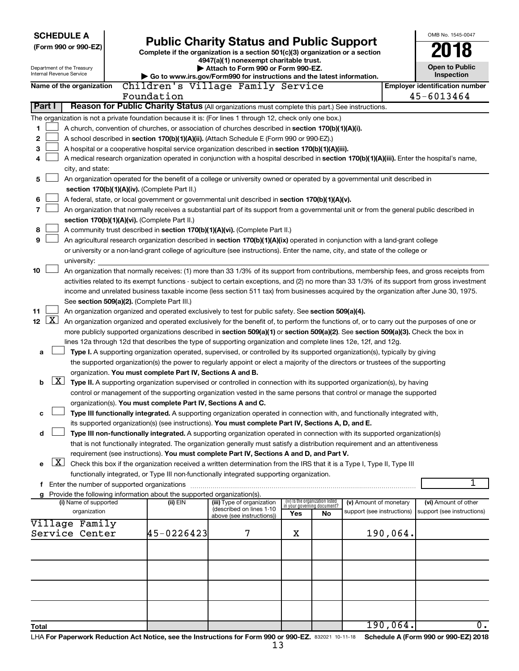| <b>SCHEDULE A</b><br>(Form 990 or 990-EZ)<br>Department of the Treasury<br>Internal Revenue Service |                          |  | <b>Public Charity Status and Public Support</b><br>Complete if the organization is a section 501(c)(3) organization or a section<br>4947(a)(1) nonexempt charitable trust.<br>Attach to Form 990 or Form 990-EZ. |                                                                                                                                                                                                                                                           |                                 |                             |                            | OMB No. 1545-0047<br>Open to Public<br>Inspection |                                       |
|-----------------------------------------------------------------------------------------------------|--------------------------|--|------------------------------------------------------------------------------------------------------------------------------------------------------------------------------------------------------------------|-----------------------------------------------------------------------------------------------------------------------------------------------------------------------------------------------------------------------------------------------------------|---------------------------------|-----------------------------|----------------------------|---------------------------------------------------|---------------------------------------|
|                                                                                                     | Name of the organization |  |                                                                                                                                                                                                                  | Go to www.irs.gov/Form990 for instructions and the latest information.<br>Children's Village Family Service                                                                                                                                               |                                 |                             |                            |                                                   | <b>Employer identification number</b> |
|                                                                                                     |                          |  | Foundation                                                                                                                                                                                                       |                                                                                                                                                                                                                                                           |                                 |                             |                            |                                                   | 45-6013464                            |
| Part I                                                                                              |                          |  |                                                                                                                                                                                                                  | Reason for Public Charity Status (All organizations must complete this part.) See instructions.                                                                                                                                                           |                                 |                             |                            |                                                   |                                       |
|                                                                                                     |                          |  |                                                                                                                                                                                                                  | The organization is not a private foundation because it is: (For lines 1 through 12, check only one box.)                                                                                                                                                 |                                 |                             |                            |                                                   |                                       |
| 1                                                                                                   |                          |  |                                                                                                                                                                                                                  | A church, convention of churches, or association of churches described in section 170(b)(1)(A)(i).                                                                                                                                                        |                                 |                             |                            |                                                   |                                       |
| 2                                                                                                   |                          |  |                                                                                                                                                                                                                  | A school described in section 170(b)(1)(A)(ii). (Attach Schedule E (Form 990 or 990-EZ).)                                                                                                                                                                 |                                 |                             |                            |                                                   |                                       |
| 3                                                                                                   |                          |  |                                                                                                                                                                                                                  | A hospital or a cooperative hospital service organization described in section 170(b)(1)(A)(iii).                                                                                                                                                         |                                 |                             |                            |                                                   |                                       |
| 4                                                                                                   |                          |  |                                                                                                                                                                                                                  | A medical research organization operated in conjunction with a hospital described in section 170(b)(1)(A)(iii). Enter the hospital's name,                                                                                                                |                                 |                             |                            |                                                   |                                       |
|                                                                                                     | city, and state:         |  |                                                                                                                                                                                                                  |                                                                                                                                                                                                                                                           |                                 |                             |                            |                                                   |                                       |
| 5                                                                                                   |                          |  |                                                                                                                                                                                                                  | An organization operated for the benefit of a college or university owned or operated by a governmental unit described in                                                                                                                                 |                                 |                             |                            |                                                   |                                       |
|                                                                                                     |                          |  | section 170(b)(1)(A)(iv). (Complete Part II.)                                                                                                                                                                    |                                                                                                                                                                                                                                                           |                                 |                             |                            |                                                   |                                       |
| 6                                                                                                   |                          |  |                                                                                                                                                                                                                  | A federal, state, or local government or governmental unit described in section 170(b)(1)(A)(v).                                                                                                                                                          |                                 |                             |                            |                                                   |                                       |
| 7                                                                                                   |                          |  |                                                                                                                                                                                                                  | An organization that normally receives a substantial part of its support from a governmental unit or from the general public described in                                                                                                                 |                                 |                             |                            |                                                   |                                       |
|                                                                                                     |                          |  | section 170(b)(1)(A)(vi). (Complete Part II.)                                                                                                                                                                    |                                                                                                                                                                                                                                                           |                                 |                             |                            |                                                   |                                       |
| 8                                                                                                   |                          |  |                                                                                                                                                                                                                  | A community trust described in section 170(b)(1)(A)(vi). (Complete Part II.)                                                                                                                                                                              |                                 |                             |                            |                                                   |                                       |
| 9                                                                                                   |                          |  |                                                                                                                                                                                                                  | An agricultural research organization described in section 170(b)(1)(A)(ix) operated in conjunction with a land-grant college                                                                                                                             |                                 |                             |                            |                                                   |                                       |
|                                                                                                     |                          |  |                                                                                                                                                                                                                  | or university or a non-land-grant college of agriculture (see instructions). Enter the name, city, and state of the college or                                                                                                                            |                                 |                             |                            |                                                   |                                       |
| 10                                                                                                  | university:              |  |                                                                                                                                                                                                                  | An organization that normally receives: (1) more than 33 1/3% of its support from contributions, membership fees, and gross receipts from                                                                                                                 |                                 |                             |                            |                                                   |                                       |
|                                                                                                     |                          |  |                                                                                                                                                                                                                  | activities related to its exempt functions - subject to certain exceptions, and (2) no more than 33 1/3% of its support from gross investment                                                                                                             |                                 |                             |                            |                                                   |                                       |
|                                                                                                     |                          |  |                                                                                                                                                                                                                  | income and unrelated business taxable income (less section 511 tax) from businesses acquired by the organization after June 30, 1975.                                                                                                                     |                                 |                             |                            |                                                   |                                       |
|                                                                                                     |                          |  | See section 509(a)(2). (Complete Part III.)                                                                                                                                                                      |                                                                                                                                                                                                                                                           |                                 |                             |                            |                                                   |                                       |
| 11                                                                                                  |                          |  |                                                                                                                                                                                                                  | An organization organized and operated exclusively to test for public safety. See section 509(a)(4).                                                                                                                                                      |                                 |                             |                            |                                                   |                                       |
| $\lfloor x \rfloor$<br>12 <sub>2</sub>                                                              |                          |  |                                                                                                                                                                                                                  | An organization organized and operated exclusively for the benefit of, to perform the functions of, or to carry out the purposes of one or                                                                                                                |                                 |                             |                            |                                                   |                                       |
|                                                                                                     |                          |  |                                                                                                                                                                                                                  | more publicly supported organizations described in section 509(a)(1) or section 509(a)(2). See section 509(a)(3). Check the box in                                                                                                                        |                                 |                             |                            |                                                   |                                       |
|                                                                                                     |                          |  |                                                                                                                                                                                                                  | lines 12a through 12d that describes the type of supporting organization and complete lines 12e, 12f, and 12g.                                                                                                                                            |                                 |                             |                            |                                                   |                                       |
| a                                                                                                   |                          |  |                                                                                                                                                                                                                  | Type I. A supporting organization operated, supervised, or controlled by its supported organization(s), typically by giving                                                                                                                               |                                 |                             |                            |                                                   |                                       |
|                                                                                                     |                          |  |                                                                                                                                                                                                                  | the supported organization(s) the power to regularly appoint or elect a majority of the directors or trustees of the supporting                                                                                                                           |                                 |                             |                            |                                                   |                                       |
|                                                                                                     |                          |  | organization. You must complete Part IV, Sections A and B.                                                                                                                                                       |                                                                                                                                                                                                                                                           |                                 |                             |                            |                                                   |                                       |
| $\lfloor x \rfloor$<br>b                                                                            |                          |  |                                                                                                                                                                                                                  | Type II. A supporting organization supervised or controlled in connection with its supported organization(s), by having                                                                                                                                   |                                 |                             |                            |                                                   |                                       |
|                                                                                                     |                          |  |                                                                                                                                                                                                                  | control or management of the supporting organization vested in the same persons that control or manage the supported                                                                                                                                      |                                 |                             |                            |                                                   |                                       |
|                                                                                                     |                          |  | organization(s). You must complete Part IV, Sections A and C.                                                                                                                                                    |                                                                                                                                                                                                                                                           |                                 |                             |                            |                                                   |                                       |
|                                                                                                     |                          |  |                                                                                                                                                                                                                  | Type III functionally integrated. A supporting organization operated in connection with, and functionally integrated with,                                                                                                                                |                                 |                             |                            |                                                   |                                       |
|                                                                                                     |                          |  |                                                                                                                                                                                                                  | its supported organization(s) (see instructions). You must complete Part IV, Sections A, D, and E.                                                                                                                                                        |                                 |                             |                            |                                                   |                                       |
| d                                                                                                   |                          |  |                                                                                                                                                                                                                  | Type III non-functionally integrated. A supporting organization operated in connection with its supported organization(s)<br>that is not functionally integrated. The organization generally must satisfy a distribution requirement and an attentiveness |                                 |                             |                            |                                                   |                                       |
|                                                                                                     |                          |  |                                                                                                                                                                                                                  | requirement (see instructions). You must complete Part IV, Sections A and D, and Part V.                                                                                                                                                                  |                                 |                             |                            |                                                   |                                       |
| $\boxed{\text{X}}$<br>е                                                                             |                          |  |                                                                                                                                                                                                                  | Check this box if the organization received a written determination from the IRS that it is a Type I, Type II, Type III                                                                                                                                   |                                 |                             |                            |                                                   |                                       |
|                                                                                                     |                          |  |                                                                                                                                                                                                                  | functionally integrated, or Type III non-functionally integrated supporting organization.                                                                                                                                                                 |                                 |                             |                            |                                                   |                                       |
|                                                                                                     |                          |  |                                                                                                                                                                                                                  |                                                                                                                                                                                                                                                           |                                 |                             |                            |                                                   | 1                                     |
|                                                                                                     |                          |  | g Provide the following information about the supported organization(s).                                                                                                                                         |                                                                                                                                                                                                                                                           |                                 |                             |                            |                                                   |                                       |
|                                                                                                     | (i) Name of supported    |  | (ii) EIN                                                                                                                                                                                                         | (iii) Type of organization<br>(described on lines 1-10                                                                                                                                                                                                    | (iv) Is the organization listed | in vour aovernina document? | (v) Amount of monetary     |                                                   | (vi) Amount of other                  |
|                                                                                                     | organization             |  |                                                                                                                                                                                                                  | above (see instructions))                                                                                                                                                                                                                                 | Yes                             | No                          | support (see instructions) |                                                   | support (see instructions)            |
|                                                                                                     | Village Family           |  |                                                                                                                                                                                                                  |                                                                                                                                                                                                                                                           |                                 |                             |                            |                                                   |                                       |
|                                                                                                     | Service Center           |  | 45-0226423                                                                                                                                                                                                       | 7                                                                                                                                                                                                                                                         | х                               |                             |                            | 190,064.                                          |                                       |
|                                                                                                     |                          |  |                                                                                                                                                                                                                  |                                                                                                                                                                                                                                                           |                                 |                             |                            |                                                   |                                       |
|                                                                                                     |                          |  |                                                                                                                                                                                                                  |                                                                                                                                                                                                                                                           |                                 |                             |                            |                                                   |                                       |
|                                                                                                     |                          |  |                                                                                                                                                                                                                  |                                                                                                                                                                                                                                                           |                                 |                             |                            |                                                   |                                       |
|                                                                                                     |                          |  |                                                                                                                                                                                                                  |                                                                                                                                                                                                                                                           |                                 |                             |                            |                                                   |                                       |
|                                                                                                     |                          |  |                                                                                                                                                                                                                  |                                                                                                                                                                                                                                                           |                                 |                             |                            |                                                   |                                       |
|                                                                                                     |                          |  |                                                                                                                                                                                                                  |                                                                                                                                                                                                                                                           |                                 |                             |                            |                                                   |                                       |
|                                                                                                     |                          |  |                                                                                                                                                                                                                  |                                                                                                                                                                                                                                                           |                                 |                             |                            |                                                   |                                       |
| Total                                                                                               |                          |  |                                                                                                                                                                                                                  |                                                                                                                                                                                                                                                           |                                 |                             |                            | 190,064.                                          | Ο.                                    |
|                                                                                                     |                          |  |                                                                                                                                                                                                                  |                                                                                                                                                                                                                                                           |                                 |                             |                            |                                                   |                                       |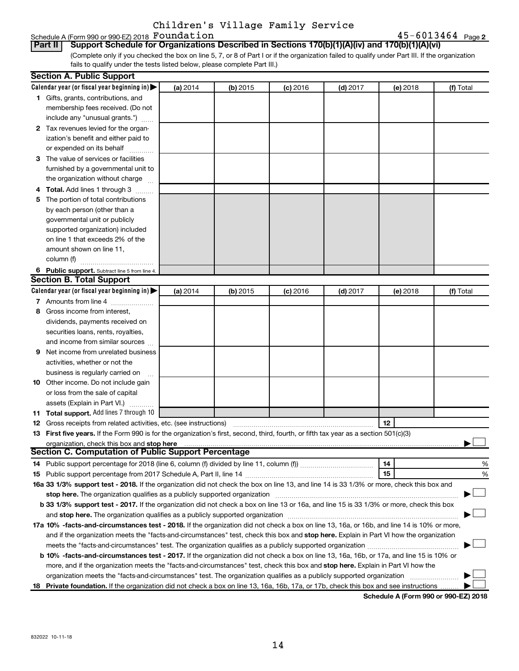# Schedule A (Form 990 or 990-EZ) 2018 Foundation<br>| Part II | Support Schedule for Organizations

(Complete only if you checked the box on line 5, 7, or 8 of Part I or if the organization failed to qualify under Part III. If the organization fails to qualify under the tests listed below, please complete Part III.) **Part Schedule for Organizations Described in Sections 170(b)(1)(A)(iv) and 170(b)(1)(A)(vi)** 

|   | <b>Section A. Public Support</b>                                                                                                           |          |            |            |            |          |           |
|---|--------------------------------------------------------------------------------------------------------------------------------------------|----------|------------|------------|------------|----------|-----------|
|   | Calendar year (or fiscal year beginning in)                                                                                                | (a) 2014 | $(b)$ 2015 | $(c)$ 2016 | $(d)$ 2017 | (e) 2018 | (f) Total |
|   | 1 Gifts, grants, contributions, and                                                                                                        |          |            |            |            |          |           |
|   | membership fees received. (Do not                                                                                                          |          |            |            |            |          |           |
|   | include any "unusual grants.")                                                                                                             |          |            |            |            |          |           |
|   | 2 Tax revenues levied for the organ-                                                                                                       |          |            |            |            |          |           |
|   | ization's benefit and either paid to                                                                                                       |          |            |            |            |          |           |
|   | or expended on its behalf                                                                                                                  |          |            |            |            |          |           |
|   | 3 The value of services or facilities                                                                                                      |          |            |            |            |          |           |
|   | furnished by a governmental unit to                                                                                                        |          |            |            |            |          |           |
|   | the organization without charge                                                                                                            |          |            |            |            |          |           |
|   | 4 Total. Add lines 1 through 3                                                                                                             |          |            |            |            |          |           |
|   | 5 The portion of total contributions                                                                                                       |          |            |            |            |          |           |
|   | by each person (other than a                                                                                                               |          |            |            |            |          |           |
|   | governmental unit or publicly                                                                                                              |          |            |            |            |          |           |
|   | supported organization) included                                                                                                           |          |            |            |            |          |           |
|   | on line 1 that exceeds 2% of the                                                                                                           |          |            |            |            |          |           |
|   | amount shown on line 11,                                                                                                                   |          |            |            |            |          |           |
|   | column (f)                                                                                                                                 |          |            |            |            |          |           |
|   | 6 Public support. Subtract line 5 from line 4.                                                                                             |          |            |            |            |          |           |
|   | <b>Section B. Total Support</b>                                                                                                            |          |            |            |            |          |           |
|   | Calendar year (or fiscal year beginning in)                                                                                                | (a) 2014 | $(b)$ 2015 | $(c)$ 2016 | $(d)$ 2017 | (e) 2018 | (f) Total |
|   | 7 Amounts from line 4                                                                                                                      |          |            |            |            |          |           |
| 8 | Gross income from interest,                                                                                                                |          |            |            |            |          |           |
|   | dividends, payments received on                                                                                                            |          |            |            |            |          |           |
|   | securities loans, rents, royalties,                                                                                                        |          |            |            |            |          |           |
|   | and income from similar sources                                                                                                            |          |            |            |            |          |           |
| 9 | Net income from unrelated business                                                                                                         |          |            |            |            |          |           |
|   | activities, whether or not the                                                                                                             |          |            |            |            |          |           |
|   | business is regularly carried on                                                                                                           |          |            |            |            |          |           |
|   | 10 Other income. Do not include gain                                                                                                       |          |            |            |            |          |           |
|   | or loss from the sale of capital                                                                                                           |          |            |            |            |          |           |
|   | assets (Explain in Part VI.)                                                                                                               |          |            |            |            |          |           |
|   | 11 Total support. Add lines 7 through 10                                                                                                   |          |            |            |            |          |           |
|   | <b>12</b> Gross receipts from related activities, etc. (see instructions)                                                                  |          |            |            |            | 12       |           |
|   | 13 First five years. If the Form 990 is for the organization's first, second, third, fourth, or fifth tax year as a section 501(c)(3)      |          |            |            |            |          |           |
|   | organization, check this box and stop here                                                                                                 |          |            |            |            |          |           |
|   | <b>Section C. Computation of Public Support Percentage</b>                                                                                 |          |            |            |            |          |           |
|   |                                                                                                                                            |          |            |            |            | 14       | %         |
|   |                                                                                                                                            |          |            |            |            | 15       | %         |
|   | 16a 33 1/3% support test - 2018. If the organization did not check the box on line 13, and line 14 is 33 1/3% or more, check this box and  |          |            |            |            |          |           |
|   | stop here. The organization qualifies as a publicly supported organization manufaction manufacture or the organization                     |          |            |            |            |          |           |
|   | b 33 1/3% support test - 2017. If the organization did not check a box on line 13 or 16a, and line 15 is 33 1/3% or more, check this box   |          |            |            |            |          |           |
|   |                                                                                                                                            |          |            |            |            |          |           |
|   | 17a 10% -facts-and-circumstances test - 2018. If the organization did not check a box on line 13, 16a, or 16b, and line 14 is 10% or more, |          |            |            |            |          |           |
|   | and if the organization meets the "facts-and-circumstances" test, check this box and stop here. Explain in Part VI how the organization    |          |            |            |            |          |           |
|   | meets the "facts-and-circumstances" test. The organization qualifies as a publicly supported organization <i>manumumumum</i>               |          |            |            |            |          |           |
|   | b 10% -facts-and-circumstances test - 2017. If the organization did not check a box on line 13, 16a, 16b, or 17a, and line 15 is 10% or    |          |            |            |            |          |           |
|   | more, and if the organization meets the "facts-and-circumstances" test, check this box and stop here. Explain in Part VI how the           |          |            |            |            |          |           |
|   | organization meets the "facts-and-circumstances" test. The organization qualifies as a publicly supported organization                     |          |            |            |            |          |           |
|   | 18 Private foundation. If the organization did not check a box on line 13, 16a, 16b, 17a, or 17b, check this box and see instructions      |          |            |            |            |          |           |

**Schedule A (Form 990 or 990-EZ) 2018**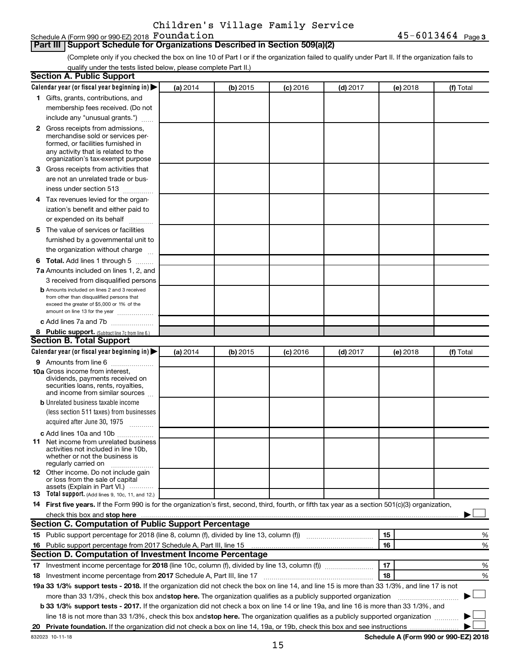Schedule A (Form 990 or 990-EZ) 2018 Foundation

### **Part III Support Schedule for Organizations Described in Section 509(a)(2)**

(Complete only if you checked the box on line 10 of Part I or if the organization failed to qualify under Part II. If the organization fails to qualify under the tests listed below, please complete Part II.)

| <b>Section A. Public Support</b>                                                                                                                                                                                               |          |            |            |            |          |           |
|--------------------------------------------------------------------------------------------------------------------------------------------------------------------------------------------------------------------------------|----------|------------|------------|------------|----------|-----------|
| Calendar year (or fiscal year beginning in)                                                                                                                                                                                    | (a) 2014 | (b) 2015   | $(c)$ 2016 | $(d)$ 2017 | (e) 2018 | (f) Total |
| 1 Gifts, grants, contributions, and                                                                                                                                                                                            |          |            |            |            |          |           |
| membership fees received. (Do not                                                                                                                                                                                              |          |            |            |            |          |           |
| include any "unusual grants.")                                                                                                                                                                                                 |          |            |            |            |          |           |
| <b>2</b> Gross receipts from admissions,                                                                                                                                                                                       |          |            |            |            |          |           |
| merchandise sold or services per-                                                                                                                                                                                              |          |            |            |            |          |           |
| formed, or facilities furnished in                                                                                                                                                                                             |          |            |            |            |          |           |
| any activity that is related to the<br>organization's tax-exempt purpose                                                                                                                                                       |          |            |            |            |          |           |
| 3 Gross receipts from activities that                                                                                                                                                                                          |          |            |            |            |          |           |
| are not an unrelated trade or bus-                                                                                                                                                                                             |          |            |            |            |          |           |
|                                                                                                                                                                                                                                |          |            |            |            |          |           |
| iness under section 513                                                                                                                                                                                                        |          |            |            |            |          |           |
| 4 Tax revenues levied for the organ-                                                                                                                                                                                           |          |            |            |            |          |           |
| ization's benefit and either paid to                                                                                                                                                                                           |          |            |            |            |          |           |
| or expended on its behalf                                                                                                                                                                                                      |          |            |            |            |          |           |
| 5 The value of services or facilities                                                                                                                                                                                          |          |            |            |            |          |           |
| furnished by a governmental unit to                                                                                                                                                                                            |          |            |            |            |          |           |
| the organization without charge                                                                                                                                                                                                |          |            |            |            |          |           |
| 6 Total. Add lines 1 through 5                                                                                                                                                                                                 |          |            |            |            |          |           |
| 7a Amounts included on lines 1, 2, and                                                                                                                                                                                         |          |            |            |            |          |           |
| 3 received from disqualified persons                                                                                                                                                                                           |          |            |            |            |          |           |
| <b>b</b> Amounts included on lines 2 and 3 received                                                                                                                                                                            |          |            |            |            |          |           |
| from other than disqualified persons that<br>exceed the greater of \$5,000 or 1% of the                                                                                                                                        |          |            |            |            |          |           |
| amount on line 13 for the year                                                                                                                                                                                                 |          |            |            |            |          |           |
| c Add lines 7a and 7b                                                                                                                                                                                                          |          |            |            |            |          |           |
| 8 Public support. (Subtract line 7c from line 6.)                                                                                                                                                                              |          |            |            |            |          |           |
| <b>Section B. Total Support</b>                                                                                                                                                                                                |          |            |            |            |          |           |
| Calendar year (or fiscal year beginning in)                                                                                                                                                                                    | (a) 2014 | $(b)$ 2015 | $(c)$ 2016 | $(d)$ 2017 | (e) 2018 | (f) Total |
| 9 Amounts from line 6                                                                                                                                                                                                          |          |            |            |            |          |           |
| <b>10a</b> Gross income from interest,                                                                                                                                                                                         |          |            |            |            |          |           |
| dividends, payments received on                                                                                                                                                                                                |          |            |            |            |          |           |
| securities loans, rents, royalties,<br>and income from similar sources                                                                                                                                                         |          |            |            |            |          |           |
| <b>b</b> Unrelated business taxable income                                                                                                                                                                                     |          |            |            |            |          |           |
| (less section 511 taxes) from businesses                                                                                                                                                                                       |          |            |            |            |          |           |
| acquired after June 30, 1975                                                                                                                                                                                                   |          |            |            |            |          |           |
| c Add lines 10a and 10b                                                                                                                                                                                                        |          |            |            |            |          |           |
| <b>11</b> Net income from unrelated business                                                                                                                                                                                   |          |            |            |            |          |           |
| activities not included in line 10b.                                                                                                                                                                                           |          |            |            |            |          |           |
| whether or not the business is                                                                                                                                                                                                 |          |            |            |            |          |           |
| regularly carried on<br>12 Other income. Do not include gain                                                                                                                                                                   |          |            |            |            |          |           |
| or loss from the sale of capital                                                                                                                                                                                               |          |            |            |            |          |           |
| assets (Explain in Part VI.)                                                                                                                                                                                                   |          |            |            |            |          |           |
| <b>13</b> Total support. (Add lines 9, 10c, 11, and 12.)                                                                                                                                                                       |          |            |            |            |          |           |
| 14 First five years. If the Form 990 is for the organization's first, second, third, fourth, or fifth tax year as a section 501(c)(3) organization,                                                                            |          |            |            |            |          |           |
| check this box and stop here manufactured and stop here and stop here are manufactured and stop here and stop here and stop here and stop here and stop here and stop here and stop here are all the stop of the stop of the s |          |            |            |            |          |           |
| Section C. Computation of Public Support Percentage                                                                                                                                                                            |          |            |            |            |          |           |
| 15 Public support percentage for 2018 (line 8, column (f), divided by line 13, column (f) <i></i>                                                                                                                              |          |            |            |            | 15       | ℅         |
| 16 Public support percentage from 2017 Schedule A, Part III, line 15                                                                                                                                                           |          |            |            |            | 16       | %         |
| Section D. Computation of Investment Income Percentage                                                                                                                                                                         |          |            |            |            |          |           |
|                                                                                                                                                                                                                                |          |            |            |            | 17       | %         |
| 18 Investment income percentage from 2017 Schedule A, Part III, line 17                                                                                                                                                        |          |            |            |            | 18       | %         |
| 19a 33 1/3% support tests - 2018. If the organization did not check the box on line 14, and line 15 is more than 33 1/3%, and line 17 is not                                                                                   |          |            |            |            |          |           |
| more than 33 1/3%, check this box and stop here. The organization qualifies as a publicly supported organization                                                                                                               |          |            |            |            |          |           |
| b 33 1/3% support tests - 2017. If the organization did not check a box on line 14 or line 19a, and line 16 is more than 33 1/3%, and                                                                                          |          |            |            |            |          |           |
| line 18 is not more than 33 1/3%, check this box and stop here. The organization qualifies as a publicly supported organization                                                                                                |          |            |            |            |          |           |
|                                                                                                                                                                                                                                |          |            |            |            |          |           |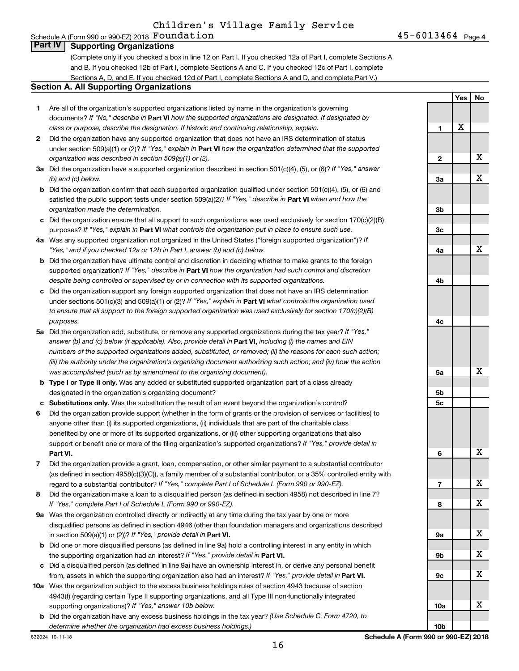#### Schedule A (Form 990 or 990-EZ) 2018  ${\bf Foundation} \hspace{2cm} 45-6013464$   $_{\rm Page}$ **Part IV Supporting Organizations**

(Complete only if you checked a box in line 12 on Part I. If you checked 12a of Part I, complete Sections A and B. If you checked 12b of Part I, complete Sections A and C. If you checked 12c of Part I, complete Sections A, D, and E. If you checked 12d of Part I, complete Sections A and D, and complete Part V.)

#### **Section A. All Supporting Organizations**

- **1** Are all of the organization's supported organizations listed by name in the organization's governing documents? If "No," describe in Part VI how the supported organizations are designated. If designated by *class or purpose, describe the designation. If historic and continuing relationship, explain.*
- **2** Did the organization have any supported organization that does not have an IRS determination of status under section 509(a)(1) or (2)? If "Yes," explain in Part **VI** how the organization determined that the supported *organization was described in section 509(a)(1) or (2).*
- **3a** Did the organization have a supported organization described in section 501(c)(4), (5), or (6)? If "Yes," answer *(b) and (c) below.*
- **b** Did the organization confirm that each supported organization qualified under section 501(c)(4), (5), or (6) and satisfied the public support tests under section 509(a)(2)? If "Yes," describe in Part VI when and how the *organization made the determination.*
- **c** Did the organization ensure that all support to such organizations was used exclusively for section 170(c)(2)(B) purposes? If "Yes," explain in Part VI what controls the organization put in place to ensure such use.
- **4 a** *If* Was any supported organization not organized in the United States ("foreign supported organization")? *"Yes," and if you checked 12a or 12b in Part I, answer (b) and (c) below.*
- **b** Did the organization have ultimate control and discretion in deciding whether to make grants to the foreign supported organization? If "Yes," describe in Part VI how the organization had such control and discretion *despite being controlled or supervised by or in connection with its supported organizations.*
- **c** Did the organization support any foreign supported organization that does not have an IRS determination under sections 501(c)(3) and 509(a)(1) or (2)? If "Yes," explain in Part VI what controls the organization used *to ensure that all support to the foreign supported organization was used exclusively for section 170(c)(2)(B) purposes.*
- **5a** Did the organization add, substitute, or remove any supported organizations during the tax year? If "Yes," answer (b) and (c) below (if applicable). Also, provide detail in **Part VI,** including (i) the names and EIN *numbers of the supported organizations added, substituted, or removed; (ii) the reasons for each such action; (iii) the authority under the organization's organizing document authorizing such action; and (iv) how the action was accomplished (such as by amendment to the organizing document).*
- **b** Type I or Type II only. Was any added or substituted supported organization part of a class already designated in the organization's organizing document?
- **c Substitutions only.**  Was the substitution the result of an event beyond the organization's control?
- **6** Did the organization provide support (whether in the form of grants or the provision of services or facilities) to **Part VI.** support or benefit one or more of the filing organization's supported organizations? If "Yes," provide detail in anyone other than (i) its supported organizations, (ii) individuals that are part of the charitable class benefited by one or more of its supported organizations, or (iii) other supporting organizations that also
- **7** Did the organization provide a grant, loan, compensation, or other similar payment to a substantial contributor regard to a substantial contributor? If "Yes," complete Part I of Schedule L (Form 990 or 990-EZ). (as defined in section 4958(c)(3)(C)), a family member of a substantial contributor, or a 35% controlled entity with
- **8** Did the organization make a loan to a disqualified person (as defined in section 4958) not described in line 7? *If "Yes," complete Part I of Schedule L (Form 990 or 990-EZ).*
- **9 a** Was the organization controlled directly or indirectly at any time during the tax year by one or more in section 509(a)(1) or (2))? If "Yes," provide detail in **Part VI.** disqualified persons as defined in section 4946 (other than foundation managers and organizations described
- **b** Did one or more disqualified persons (as defined in line 9a) hold a controlling interest in any entity in which the supporting organization had an interest? If "Yes," provide detail in Part VI.
- **c** Did a disqualified person (as defined in line 9a) have an ownership interest in, or derive any personal benefit from, assets in which the supporting organization also had an interest? If "Yes," provide detail in Part VI.
- **10 a** Was the organization subject to the excess business holdings rules of section 4943 because of section supporting organizations)? If "Yes," answer 10b below. 4943(f) (regarding certain Type II supporting organizations, and all Type III non-functionally integrated
- **b** Did the organization have any excess business holdings in the tax year? (Use Schedule C, Form 4720, to *determine whether the organization had excess business holdings.)*

**Yes No 1 2 3a 3b 3c 4a 4b 4c 5a 5b 5c 6 7 8 9a 9b 9c 10a 10b** X X X X X X X X X X X X

45-6013464 Page 4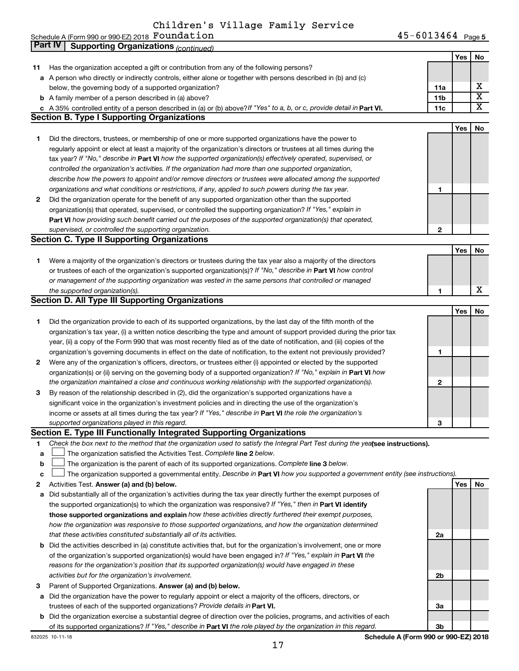Schedule A (Form 990 or 990-EZ) 2018  ${\bf Foundation} \hspace{2cm} 45-6013464$   $_{\rm Page}$ 

45-6013464 <sub>Page 5</sub> **Yes No 11** Has the organization accepted a gift or contribution from any of the following persons? **a** A person who directly or indirectly controls, either alone or together with persons described in (b) and (c) **b** A family member of a person described in (a) above? **c** A 35% controlled entity of a person described in (a) or (b) above?If "Yes" to a, b, or c, provide detail in **Part VI.** 11c **11a 11b Yes No 1** Did the directors, trustees, or membership of one or more supported organizations have the power to **2** Did the organization operate for the benefit of any supported organization other than the supported tax year? If "No," describe in **Part VI** how the supported organization(s) effectively operated, supervised, or **1 2 Part VI**  *how providing such benefit carried out the purposes of the supported organization(s) that operated,* **Yes No 1** Were a majority of the organization's directors or trustees during the tax year also a majority of the directors or trustees of each of the organization's supported organization(s)? If "No," describe in Part VI how control **1 Yes No 1** Did the organization provide to each of its supported organizations, by the last day of the fifth month of the **2** Were any of the organization's officers, directors, or trustees either (i) appointed or elected by the supported **3** By reason of the relationship described in (2), did the organization's supported organizations have a **1 2 3** organization(s) or (ii) serving on the governing body of a supported organization? If "No," explain in Part VI how income or assets at all times during the tax year? If "Yes," describe in Part VI the role the organization's **2 Answer (a) and (b) below. Yes No** Activities Test. **3** Parent of Supported Organizations. Answer (a) and (b) below. Check the box next to the method that the organization used to satisfy the Integral Part Test during the yealsee instructions). **The organization satisfied the Activities Test. Complete line 2 below.** The organization is the parent of each of its supported organizations. Complete line 3 below. The organization supported a governmental entity. Describe in Part VI how you supported a government entity (see instructions). **a** Did substantially all of the organization's activities during the tax year directly further the exempt purposes of **b** Did the activities described in (a) constitute activities that, but for the organization's involvement, one or more **a** Did the organization have the power to regularly appoint or elect a majority of the officers, directors, or the supported organization(s) to which the organization was responsive? If "Yes," then in Part VI identify **those supported organizations and explain**  *how these activities directly furthered their exempt purposes,* **2a 2b** of the organization's supported organization(s) would have been engaged in? If "Yes," explain in Part VI the *controlled the organization's activities. If the organization had more than one supported organization, describe how the powers to appoint and/or remove directors or trustees were allocated among the supported organizations and what conditions or restrictions, if any, applied to such powers during the tax year.* organization(s) that operated, supervised, or controlled the supporting organization? If "Yes," explain in *supervised, or controlled the supporting organization. or management of the supporting organization was vested in the same persons that controlled or managed the supported organization(s). the organization maintained a close and continuous working relationship with the supported organization(s). supported organizations played in this regard. how the organization was responsive to those supported organizations, and how the organization determined that these activities constituted substantially all of its activities. reasons for the organization's position that its supported organization(s) would have engaged in these activities but for the organization's involvement.* below, the governing body of a supported organization? regularly appoint or elect at least a majority of the organization's directors or trustees at all times during the organization's tax year, (i) a written notice describing the type and amount of support provided during the prior tax year, (ii) a copy of the Form 990 that was most recently filed as of the date of notification, and (iii) copies of the organization's governing documents in effect on the date of notification, to the extent not previously provided? significant voice in the organization's investment policies and in directing the use of the organization's **Part IV Supporting Organizations** *(continued)* **Section B. Type I Supporting Organizations Section C. Type II Supporting Organizations Section D. All Type III Supporting Organizations Section E. Type III Functionally Integrated Supporting Organizations**  $\Box$  $\Box$ X  $\overline{\texttt{x}}$ X X

**b** Did the organization exercise a substantial degree of direction over the policies, programs, and activities of each of its supported organizations? If "Yes," describe in Part VI the role played by the organization in this regard.

**1**

**a b c**

**Schedule A (Form 990 or 990-EZ) 2018**

**3a**

**3b**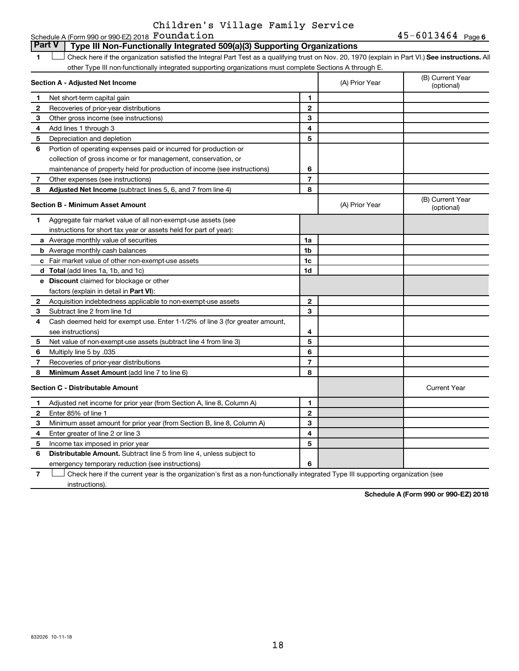#### **1 Letter or if the organization satisfied the Integral Part Test as a qualifying trust on Nov. 20, 1970 (explain in Part VI.) See instructions. All Section A - Adjusted Net Income 1 2 3 4 5 6 7 8 1 2 3 4 5 6 7 Adjusted Net Income** (subtract lines 5, 6, and 7 from line 4) **8 8 Section B - Minimum Asset Amount 1 2 3 4 5 6 7 8 a** Average monthly value of securities **b** Average monthly cash balances **c** Fair market value of other non-exempt-use assets **d Total**  (add lines 1a, 1b, and 1c) **e Discount** claimed for blockage or other **1a 1b 1c 1d 2 3 4 5 6 7 8** factors (explain in detail in Part VI): **Minimum Asset Amount**  (add line 7 to line 6) **Section C - Distributable Amount 1 2 3 4 5 1 2 3 4 5** other Type III non-functionally integrated supporting organizations must complete Sections A through E. (B) Current Year<br>(optional) (A) Prior Year Net short-term capital gain Recoveries of prior-year distributions Other gross income (see instructions) Add lines 1 through 3 Depreciation and depletion Portion of operating expenses paid or incurred for production or collection of gross income or for management, conservation, or maintenance of property held for production of income (see instructions) Other expenses (see instructions) (B) Current Year  $(A)$  Prior Year  $\left\{\n\begin{array}{ccc}\n\end{array}\n\right\}$  (optional) Aggregate fair market value of all non-exempt-use assets (see instructions for short tax year or assets held for part of year): Acquisition indebtedness applicable to non-exempt-use assets Subtract line 2 from line 1d Cash deemed held for exempt use. Enter 1-1/2% of line 3 (for greater amount, see instructions) Net value of non-exempt-use assets (subtract line 4 from line 3) Multiply line 5 by .035 Recoveries of prior-year distributions Current Year Adjusted net income for prior year (from Section A, line 8, Column A) Enter 85% of line 1 Minimum asset amount for prior year (from Section B, line 8, Column A) Enter greater of line 2 or line 3 Income tax imposed in prior year **Part V Type III Non-Functionally Integrated 509(a)(3) Supporting Organizations**   $\Box$

**6 6** Distributable Amount. Subtract line 5 from line 4, unless subject to emergency temporary reduction (see instructions)

**7** Check here if the current year is the organization's first as a non-functionally integrated Type III supporting organization (see † instructions).

**Schedule A (Form 990 or 990-EZ) 2018**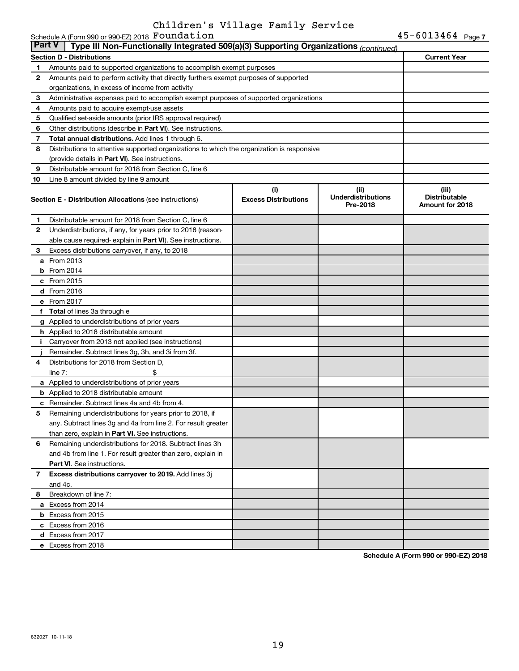| <b>Part V</b> | Type III Non-Functionally Integrated 509(a)(3) Supporting Organizations (continued)                               |                                    |                                               |                                                  |
|---------------|-------------------------------------------------------------------------------------------------------------------|------------------------------------|-----------------------------------------------|--------------------------------------------------|
|               | Section D - Distributions                                                                                         |                                    |                                               | <b>Current Year</b>                              |
| 1             | Amounts paid to supported organizations to accomplish exempt purposes                                             |                                    |                                               |                                                  |
| $\mathbf{2}$  | Amounts paid to perform activity that directly furthers exempt purposes of supported                              |                                    |                                               |                                                  |
|               | organizations, in excess of income from activity                                                                  |                                    |                                               |                                                  |
| 3             | Administrative expenses paid to accomplish exempt purposes of supported organizations                             |                                    |                                               |                                                  |
| 4             | Amounts paid to acquire exempt-use assets                                                                         |                                    |                                               |                                                  |
| 5             | Qualified set-aside amounts (prior IRS approval required)                                                         |                                    |                                               |                                                  |
| 6             | Other distributions (describe in Part VI). See instructions.                                                      |                                    |                                               |                                                  |
| 7             | Total annual distributions. Add lines 1 through 6.                                                                |                                    |                                               |                                                  |
| 8             | Distributions to attentive supported organizations to which the organization is responsive                        |                                    |                                               |                                                  |
|               | (provide details in Part VI). See instructions.                                                                   |                                    |                                               |                                                  |
| 9             | Distributable amount for 2018 from Section C, line 6                                                              |                                    |                                               |                                                  |
| 10            | Line 8 amount divided by line 9 amount                                                                            |                                    |                                               |                                                  |
|               | <b>Section E - Distribution Allocations (see instructions)</b>                                                    | (i)<br><b>Excess Distributions</b> | (ii)<br><b>Underdistributions</b><br>Pre-2018 | (iii)<br><b>Distributable</b><br>Amount for 2018 |
| 1.            | Distributable amount for 2018 from Section C, line 6                                                              |                                    |                                               |                                                  |
| $\mathbf{2}$  | Underdistributions, if any, for years prior to 2018 (reason-                                                      |                                    |                                               |                                                  |
|               | able cause required-explain in Part VI). See instructions.                                                        |                                    |                                               |                                                  |
| 3             | Excess distributions carryover, if any, to 2018                                                                   |                                    |                                               |                                                  |
| а             | From 2013                                                                                                         |                                    |                                               |                                                  |
|               | $b$ From 2014                                                                                                     |                                    |                                               |                                                  |
|               | $c$ From 2015                                                                                                     |                                    |                                               |                                                  |
|               | d From 2016                                                                                                       |                                    |                                               |                                                  |
|               | e From 2017                                                                                                       |                                    |                                               |                                                  |
|               | <b>f</b> Total of lines 3a through e                                                                              |                                    |                                               |                                                  |
|               | g Applied to underdistributions of prior years                                                                    |                                    |                                               |                                                  |
|               | <b>h</b> Applied to 2018 distributable amount                                                                     |                                    |                                               |                                                  |
| Ť.            | Carryover from 2013 not applied (see instructions)                                                                |                                    |                                               |                                                  |
|               | Remainder. Subtract lines 3g, 3h, and 3i from 3f.                                                                 |                                    |                                               |                                                  |
| 4             | Distributions for 2018 from Section D,                                                                            |                                    |                                               |                                                  |
|               | line $7:$                                                                                                         |                                    |                                               |                                                  |
|               | a Applied to underdistributions of prior years                                                                    |                                    |                                               |                                                  |
|               | <b>b</b> Applied to 2018 distributable amount                                                                     |                                    |                                               |                                                  |
| c             | Remainder. Subtract lines 4a and 4b from 4.                                                                       |                                    |                                               |                                                  |
| 5             | Remaining underdistributions for years prior to 2018, if                                                          |                                    |                                               |                                                  |
|               | any. Subtract lines 3g and 4a from line 2. For result greater<br>than zero, explain in Part VI. See instructions. |                                    |                                               |                                                  |
| 6             | Remaining underdistributions for 2018. Subtract lines 3h                                                          |                                    |                                               |                                                  |
|               | and 4b from line 1. For result greater than zero, explain in                                                      |                                    |                                               |                                                  |
|               | <b>Part VI.</b> See instructions.                                                                                 |                                    |                                               |                                                  |
| 7             | Excess distributions carryover to 2019. Add lines 3j                                                              |                                    |                                               |                                                  |
|               | and 4c.                                                                                                           |                                    |                                               |                                                  |
| 8             | Breakdown of line 7:                                                                                              |                                    |                                               |                                                  |
|               | a Excess from 2014                                                                                                |                                    |                                               |                                                  |
|               | <b>b</b> Excess from 2015                                                                                         |                                    |                                               |                                                  |
|               | c Excess from 2016                                                                                                |                                    |                                               |                                                  |
|               | d Excess from 2017                                                                                                |                                    |                                               |                                                  |
|               | e Excess from 2018                                                                                                |                                    |                                               |                                                  |

**Schedule A (Form 990 or 990-EZ) 2018**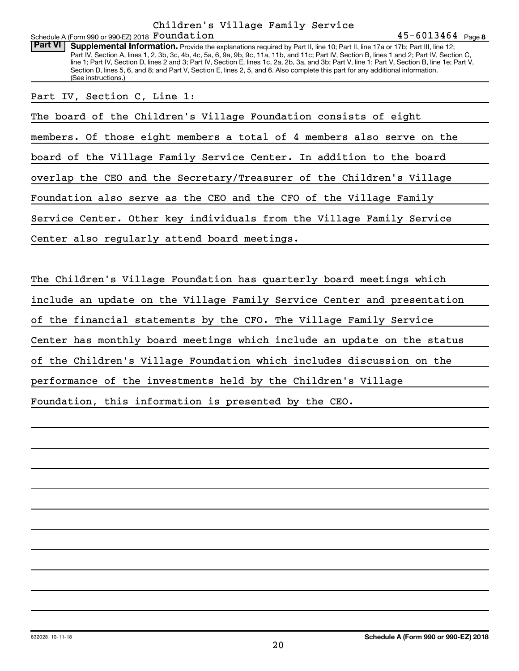Schedule A (Form 990 or 990-EZ) 2018  ${\bf Foundation} \hspace{2cm} 45-6013464$   $_{\rm Page}$ Children's Village Family Service

Part VI | Supplemental Information. Provide the explanations required by Part II, line 10; Part II, line 17a or 17b; Part III, line 12; Part IV, Section A, lines 1, 2, 3b, 3c, 4b, 4c, 5a, 6, 9a, 9b, 9c, 11a, 11b, and 11c; Part IV, Section B, lines 1 and 2; Part IV, Section C, line 1; Part IV, Section D, lines 2 and 3; Part IV, Section E, lines 1c, 2a, 2b, 3a, and 3b; Part V, line 1; Part V, Section B, line 1e; Part V, Section D, lines 5, 6, and 8; and Part V, Section E, lines 2, 5, and 6. Also complete this part for any additional information. (See instructions.)

Part IV, Section C, Line 1:

The board of the Children's Village Foundation consists of eight

members. Of those eight members a total of 4 members also serve on the

board of the Village Family Service Center. In addition to the board

overlap the CEO and the Secretary/Treasurer of the Children's Village

Foundation also serve as the CEO and the CFO of the Village Family

Service Center. Other key individuals from the Village Family Service

Center also regularly attend board meetings.

The Children's Village Foundation has quarterly board meetings which

include an update on the Village Family Service Center and presentation

of the financial statements by the CFO. The Village Family Service

Center has monthly board meetings which include an update on the status

of the Children's Village Foundation which includes discussion on the

performance of the investments held by the Children's Village

Foundation, this information is presented by the CEO.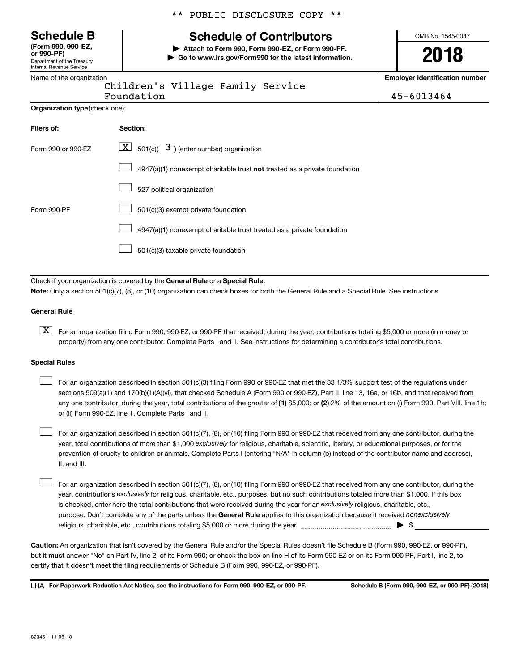Department of the Treasury Internal Revenue Service **(Form 990, 990-EZ,**

|  | Name of the organization |  |
|--|--------------------------|--|

**Organiza** 

**Filers of:** 

|  |  | ** PUBLIC DISCLOSURE COPY ** |  |  |
|--|--|------------------------------|--|--|
|--|--|------------------------------|--|--|

## **Schedule B Schedule of Contributors**

**or 990-PF) | Attach to Form 990, Form 990-EZ, or Form 990-PF. | Go to www.irs.gov/Form990 for the latest information.** OMB No. 1545-0047

**2018**

**Employer identification number**

| . . <b>. .</b>                | Children's Village Family Service | -------------- |
|-------------------------------|-----------------------------------|----------------|
|                               | Foundation                        | 45-6013464     |
| <b>tion type</b> (check one): |                                   |                |
|                               | Section:                          |                |

| Form 990 or 990-EZ | $\lfloor x \rfloor$ 501(c)( 3) (enter number) organization                  |
|--------------------|-----------------------------------------------------------------------------|
|                    | $4947(a)(1)$ nonexempt charitable trust not treated as a private foundation |
|                    | 527 political organization                                                  |
| Form 990-PF        | 501(c)(3) exempt private foundation                                         |
|                    | 4947(a)(1) nonexempt charitable trust treated as a private foundation       |
|                    | 501(c)(3) taxable private foundation                                        |

Check if your organization is covered by the General Rule or a Special Rule. **Note:**  Only a section 501(c)(7), (8), or (10) organization can check boxes for both the General Rule and a Special Rule. See instructions.

#### **General Rule**

**K** For an organization filing Form 990, 990-EZ, or 990-PF that received, during the year, contributions totaling \$5,000 or more (in money or property) from any one contributor. Complete Parts I and II. See instructions for determining a contributor's total contributions.

#### **Special Rules**

 $\Box$ 

any one contributor, during the year, total contributions of the greater of (1) \$5,000; or (2) 2% of the amount on (i) Form 990, Part VIII, line 1h; For an organization described in section 501(c)(3) filing Form 990 or 990-EZ that met the 33 1/3% support test of the regulations under sections 509(a)(1) and 170(b)(1)(A)(vi), that checked Schedule A (Form 990 or 990-EZ), Part II, line 13, 16a, or 16b, and that received from or (ii) Form 990-EZ, line 1. Complete Parts I and II.  $\Box$ 

year, total contributions of more than \$1,000 *exclusively* for religious, charitable, scientific, literary, or educational purposes, or for the For an organization described in section 501(c)(7), (8), or (10) filing Form 990 or 990-EZ that received from any one contributor, during the prevention of cruelty to children or animals. Complete Parts I (entering "N/A" in column (b) instead of the contributor name and address), II, and III.  $\Box$ 

purpose. Don't complete any of the parts unless the General Rule applies to this organization because it received nonexclusively year, contributions exclusively for religious, charitable, etc., purposes, but no such contributions totaled more than \$1,000. If this box is checked, enter here the total contributions that were received during the year for an exclusively religious, charitable, etc., For an organization described in section 501(c)(7), (8), or (10) filing Form 990 or 990-EZ that received from any one contributor, during the religious, charitable, etc., contributions totaling \$5,000 or more during the year  $\ldots$  $\ldots$  $\ldots$  $\ldots$  $\ldots$  $\ldots$ 

**Caution:**  An organization that isn't covered by the General Rule and/or the Special Rules doesn't file Schedule B (Form 990, 990-EZ, or 990-PF),  **must** but it answer "No" on Part IV, line 2, of its Form 990; or check the box on line H of its Form 990-EZ or on its Form 990-PF, Part I, line 2, to certify that it doesn't meet the filing requirements of Schedule B (Form 990, 990-EZ, or 990-PF).

**For Paperwork Reduction Act Notice, see the instructions for Form 990, 990-EZ, or 990-PF. Schedule B (Form 990, 990-EZ, or 990-PF) (2018)** LHA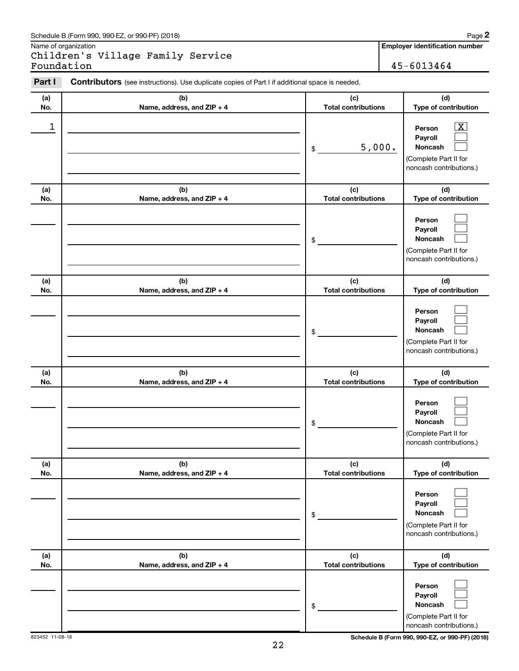#### Schedule B (Form 990, 990-EZ, or 990-PF) (2018)

Name of organization

Children's Village Family Service Foundation 45-6013464

**Employer identification number**

**2**

| Part I     | <b>Contributors</b> (see instructions). Use duplicate copies of Part I if additional space is needed. |                                   |                                                                                                           |
|------------|-------------------------------------------------------------------------------------------------------|-----------------------------------|-----------------------------------------------------------------------------------------------------------|
| (a)        | (b)                                                                                                   | (c)                               | (d)                                                                                                       |
| No.        | Name, address, and ZIP + 4                                                                            | <b>Total contributions</b>        | Type of contribution                                                                                      |
| 1          |                                                                                                       | 5,000.<br>\$                      | $\overline{\text{X}}$<br>Person<br>Payroll<br>Noncash<br>(Complete Part II for<br>noncash contributions.) |
| (a)<br>No. | (b)<br>Name, address, and ZIP + 4                                                                     | (c)<br><b>Total contributions</b> | (d)<br>Type of contribution                                                                               |
|            |                                                                                                       | \$                                | Person<br>Payroll<br>Noncash<br>(Complete Part II for<br>noncash contributions.)                          |
| (a)<br>No. | (b)<br>Name, address, and ZIP + 4                                                                     | (c)<br><b>Total contributions</b> | (d)<br>Type of contribution                                                                               |
|            |                                                                                                       | \$                                | Person<br>Payroll<br>Noncash<br>(Complete Part II for<br>noncash contributions.)                          |
| (a)<br>No. | (b)<br>Name, address, and ZIP + 4                                                                     | (c)<br><b>Total contributions</b> | (d)<br>Type of contribution                                                                               |
|            |                                                                                                       | \$                                | Person<br>Payroll<br>Noncash<br>(Complete Part II for<br>noncash contributions.)                          |
| (a)<br>No. | (b)<br>Name, address, and ZIP + 4                                                                     | (c)<br><b>Total contributions</b> | (d)<br>Type of contribution                                                                               |
|            |                                                                                                       | \$                                | Person<br>Payroll<br>Noncash<br>(Complete Part II for<br>noncash contributions.)                          |
| (a)<br>No. | (b)<br>Name, address, and ZIP + 4                                                                     | (c)<br><b>Total contributions</b> | (d)<br>Type of contribution                                                                               |
|            |                                                                                                       | \$                                | Person<br>Payroll<br>Noncash<br>(Complete Part II for<br>noncash contributions.)                          |

823452 11-08-18 **Schedule B (Form 990, 990-EZ, or 990-PF) (2018)**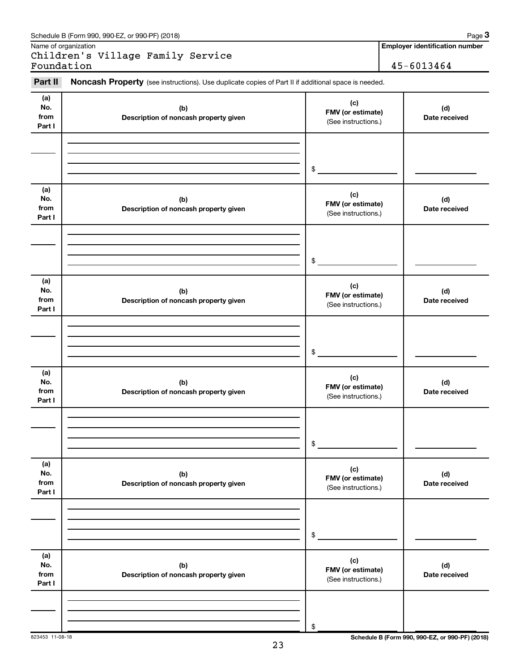| Part II                      | Noncash Property (see instructions). Use duplicate copies of Part II if additional space is needed. |                                                 |                      |
|------------------------------|-----------------------------------------------------------------------------------------------------|-------------------------------------------------|----------------------|
| (a)<br>No.<br>from<br>Part I | (b)<br>Description of noncash property given                                                        | (c)<br>FMV (or estimate)<br>(See instructions.) | (d)<br>Date received |
|                              |                                                                                                     | \$                                              |                      |
| (a)<br>No.<br>from<br>Part I | (b)<br>Description of noncash property given                                                        | (c)<br>FMV (or estimate)<br>(See instructions.) | (d)<br>Date received |
|                              |                                                                                                     | \$                                              |                      |
| (a)<br>No.<br>from<br>Part I | (b)<br>Description of noncash property given                                                        | (c)<br>FMV (or estimate)<br>(See instructions.) | (d)<br>Date received |
|                              |                                                                                                     | \$                                              |                      |
| (a)<br>No.<br>from<br>Part I | (b)<br>Description of noncash property given                                                        | (c)<br>FMV (or estimate)<br>(See instructions.) | (d)<br>Date received |
|                              |                                                                                                     | \$                                              |                      |
| (a)<br>No.<br>from<br>Part I | (b)<br>Description of noncash property given                                                        | (c)<br>FMV (or estimate)<br>(See instructions.) | (d)<br>Date received |
|                              |                                                                                                     | \$                                              |                      |
| (a)<br>No.<br>from<br>Part I | (b)<br>Description of noncash property given                                                        | (c)<br>FMV (or estimate)<br>(See instructions.) | (d)<br>Date received |

#### Name of organization Children's Village Family Service Foundation 45-6013464

Schedule B (Form 990, 990-EZ, or 990-PF) (2018)

**Employer identification number**

823453 11-08-18 **Schedule B (Form 990, 990-EZ, or 990-PF) (2018)**

\$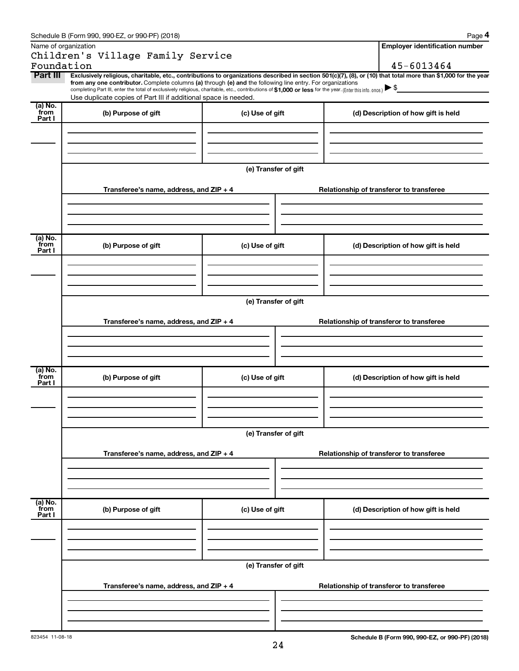|                             | Schedule B (Form 990, 990-EZ, or 990-PF) (2018)                                                                                                                                                                                                                                                                                                                                                                                                                                                             |                      | Page 4                                   |
|-----------------------------|-------------------------------------------------------------------------------------------------------------------------------------------------------------------------------------------------------------------------------------------------------------------------------------------------------------------------------------------------------------------------------------------------------------------------------------------------------------------------------------------------------------|----------------------|------------------------------------------|
| Name of organization        |                                                                                                                                                                                                                                                                                                                                                                                                                                                                                                             |                      | <b>Employer identification number</b>    |
|                             | Children's Village Family Service                                                                                                                                                                                                                                                                                                                                                                                                                                                                           |                      |                                          |
| Foundation                  |                                                                                                                                                                                                                                                                                                                                                                                                                                                                                                             |                      | 45-6013464                               |
| Part III                    | Exclusively religious, charitable, etc., contributions to organizations described in section 501(c)(7), (8), or (10) that total more than \$1,000 for the year<br>from any one contributor. Complete columns (a) through (e) and the following line entry. For organizations<br>completing Part III, enter the total of exclusively religious, charitable, etc., contributions of \$1,000 or less for the year. (Enter this info. once.)<br>Use duplicate copies of Part III if additional space is needed. |                      |                                          |
| (a) No.<br>from<br>Part I   | (b) Purpose of gift                                                                                                                                                                                                                                                                                                                                                                                                                                                                                         | (c) Use of gift      | (d) Description of how gift is held      |
|                             |                                                                                                                                                                                                                                                                                                                                                                                                                                                                                                             |                      |                                          |
|                             |                                                                                                                                                                                                                                                                                                                                                                                                                                                                                                             | (e) Transfer of gift |                                          |
|                             | Transferee's name, address, and $ZIP + 4$                                                                                                                                                                                                                                                                                                                                                                                                                                                                   |                      | Relationship of transferor to transferee |
|                             |                                                                                                                                                                                                                                                                                                                                                                                                                                                                                                             |                      |                                          |
| $(a)$ No.<br>from<br>Part I | (b) Purpose of gift                                                                                                                                                                                                                                                                                                                                                                                                                                                                                         | (c) Use of gift      | (d) Description of how gift is held      |
|                             |                                                                                                                                                                                                                                                                                                                                                                                                                                                                                                             |                      |                                          |
|                             |                                                                                                                                                                                                                                                                                                                                                                                                                                                                                                             | (e) Transfer of gift |                                          |
|                             | Transferee's name, address, and $ZIP + 4$                                                                                                                                                                                                                                                                                                                                                                                                                                                                   |                      | Relationship of transferor to transferee |
|                             |                                                                                                                                                                                                                                                                                                                                                                                                                                                                                                             |                      |                                          |
| $(a)$ No.<br>from<br>Part I | (b) Purpose of gift                                                                                                                                                                                                                                                                                                                                                                                                                                                                                         | (c) Use of gift      | (d) Description of how gift is held      |
|                             |                                                                                                                                                                                                                                                                                                                                                                                                                                                                                                             |                      |                                          |
|                             |                                                                                                                                                                                                                                                                                                                                                                                                                                                                                                             | (e) Transfer of gift |                                          |
|                             | Transferee's name, address, and ZIP + 4                                                                                                                                                                                                                                                                                                                                                                                                                                                                     |                      | Relationship of transferor to transferee |
|                             |                                                                                                                                                                                                                                                                                                                                                                                                                                                                                                             |                      |                                          |
| (a) No.<br>from<br>Part I   | (b) Purpose of gift                                                                                                                                                                                                                                                                                                                                                                                                                                                                                         | (c) Use of gift      | (d) Description of how gift is held      |
|                             |                                                                                                                                                                                                                                                                                                                                                                                                                                                                                                             |                      |                                          |
|                             |                                                                                                                                                                                                                                                                                                                                                                                                                                                                                                             | (e) Transfer of gift |                                          |
|                             | Transferee's name, address, and ZIP + 4                                                                                                                                                                                                                                                                                                                                                                                                                                                                     |                      | Relationship of transferor to transferee |
|                             |                                                                                                                                                                                                                                                                                                                                                                                                                                                                                                             |                      |                                          |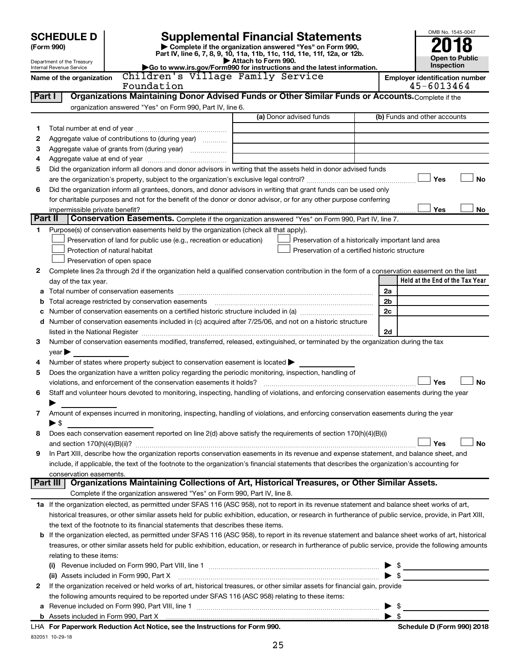|                | <b>SCHEDULE D</b>                                                                     |                                                                           |                     | <b>Supplemental Financial Statements</b>                                                                                                                                                                                      |                          | OMB No. 1545-0047                                   |                       |
|----------------|---------------------------------------------------------------------------------------|---------------------------------------------------------------------------|---------------------|-------------------------------------------------------------------------------------------------------------------------------------------------------------------------------------------------------------------------------|--------------------------|-----------------------------------------------------|-----------------------|
|                | (Form 990)                                                                            |                                                                           |                     | Complete if the organization answered "Yes" on Form 990,                                                                                                                                                                      |                          |                                                     |                       |
|                |                                                                                       |                                                                           | Attach to Form 990. | Part IV, line 6, 7, 8, 9, 10, 11a, 11b, 11c, 11d, 11e, 11f, 12a, or 12b.                                                                                                                                                      |                          |                                                     | <b>Open to Public</b> |
|                | Department of the Treasury<br>Internal Revenue Service                                |                                                                           |                     | Go to www.irs.gov/Form990 for instructions and the latest information.                                                                                                                                                        |                          | Inspection                                          |                       |
|                | Name of the organization                                                              | Children's Village Family Service<br>Foundation                           |                     |                                                                                                                                                                                                                               |                          | <b>Employer identification number</b><br>45-6013464 |                       |
| Part I         |                                                                                       |                                                                           |                     | Organizations Maintaining Donor Advised Funds or Other Similar Funds or Accounts. Complete if the                                                                                                                             |                          |                                                     |                       |
|                |                                                                                       | organization answered "Yes" on Form 990, Part IV, line 6.                 |                     |                                                                                                                                                                                                                               |                          |                                                     |                       |
|                |                                                                                       |                                                                           |                     | (a) Donor advised funds                                                                                                                                                                                                       |                          | (b) Funds and other accounts                        |                       |
| 1              |                                                                                       |                                                                           |                     |                                                                                                                                                                                                                               |                          |                                                     |                       |
| 2              | Aggregate value of contributions to (during year)                                     |                                                                           |                     |                                                                                                                                                                                                                               |                          |                                                     |                       |
| З              | Aggregate value of grants from (during year)                                          |                                                                           |                     |                                                                                                                                                                                                                               |                          |                                                     |                       |
| 4              |                                                                                       |                                                                           |                     |                                                                                                                                                                                                                               |                          |                                                     |                       |
| 5              |                                                                                       |                                                                           |                     | Did the organization inform all donors and donor advisors in writing that the assets held in donor advised funds                                                                                                              |                          |                                                     |                       |
|                |                                                                                       |                                                                           |                     |                                                                                                                                                                                                                               |                          | Yes                                                 | No                    |
| 6              |                                                                                       |                                                                           |                     | Did the organization inform all grantees, donors, and donor advisors in writing that grant funds can be used only                                                                                                             |                          |                                                     |                       |
|                |                                                                                       |                                                                           |                     | for charitable purposes and not for the benefit of the donor or donor advisor, or for any other purpose conferring                                                                                                            |                          |                                                     |                       |
|                | impermissible private benefit?                                                        |                                                                           |                     |                                                                                                                                                                                                                               |                          | Yes                                                 | No                    |
| <b>Part II</b> |                                                                                       |                                                                           |                     | Conservation Easements. Complete if the organization answered "Yes" on Form 990, Part IV, line 7.                                                                                                                             |                          |                                                     |                       |
| 1.             | Purpose(s) of conservation easements held by the organization (check all that apply). |                                                                           |                     |                                                                                                                                                                                                                               |                          |                                                     |                       |
|                |                                                                                       | Preservation of land for public use (e.g., recreation or education)       |                     | Preservation of a historically important land area                                                                                                                                                                            |                          |                                                     |                       |
|                | Protection of natural habitat                                                         |                                                                           |                     | Preservation of a certified historic structure                                                                                                                                                                                |                          |                                                     |                       |
|                | Preservation of open space                                                            |                                                                           |                     |                                                                                                                                                                                                                               |                          |                                                     |                       |
| 2              |                                                                                       |                                                                           |                     | Complete lines 2a through 2d if the organization held a qualified conservation contribution in the form of a conservation easement on the last                                                                                |                          | Held at the End of the Tax Year                     |                       |
| а              | day of the tax year.                                                                  |                                                                           |                     |                                                                                                                                                                                                                               | 2a                       |                                                     |                       |
| b              | Total acreage restricted by conservation easements                                    |                                                                           |                     |                                                                                                                                                                                                                               | 2b                       |                                                     |                       |
| с              |                                                                                       |                                                                           |                     |                                                                                                                                                                                                                               | 2c                       |                                                     |                       |
| d              |                                                                                       |                                                                           |                     | Number of conservation easements included in (c) acquired after 7/25/06, and not on a historic structure                                                                                                                      |                          |                                                     |                       |
|                |                                                                                       |                                                                           |                     | listed in the National Register [111] Marshall Register [11] Marshall Register [11] Marshall Register [11] Marshall Register [11] Marshall Register [11] Marshall Register [11] Marshall Register [11] Marshall Register [11] | 2d                       |                                                     |                       |
| 3              |                                                                                       |                                                                           |                     | Number of conservation easements modified, transferred, released, extinguished, or terminated by the organization during the tax                                                                                              |                          |                                                     |                       |
|                | $\vee$ ear $\blacktriangleright$                                                      |                                                                           |                     |                                                                                                                                                                                                                               |                          |                                                     |                       |
| 4              | Number of states where property subject to conservation easement is located >         |                                                                           |                     |                                                                                                                                                                                                                               |                          |                                                     |                       |
| 5              |                                                                                       |                                                                           |                     | Does the organization have a written policy regarding the periodic monitoring, inspection, handling of                                                                                                                        |                          |                                                     |                       |
|                | violations, and enforcement of the conservation easements it holds?                   |                                                                           |                     |                                                                                                                                                                                                                               |                          | Yes                                                 | No                    |
| 6              |                                                                                       |                                                                           |                     | Staff and volunteer hours devoted to monitoring, inspecting, handling of violations, and enforcing conservation easements during the year                                                                                     |                          |                                                     |                       |
|                |                                                                                       |                                                                           |                     |                                                                                                                                                                                                                               |                          |                                                     |                       |
| 7              |                                                                                       |                                                                           |                     | Amount of expenses incurred in monitoring, inspecting, handling of violations, and enforcing conservation easements during the year                                                                                           |                          |                                                     |                       |
|                | $\blacktriangleright$ \$                                                              |                                                                           |                     |                                                                                                                                                                                                                               |                          |                                                     |                       |
| 8              |                                                                                       |                                                                           |                     | Does each conservation easement reported on line 2(d) above satisfy the requirements of section 170(h)(4)(B)(i)                                                                                                               |                          |                                                     |                       |
|                |                                                                                       |                                                                           |                     |                                                                                                                                                                                                                               |                          | Yes                                                 | <b>No</b>             |
| 9              |                                                                                       |                                                                           |                     | In Part XIII, describe how the organization reports conservation easements in its revenue and expense statement, and balance sheet, and                                                                                       |                          |                                                     |                       |
|                |                                                                                       |                                                                           |                     | include, if applicable, the text of the footnote to the organization's financial statements that describes the organization's accounting for                                                                                  |                          |                                                     |                       |
|                | conservation easements.<br>∣ Part III                                                 |                                                                           |                     | Organizations Maintaining Collections of Art, Historical Treasures, or Other Similar Assets.                                                                                                                                  |                          |                                                     |                       |
|                |                                                                                       | Complete if the organization answered "Yes" on Form 990, Part IV, line 8. |                     |                                                                                                                                                                                                                               |                          |                                                     |                       |
|                |                                                                                       |                                                                           |                     | 1a If the organization elected, as permitted under SFAS 116 (ASC 958), not to report in its revenue statement and balance sheet works of art,                                                                                 |                          |                                                     |                       |
|                |                                                                                       |                                                                           |                     | historical treasures, or other similar assets held for public exhibition, education, or research in furtherance of public service, provide, in Part XIII,                                                                     |                          |                                                     |                       |
|                | the text of the footnote to its financial statements that describes these items.      |                                                                           |                     |                                                                                                                                                                                                                               |                          |                                                     |                       |
| b              |                                                                                       |                                                                           |                     | If the organization elected, as permitted under SFAS 116 (ASC 958), to report in its revenue statement and balance sheet works of art, historical                                                                             |                          |                                                     |                       |
|                |                                                                                       |                                                                           |                     | treasures, or other similar assets held for public exhibition, education, or research in furtherance of public service, provide the following amounts                                                                         |                          |                                                     |                       |
|                | relating to these items:                                                              |                                                                           |                     |                                                                                                                                                                                                                               |                          |                                                     |                       |
|                |                                                                                       |                                                                           |                     |                                                                                                                                                                                                                               |                          |                                                     |                       |
|                |                                                                                       |                                                                           |                     | (ii) Assets included in Form 990, Part X [[2000] [2000] [2000] [2000] [3000] [3000] [3000] [3000] [3000] [3000                                                                                                                |                          |                                                     |                       |
| 2              |                                                                                       |                                                                           |                     | If the organization received or held works of art, historical treasures, or other similar assets for financial gain, provide                                                                                                  |                          |                                                     |                       |
|                |                                                                                       |                                                                           |                     | the following amounts required to be reported under SFAS 116 (ASC 958) relating to these items:                                                                                                                               |                          |                                                     |                       |
| a              |                                                                                       |                                                                           |                     |                                                                                                                                                                                                                               | $\blacktriangleright$ \$ |                                                     |                       |

| <b>b</b> Assets included in Form 990, Part X                               | æ |
|----------------------------------------------------------------------------|---|
| LHA For Paperwork Reduction Act Notice, see the Instructions for Form 990. |   |
| 832051 10-29-18                                                            |   |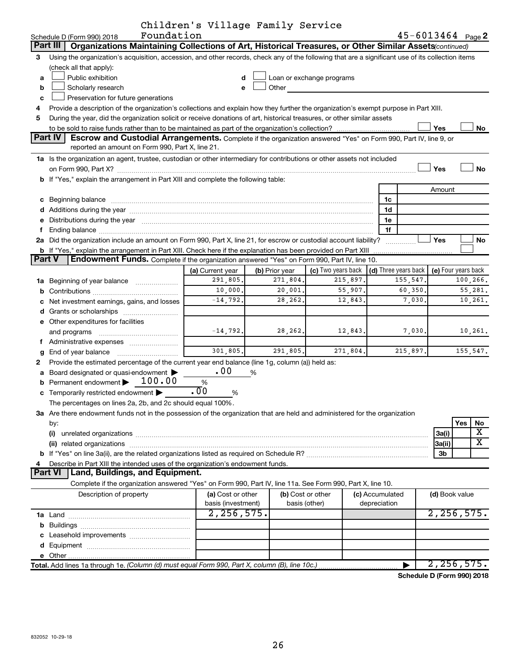| Children's Village Family Service |  |  |  |
|-----------------------------------|--|--|--|
|-----------------------------------|--|--|--|

|               | Foundation<br>Schedule D (Form 990) 2018                                                                                                                                                                                                                                                                                               |                    |                |                    |                 | 45-6013464 Page 2    |                     |                         |
|---------------|----------------------------------------------------------------------------------------------------------------------------------------------------------------------------------------------------------------------------------------------------------------------------------------------------------------------------------------|--------------------|----------------|--------------------|-----------------|----------------------|---------------------|-------------------------|
|               | Organizations Maintaining Collections of Art, Historical Treasures, or Other Similar Assets(continued)<br>Part III                                                                                                                                                                                                                     |                    |                |                    |                 |                      |                     |                         |
| 3             | Using the organization's acquisition, accession, and other records, check any of the following that are a significant use of its collection items                                                                                                                                                                                      |                    |                |                    |                 |                      |                     |                         |
|               | (check all that apply):                                                                                                                                                                                                                                                                                                                |                    |                |                    |                 |                      |                     |                         |
| a             | Public exhibition<br>Loan or exchange programs<br>d                                                                                                                                                                                                                                                                                    |                    |                |                    |                 |                      |                     |                         |
| b             | Scholarly research<br>Other and the control of the control of the control of the control of the control of the control of the control of the control of the control of the control of the control of the control of the control of the control of th<br>е                                                                              |                    |                |                    |                 |                      |                     |                         |
| с             | Preservation for future generations                                                                                                                                                                                                                                                                                                    |                    |                |                    |                 |                      |                     |                         |
| 4             | Provide a description of the organization's collections and explain how they further the organization's exempt purpose in Part XIII.                                                                                                                                                                                                   |                    |                |                    |                 |                      |                     |                         |
| 5             | During the year, did the organization solicit or receive donations of art, historical treasures, or other similar assets                                                                                                                                                                                                               |                    |                |                    |                 |                      |                     |                         |
|               |                                                                                                                                                                                                                                                                                                                                        |                    |                |                    |                 |                      | Yes                 | No                      |
|               | Part IV<br><b>Escrow and Custodial Arrangements.</b> Complete if the organization answered "Yes" on Form 990, Part IV, line 9, or                                                                                                                                                                                                      |                    |                |                    |                 |                      |                     |                         |
|               | reported an amount on Form 990, Part X, line 21.                                                                                                                                                                                                                                                                                       |                    |                |                    |                 |                      |                     |                         |
|               | 1a Is the organization an agent, trustee, custodian or other intermediary for contributions or other assets not included                                                                                                                                                                                                               |                    |                |                    |                 |                      |                     |                         |
|               |                                                                                                                                                                                                                                                                                                                                        |                    |                |                    |                 |                      | Yes                 | <b>No</b>               |
|               | b If "Yes," explain the arrangement in Part XIII and complete the following table:                                                                                                                                                                                                                                                     |                    |                |                    |                 |                      |                     |                         |
|               |                                                                                                                                                                                                                                                                                                                                        |                    |                |                    | 1c              |                      | Amount              |                         |
|               |                                                                                                                                                                                                                                                                                                                                        |                    |                |                    | 1d              |                      |                     |                         |
| е             | d Additions during the year manufactured and an account of the year manufactured and account of the year manufactured and account of the year manufactured and account of the year manufactured and account of the year manufa<br>Distributions during the year manufactured and an intervention of the year manufactured and the year |                    |                |                    | 1e              |                      |                     |                         |
| f             | Ending balance manufactured and contract the contract of the contract of the contract of the contract of the contract of the contract of the contract of the contract of the contract of the contract of the contract of the c                                                                                                         |                    |                |                    | 1f              |                      |                     |                         |
|               | 2a Did the organization include an amount on Form 990, Part X, line 21, for escrow or custodial account liability?                                                                                                                                                                                                                     |                    |                |                    |                 |                      | Yes                 | No                      |
|               | b If "Yes," explain the arrangement in Part XIII. Check here if the explanation has been provided on Part XIII                                                                                                                                                                                                                         |                    |                |                    |                 |                      |                     |                         |
| <b>Part V</b> | <b>Endowment Funds.</b> Complete if the organization answered "Yes" on Form 990, Part IV, line 10.                                                                                                                                                                                                                                     |                    |                |                    |                 |                      |                     |                         |
|               |                                                                                                                                                                                                                                                                                                                                        | (a) Current year   | (b) Prior year | (c) Two years back |                 | (d) Three years back | (e) Four years back |                         |
|               | 1a Beginning of year balance                                                                                                                                                                                                                                                                                                           | 291,805.           | 271,804.       | 215,897.           |                 | 155,547.             |                     | 100,266.                |
| b             |                                                                                                                                                                                                                                                                                                                                        | 10,000.            | 20,001.        | 55,907.            |                 | 60,350.              |                     | 55,281.                 |
|               | Net investment earnings, gains, and losses                                                                                                                                                                                                                                                                                             | $-14, 792.$        | 28,262.        | 12,843.            |                 | 7,030.               |                     | 10,261.                 |
| d             |                                                                                                                                                                                                                                                                                                                                        |                    |                |                    |                 |                      |                     |                         |
|               | e Other expenditures for facilities                                                                                                                                                                                                                                                                                                    |                    |                |                    |                 |                      |                     |                         |
|               | and programs                                                                                                                                                                                                                                                                                                                           | $-14, 792.$        | 28,262.        | 12,843.            |                 | 7,030.               |                     | 10,261.                 |
|               | f Administrative expenses                                                                                                                                                                                                                                                                                                              |                    |                |                    |                 |                      |                     |                         |
| g             |                                                                                                                                                                                                                                                                                                                                        | 301,805.           | 291,805.       | 271,804.           |                 | 215,897.             |                     | 155,547.                |
| 2             | Provide the estimated percentage of the current year end balance (line 1g, column (a)) held as:                                                                                                                                                                                                                                        |                    |                |                    |                 |                      |                     |                         |
| a             | Board designated or quasi-endowment >                                                                                                                                                                                                                                                                                                  | .00                | %              |                    |                 |                      |                     |                         |
| b             | Permanent endowment > 100.00                                                                                                                                                                                                                                                                                                           | %                  |                |                    |                 |                      |                     |                         |
| с             | Temporarily restricted endowment                                                                                                                                                                                                                                                                                                       | .00<br>%           |                |                    |                 |                      |                     |                         |
|               | The percentages on lines 2a, 2b, and 2c should equal 100%.                                                                                                                                                                                                                                                                             |                    |                |                    |                 |                      |                     |                         |
|               | 3a Are there endowment funds not in the possession of the organization that are held and administered for the organization                                                                                                                                                                                                             |                    |                |                    |                 |                      |                     |                         |
|               | by:                                                                                                                                                                                                                                                                                                                                    |                    |                |                    |                 |                      |                     | Yes<br>No<br>X          |
|               | (i)                                                                                                                                                                                                                                                                                                                                    |                    |                |                    |                 |                      | 3a(i)               | $\overline{\textbf{X}}$ |
|               |                                                                                                                                                                                                                                                                                                                                        |                    |                |                    |                 |                      | 3a(ii)              |                         |
| 4             | 3b<br>Describe in Part XIII the intended uses of the organization's endowment funds.                                                                                                                                                                                                                                                   |                    |                |                    |                 |                      |                     |                         |
|               | Part VI   Land, Buildings, and Equipment.                                                                                                                                                                                                                                                                                              |                    |                |                    |                 |                      |                     |                         |
|               | Complete if the organization answered "Yes" on Form 990, Part IV, line 11a. See Form 990, Part X, line 10.                                                                                                                                                                                                                             |                    |                |                    |                 |                      |                     |                         |
|               | Description of property                                                                                                                                                                                                                                                                                                                | (a) Cost or other  |                | (b) Cost or other  | (c) Accumulated |                      | (d) Book value      |                         |
|               |                                                                                                                                                                                                                                                                                                                                        | basis (investment) |                | basis (other)      | depreciation    |                      |                     |                         |
|               |                                                                                                                                                                                                                                                                                                                                        | 2, 256, 575.       |                |                    |                 |                      | 2, 256, 575.        |                         |
| b             |                                                                                                                                                                                                                                                                                                                                        |                    |                |                    |                 |                      |                     |                         |
|               | Leasehold improvements                                                                                                                                                                                                                                                                                                                 |                    |                |                    |                 |                      |                     |                         |
| d             |                                                                                                                                                                                                                                                                                                                                        |                    |                |                    |                 |                      |                     |                         |
|               |                                                                                                                                                                                                                                                                                                                                        |                    |                |                    |                 |                      |                     |                         |
|               | Total. Add lines 1a through 1e. (Column (d) must equal Form 990, Part X, column (B), line 10c.)                                                                                                                                                                                                                                        |                    |                |                    |                 |                      | 2, 256, 575.        |                         |

**Schedule D (Form 990) 2018**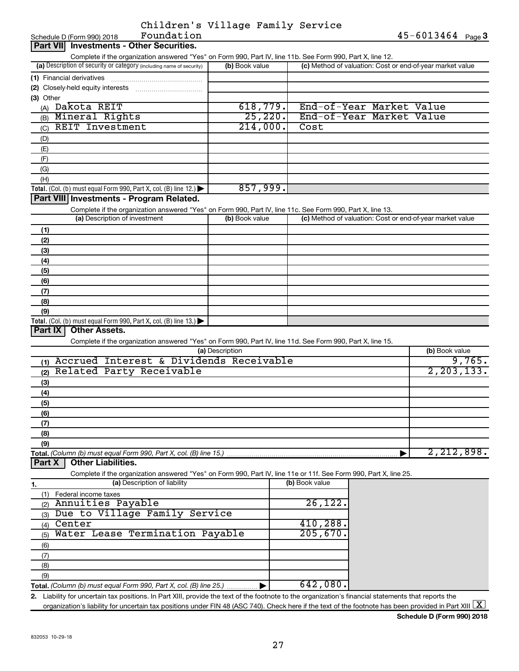| Children's Village Family Service |  |  |
|-----------------------------------|--|--|
|                                   |  |  |

| Complete if the organization answered "Yes" on Form 990, Part IV, line 11b. See Form 990, Part X, line 12.<br>(a) Description of security or category (including name of security)<br>(c) Method of valuation: Cost or end-of-year market value<br>(b) Book value<br>(1) Financial derivatives<br>(2) Closely-held equity interests<br>(3) Other<br>618,779.<br>End-of-Year Market Value<br>Dakota REIT<br>(A)<br>25, 220.<br>End-of-Year Market Value<br>Mineral Rights<br>(B)<br>214,000.<br><b>REIT Investment</b><br>Cost<br>(C)<br>(D)<br>(E)<br>(F)<br>(G)<br>(H)<br>857,999.<br>Total. (Col. (b) must equal Form 990, Part X, col. (B) line 12.) $\blacktriangleright$<br>Part VIII Investments - Program Related.<br>Complete if the organization answered "Yes" on Form 990, Part IV, line 11c. See Form 990, Part X, line 13.<br>(a) Description of investment<br>(b) Book value<br>(c) Method of valuation: Cost or end-of-year market value<br>(1)<br>(2)<br>(3)<br>(4)<br>(5)<br>(6)<br>(7)<br>(8)<br>(9)<br>Total. (Col. (b) must equal Form 990, Part X, col. (B) line 13.) $\blacktriangleright$<br><b>Other Assets.</b><br>Part $ X $<br>Complete if the organization answered "Yes" on Form 990, Part IV, line 11d. See Form 990, Part X, line 15.<br>(a) Description<br>(b) Book value<br>Accrued Interest & Dividends Receivable<br>(1)<br>Related Party Receivable<br>(2)<br>(3)<br>(4)<br>(5)<br>(6)<br>(7)<br>(8)<br>(9)<br>Total. (Column (b) must equal Form 990, Part X, col. (B) line 15.)<br><b>Other Liabilities.</b><br>Part X<br>Complete if the organization answered "Yes" on Form 990, Part IV, line 11e or 11f. See Form 990, Part X, line 25.<br>(a) Description of liability<br>(b) Book value<br>1.<br>(1)<br>Federal income taxes<br>26,122.<br>Annuities Payable<br>(2)<br>Due to Village Family Service<br>(3)<br>410,288<br>Center<br>(4)<br>205,670<br>Water Lease Termination Payable<br>(5)<br>(6)<br>(7)<br>(8)<br>(9)<br>642,080.<br>Total. (Column (b) must equal Form 990, Part X, col. (B) line 25.) | Foundation<br>Schedule D (Form 990) 2018 |  | 45-6013464 Page 3 |  |
|--------------------------------------------------------------------------------------------------------------------------------------------------------------------------------------------------------------------------------------------------------------------------------------------------------------------------------------------------------------------------------------------------------------------------------------------------------------------------------------------------------------------------------------------------------------------------------------------------------------------------------------------------------------------------------------------------------------------------------------------------------------------------------------------------------------------------------------------------------------------------------------------------------------------------------------------------------------------------------------------------------------------------------------------------------------------------------------------------------------------------------------------------------------------------------------------------------------------------------------------------------------------------------------------------------------------------------------------------------------------------------------------------------------------------------------------------------------------------------------------------------------------------------------------------------------------------------------------------------------------------------------------------------------------------------------------------------------------------------------------------------------------------------------------------------------------------------------------------------------------------------------------------------------------------------------------------------------------------------------------------------------------------------------------------------|------------------------------------------|--|-------------------|--|
| 9,765.<br>2, 203, 133.<br>2,212,898.                                                                                                                                                                                                                                                                                                                                                                                                                                                                                                                                                                                                                                                                                                                                                                                                                                                                                                                                                                                                                                                                                                                                                                                                                                                                                                                                                                                                                                                                                                                                                                                                                                                                                                                                                                                                                                                                                                                                                                                                                   | Part VII Investments - Other Securities. |  |                   |  |
|                                                                                                                                                                                                                                                                                                                                                                                                                                                                                                                                                                                                                                                                                                                                                                                                                                                                                                                                                                                                                                                                                                                                                                                                                                                                                                                                                                                                                                                                                                                                                                                                                                                                                                                                                                                                                                                                                                                                                                                                                                                        |                                          |  |                   |  |
|                                                                                                                                                                                                                                                                                                                                                                                                                                                                                                                                                                                                                                                                                                                                                                                                                                                                                                                                                                                                                                                                                                                                                                                                                                                                                                                                                                                                                                                                                                                                                                                                                                                                                                                                                                                                                                                                                                                                                                                                                                                        |                                          |  |                   |  |
|                                                                                                                                                                                                                                                                                                                                                                                                                                                                                                                                                                                                                                                                                                                                                                                                                                                                                                                                                                                                                                                                                                                                                                                                                                                                                                                                                                                                                                                                                                                                                                                                                                                                                                                                                                                                                                                                                                                                                                                                                                                        |                                          |  |                   |  |
|                                                                                                                                                                                                                                                                                                                                                                                                                                                                                                                                                                                                                                                                                                                                                                                                                                                                                                                                                                                                                                                                                                                                                                                                                                                                                                                                                                                                                                                                                                                                                                                                                                                                                                                                                                                                                                                                                                                                                                                                                                                        |                                          |  |                   |  |
|                                                                                                                                                                                                                                                                                                                                                                                                                                                                                                                                                                                                                                                                                                                                                                                                                                                                                                                                                                                                                                                                                                                                                                                                                                                                                                                                                                                                                                                                                                                                                                                                                                                                                                                                                                                                                                                                                                                                                                                                                                                        |                                          |  |                   |  |
|                                                                                                                                                                                                                                                                                                                                                                                                                                                                                                                                                                                                                                                                                                                                                                                                                                                                                                                                                                                                                                                                                                                                                                                                                                                                                                                                                                                                                                                                                                                                                                                                                                                                                                                                                                                                                                                                                                                                                                                                                                                        |                                          |  |                   |  |
|                                                                                                                                                                                                                                                                                                                                                                                                                                                                                                                                                                                                                                                                                                                                                                                                                                                                                                                                                                                                                                                                                                                                                                                                                                                                                                                                                                                                                                                                                                                                                                                                                                                                                                                                                                                                                                                                                                                                                                                                                                                        |                                          |  |                   |  |
|                                                                                                                                                                                                                                                                                                                                                                                                                                                                                                                                                                                                                                                                                                                                                                                                                                                                                                                                                                                                                                                                                                                                                                                                                                                                                                                                                                                                                                                                                                                                                                                                                                                                                                                                                                                                                                                                                                                                                                                                                                                        |                                          |  |                   |  |
|                                                                                                                                                                                                                                                                                                                                                                                                                                                                                                                                                                                                                                                                                                                                                                                                                                                                                                                                                                                                                                                                                                                                                                                                                                                                                                                                                                                                                                                                                                                                                                                                                                                                                                                                                                                                                                                                                                                                                                                                                                                        |                                          |  |                   |  |
|                                                                                                                                                                                                                                                                                                                                                                                                                                                                                                                                                                                                                                                                                                                                                                                                                                                                                                                                                                                                                                                                                                                                                                                                                                                                                                                                                                                                                                                                                                                                                                                                                                                                                                                                                                                                                                                                                                                                                                                                                                                        |                                          |  |                   |  |
|                                                                                                                                                                                                                                                                                                                                                                                                                                                                                                                                                                                                                                                                                                                                                                                                                                                                                                                                                                                                                                                                                                                                                                                                                                                                                                                                                                                                                                                                                                                                                                                                                                                                                                                                                                                                                                                                                                                                                                                                                                                        |                                          |  |                   |  |
|                                                                                                                                                                                                                                                                                                                                                                                                                                                                                                                                                                                                                                                                                                                                                                                                                                                                                                                                                                                                                                                                                                                                                                                                                                                                                                                                                                                                                                                                                                                                                                                                                                                                                                                                                                                                                                                                                                                                                                                                                                                        |                                          |  |                   |  |
|                                                                                                                                                                                                                                                                                                                                                                                                                                                                                                                                                                                                                                                                                                                                                                                                                                                                                                                                                                                                                                                                                                                                                                                                                                                                                                                                                                                                                                                                                                                                                                                                                                                                                                                                                                                                                                                                                                                                                                                                                                                        |                                          |  |                   |  |
|                                                                                                                                                                                                                                                                                                                                                                                                                                                                                                                                                                                                                                                                                                                                                                                                                                                                                                                                                                                                                                                                                                                                                                                                                                                                                                                                                                                                                                                                                                                                                                                                                                                                                                                                                                                                                                                                                                                                                                                                                                                        |                                          |  |                   |  |
|                                                                                                                                                                                                                                                                                                                                                                                                                                                                                                                                                                                                                                                                                                                                                                                                                                                                                                                                                                                                                                                                                                                                                                                                                                                                                                                                                                                                                                                                                                                                                                                                                                                                                                                                                                                                                                                                                                                                                                                                                                                        |                                          |  |                   |  |
|                                                                                                                                                                                                                                                                                                                                                                                                                                                                                                                                                                                                                                                                                                                                                                                                                                                                                                                                                                                                                                                                                                                                                                                                                                                                                                                                                                                                                                                                                                                                                                                                                                                                                                                                                                                                                                                                                                                                                                                                                                                        |                                          |  |                   |  |
|                                                                                                                                                                                                                                                                                                                                                                                                                                                                                                                                                                                                                                                                                                                                                                                                                                                                                                                                                                                                                                                                                                                                                                                                                                                                                                                                                                                                                                                                                                                                                                                                                                                                                                                                                                                                                                                                                                                                                                                                                                                        |                                          |  |                   |  |
|                                                                                                                                                                                                                                                                                                                                                                                                                                                                                                                                                                                                                                                                                                                                                                                                                                                                                                                                                                                                                                                                                                                                                                                                                                                                                                                                                                                                                                                                                                                                                                                                                                                                                                                                                                                                                                                                                                                                                                                                                                                        |                                          |  |                   |  |
|                                                                                                                                                                                                                                                                                                                                                                                                                                                                                                                                                                                                                                                                                                                                                                                                                                                                                                                                                                                                                                                                                                                                                                                                                                                                                                                                                                                                                                                                                                                                                                                                                                                                                                                                                                                                                                                                                                                                                                                                                                                        |                                          |  |                   |  |
|                                                                                                                                                                                                                                                                                                                                                                                                                                                                                                                                                                                                                                                                                                                                                                                                                                                                                                                                                                                                                                                                                                                                                                                                                                                                                                                                                                                                                                                                                                                                                                                                                                                                                                                                                                                                                                                                                                                                                                                                                                                        |                                          |  |                   |  |
|                                                                                                                                                                                                                                                                                                                                                                                                                                                                                                                                                                                                                                                                                                                                                                                                                                                                                                                                                                                                                                                                                                                                                                                                                                                                                                                                                                                                                                                                                                                                                                                                                                                                                                                                                                                                                                                                                                                                                                                                                                                        |                                          |  |                   |  |
|                                                                                                                                                                                                                                                                                                                                                                                                                                                                                                                                                                                                                                                                                                                                                                                                                                                                                                                                                                                                                                                                                                                                                                                                                                                                                                                                                                                                                                                                                                                                                                                                                                                                                                                                                                                                                                                                                                                                                                                                                                                        |                                          |  |                   |  |
|                                                                                                                                                                                                                                                                                                                                                                                                                                                                                                                                                                                                                                                                                                                                                                                                                                                                                                                                                                                                                                                                                                                                                                                                                                                                                                                                                                                                                                                                                                                                                                                                                                                                                                                                                                                                                                                                                                                                                                                                                                                        |                                          |  |                   |  |
|                                                                                                                                                                                                                                                                                                                                                                                                                                                                                                                                                                                                                                                                                                                                                                                                                                                                                                                                                                                                                                                                                                                                                                                                                                                                                                                                                                                                                                                                                                                                                                                                                                                                                                                                                                                                                                                                                                                                                                                                                                                        |                                          |  |                   |  |
|                                                                                                                                                                                                                                                                                                                                                                                                                                                                                                                                                                                                                                                                                                                                                                                                                                                                                                                                                                                                                                                                                                                                                                                                                                                                                                                                                                                                                                                                                                                                                                                                                                                                                                                                                                                                                                                                                                                                                                                                                                                        |                                          |  |                   |  |
|                                                                                                                                                                                                                                                                                                                                                                                                                                                                                                                                                                                                                                                                                                                                                                                                                                                                                                                                                                                                                                                                                                                                                                                                                                                                                                                                                                                                                                                                                                                                                                                                                                                                                                                                                                                                                                                                                                                                                                                                                                                        |                                          |  |                   |  |
|                                                                                                                                                                                                                                                                                                                                                                                                                                                                                                                                                                                                                                                                                                                                                                                                                                                                                                                                                                                                                                                                                                                                                                                                                                                                                                                                                                                                                                                                                                                                                                                                                                                                                                                                                                                                                                                                                                                                                                                                                                                        |                                          |  |                   |  |
|                                                                                                                                                                                                                                                                                                                                                                                                                                                                                                                                                                                                                                                                                                                                                                                                                                                                                                                                                                                                                                                                                                                                                                                                                                                                                                                                                                                                                                                                                                                                                                                                                                                                                                                                                                                                                                                                                                                                                                                                                                                        |                                          |  |                   |  |
|                                                                                                                                                                                                                                                                                                                                                                                                                                                                                                                                                                                                                                                                                                                                                                                                                                                                                                                                                                                                                                                                                                                                                                                                                                                                                                                                                                                                                                                                                                                                                                                                                                                                                                                                                                                                                                                                                                                                                                                                                                                        |                                          |  |                   |  |
|                                                                                                                                                                                                                                                                                                                                                                                                                                                                                                                                                                                                                                                                                                                                                                                                                                                                                                                                                                                                                                                                                                                                                                                                                                                                                                                                                                                                                                                                                                                                                                                                                                                                                                                                                                                                                                                                                                                                                                                                                                                        |                                          |  |                   |  |
|                                                                                                                                                                                                                                                                                                                                                                                                                                                                                                                                                                                                                                                                                                                                                                                                                                                                                                                                                                                                                                                                                                                                                                                                                                                                                                                                                                                                                                                                                                                                                                                                                                                                                                                                                                                                                                                                                                                                                                                                                                                        |                                          |  |                   |  |
|                                                                                                                                                                                                                                                                                                                                                                                                                                                                                                                                                                                                                                                                                                                                                                                                                                                                                                                                                                                                                                                                                                                                                                                                                                                                                                                                                                                                                                                                                                                                                                                                                                                                                                                                                                                                                                                                                                                                                                                                                                                        |                                          |  |                   |  |
|                                                                                                                                                                                                                                                                                                                                                                                                                                                                                                                                                                                                                                                                                                                                                                                                                                                                                                                                                                                                                                                                                                                                                                                                                                                                                                                                                                                                                                                                                                                                                                                                                                                                                                                                                                                                                                                                                                                                                                                                                                                        |                                          |  |                   |  |
|                                                                                                                                                                                                                                                                                                                                                                                                                                                                                                                                                                                                                                                                                                                                                                                                                                                                                                                                                                                                                                                                                                                                                                                                                                                                                                                                                                                                                                                                                                                                                                                                                                                                                                                                                                                                                                                                                                                                                                                                                                                        |                                          |  |                   |  |
|                                                                                                                                                                                                                                                                                                                                                                                                                                                                                                                                                                                                                                                                                                                                                                                                                                                                                                                                                                                                                                                                                                                                                                                                                                                                                                                                                                                                                                                                                                                                                                                                                                                                                                                                                                                                                                                                                                                                                                                                                                                        |                                          |  |                   |  |
|                                                                                                                                                                                                                                                                                                                                                                                                                                                                                                                                                                                                                                                                                                                                                                                                                                                                                                                                                                                                                                                                                                                                                                                                                                                                                                                                                                                                                                                                                                                                                                                                                                                                                                                                                                                                                                                                                                                                                                                                                                                        |                                          |  |                   |  |
|                                                                                                                                                                                                                                                                                                                                                                                                                                                                                                                                                                                                                                                                                                                                                                                                                                                                                                                                                                                                                                                                                                                                                                                                                                                                                                                                                                                                                                                                                                                                                                                                                                                                                                                                                                                                                                                                                                                                                                                                                                                        |                                          |  |                   |  |
|                                                                                                                                                                                                                                                                                                                                                                                                                                                                                                                                                                                                                                                                                                                                                                                                                                                                                                                                                                                                                                                                                                                                                                                                                                                                                                                                                                                                                                                                                                                                                                                                                                                                                                                                                                                                                                                                                                                                                                                                                                                        |                                          |  |                   |  |
|                                                                                                                                                                                                                                                                                                                                                                                                                                                                                                                                                                                                                                                                                                                                                                                                                                                                                                                                                                                                                                                                                                                                                                                                                                                                                                                                                                                                                                                                                                                                                                                                                                                                                                                                                                                                                                                                                                                                                                                                                                                        |                                          |  |                   |  |
|                                                                                                                                                                                                                                                                                                                                                                                                                                                                                                                                                                                                                                                                                                                                                                                                                                                                                                                                                                                                                                                                                                                                                                                                                                                                                                                                                                                                                                                                                                                                                                                                                                                                                                                                                                                                                                                                                                                                                                                                                                                        |                                          |  |                   |  |
|                                                                                                                                                                                                                                                                                                                                                                                                                                                                                                                                                                                                                                                                                                                                                                                                                                                                                                                                                                                                                                                                                                                                                                                                                                                                                                                                                                                                                                                                                                                                                                                                                                                                                                                                                                                                                                                                                                                                                                                                                                                        |                                          |  |                   |  |
|                                                                                                                                                                                                                                                                                                                                                                                                                                                                                                                                                                                                                                                                                                                                                                                                                                                                                                                                                                                                                                                                                                                                                                                                                                                                                                                                                                                                                                                                                                                                                                                                                                                                                                                                                                                                                                                                                                                                                                                                                                                        |                                          |  |                   |  |
|                                                                                                                                                                                                                                                                                                                                                                                                                                                                                                                                                                                                                                                                                                                                                                                                                                                                                                                                                                                                                                                                                                                                                                                                                                                                                                                                                                                                                                                                                                                                                                                                                                                                                                                                                                                                                                                                                                                                                                                                                                                        |                                          |  |                   |  |
|                                                                                                                                                                                                                                                                                                                                                                                                                                                                                                                                                                                                                                                                                                                                                                                                                                                                                                                                                                                                                                                                                                                                                                                                                                                                                                                                                                                                                                                                                                                                                                                                                                                                                                                                                                                                                                                                                                                                                                                                                                                        |                                          |  |                   |  |
|                                                                                                                                                                                                                                                                                                                                                                                                                                                                                                                                                                                                                                                                                                                                                                                                                                                                                                                                                                                                                                                                                                                                                                                                                                                                                                                                                                                                                                                                                                                                                                                                                                                                                                                                                                                                                                                                                                                                                                                                                                                        |                                          |  |                   |  |
|                                                                                                                                                                                                                                                                                                                                                                                                                                                                                                                                                                                                                                                                                                                                                                                                                                                                                                                                                                                                                                                                                                                                                                                                                                                                                                                                                                                                                                                                                                                                                                                                                                                                                                                                                                                                                                                                                                                                                                                                                                                        |                                          |  |                   |  |
|                                                                                                                                                                                                                                                                                                                                                                                                                                                                                                                                                                                                                                                                                                                                                                                                                                                                                                                                                                                                                                                                                                                                                                                                                                                                                                                                                                                                                                                                                                                                                                                                                                                                                                                                                                                                                                                                                                                                                                                                                                                        |                                          |  |                   |  |
|                                                                                                                                                                                                                                                                                                                                                                                                                                                                                                                                                                                                                                                                                                                                                                                                                                                                                                                                                                                                                                                                                                                                                                                                                                                                                                                                                                                                                                                                                                                                                                                                                                                                                                                                                                                                                                                                                                                                                                                                                                                        |                                          |  |                   |  |
|                                                                                                                                                                                                                                                                                                                                                                                                                                                                                                                                                                                                                                                                                                                                                                                                                                                                                                                                                                                                                                                                                                                                                                                                                                                                                                                                                                                                                                                                                                                                                                                                                                                                                                                                                                                                                                                                                                                                                                                                                                                        |                                          |  |                   |  |
|                                                                                                                                                                                                                                                                                                                                                                                                                                                                                                                                                                                                                                                                                                                                                                                                                                                                                                                                                                                                                                                                                                                                                                                                                                                                                                                                                                                                                                                                                                                                                                                                                                                                                                                                                                                                                                                                                                                                                                                                                                                        |                                          |  |                   |  |
|                                                                                                                                                                                                                                                                                                                                                                                                                                                                                                                                                                                                                                                                                                                                                                                                                                                                                                                                                                                                                                                                                                                                                                                                                                                                                                                                                                                                                                                                                                                                                                                                                                                                                                                                                                                                                                                                                                                                                                                                                                                        |                                          |  |                   |  |

**2.** Liability for uncertain tax positions. In Part XIII, provide the text of the footnote to the organization's financial statements that reports the organization's liability for uncertain tax positions under FIN 48 (ASC 740). Check here if the text of the footnote has been provided in Part XIII  $\boxed{\text{X}}$ 

**Schedule D (Form 990) 2018**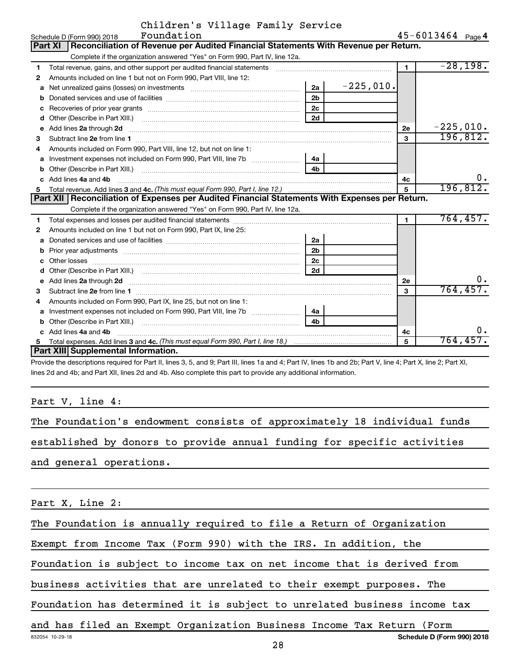| Children's Village Family Service |  |  |
|-----------------------------------|--|--|
|                                   |  |  |

|    | Foundation<br>Schedule D (Form 990) 2018                                                                                                                                                                                             |                |             |                | 45-6013464 Page 4 |             |
|----|--------------------------------------------------------------------------------------------------------------------------------------------------------------------------------------------------------------------------------------|----------------|-------------|----------------|-------------------|-------------|
|    | Reconciliation of Revenue per Audited Financial Statements With Revenue per Return.<br><b>Part XI</b>                                                                                                                                |                |             |                |                   |             |
|    | Complete if the organization answered "Yes" on Form 990, Part IV, line 12a.                                                                                                                                                          |                |             |                |                   |             |
| 1  | Total revenue, gains, and other support per audited financial statements [[[[[[[[[[[[[[[[[[[[[[[[[]]]]]]]]]]]                                                                                                                        |                |             | $\blacksquare$ |                   | $-28,198.$  |
| 2  | Amounts included on line 1 but not on Form 990, Part VIII, line 12:                                                                                                                                                                  |                |             |                |                   |             |
| a  |                                                                                                                                                                                                                                      | 2a             | $-225,010.$ |                |                   |             |
| b  |                                                                                                                                                                                                                                      | 2 <sub>b</sub> |             |                |                   |             |
| с  |                                                                                                                                                                                                                                      | 2c             |             |                |                   |             |
| d  |                                                                                                                                                                                                                                      | 2d             |             |                |                   |             |
| е  | Add lines 2a through 2d <b>continuum continuum contract and all the contract of the contract of the contract of the contract of the contract of the contract of the contract of the contract of the contract of the contract of </b> |                |             | 2е             |                   | $-225,010.$ |
| 3  |                                                                                                                                                                                                                                      |                |             | 3              |                   | 196,812.    |
|    | Amounts included on Form 990, Part VIII, line 12, but not on line 1:                                                                                                                                                                 |                |             |                |                   |             |
| a  |                                                                                                                                                                                                                                      | 4a             |             |                |                   |             |
| b  |                                                                                                                                                                                                                                      |                |             |                |                   |             |
| C. | Add lines 4a and 4b                                                                                                                                                                                                                  |                |             | 4c             |                   | ο.          |
| 5. |                                                                                                                                                                                                                                      |                |             | 5              |                   | 196, 812.   |
|    | Part XII   Reconciliation of Expenses per Audited Financial Statements With Expenses per Return.                                                                                                                                     |                |             |                |                   |             |
|    | Complete if the organization answered "Yes" on Form 990, Part IV, line 12a.                                                                                                                                                          |                |             |                |                   |             |
| 1  |                                                                                                                                                                                                                                      |                |             | $\blacksquare$ |                   | 764, 457.   |
| 2  | Amounts included on line 1 but not on Form 990, Part IX, line 25:                                                                                                                                                                    |                |             |                |                   |             |
| a  |                                                                                                                                                                                                                                      | 2a             |             |                |                   |             |
| b  |                                                                                                                                                                                                                                      | 2 <sub>b</sub> |             |                |                   |             |
| с  |                                                                                                                                                                                                                                      | 2 <sub>c</sub> |             |                |                   |             |
| d  |                                                                                                                                                                                                                                      | 2d             |             |                |                   |             |
| е  | Add lines 2a through 2d <b>must be a constructed as the constant of the constant of the constant of the construction</b>                                                                                                             |                |             | 2е             |                   | ο.          |
| 3  |                                                                                                                                                                                                                                      |                |             | 3              |                   | 764, 457.   |
| 4  | Amounts included on Form 990, Part IX, line 25, but not on line 1:                                                                                                                                                                   |                |             |                |                   |             |
| а  |                                                                                                                                                                                                                                      | 4a             |             |                |                   |             |
| b  |                                                                                                                                                                                                                                      | 4b             |             |                |                   |             |
| C. | Add lines 4a and 4b                                                                                                                                                                                                                  |                |             | 4c             |                   | 0.          |
|    |                                                                                                                                                                                                                                      |                |             | 5              |                   | 764,457.    |
|    | Part XIII Supplemental Information.                                                                                                                                                                                                  |                |             |                |                   |             |

Provide the descriptions required for Part II, lines 3, 5, and 9; Part III, lines 1a and 4; Part IV, lines 1b and 2b; Part V, line 4; Part X, line 2; Part XI, lines 2d and 4b; and Part XII, lines 2d and 4b. Also complete this part to provide any additional information.

#### Part V, line 4:

|  |  |  | The Foundation's endowment consists of approximately 18 individual funds |  |  |  |
|--|--|--|--------------------------------------------------------------------------|--|--|--|
|  |  |  | established by donors to provide annual funding for specific activities  |  |  |  |
|  |  |  |                                                                          |  |  |  |

and general operations.

Part X, Line 2:

The Foundation is annually required to file a Return of Organization

Exempt from Income Tax (Form 990) with the IRS. In addition, the

Foundation is subject to income tax on net income that is derived from

business activities that are unrelated to their exempt purposes. The

Foundation has determined it is subject to unrelated business income tax

832054 10-29-18 **Schedule D (Form 990) 2018** and has filed an Exempt Organization Business Income Tax Return (Form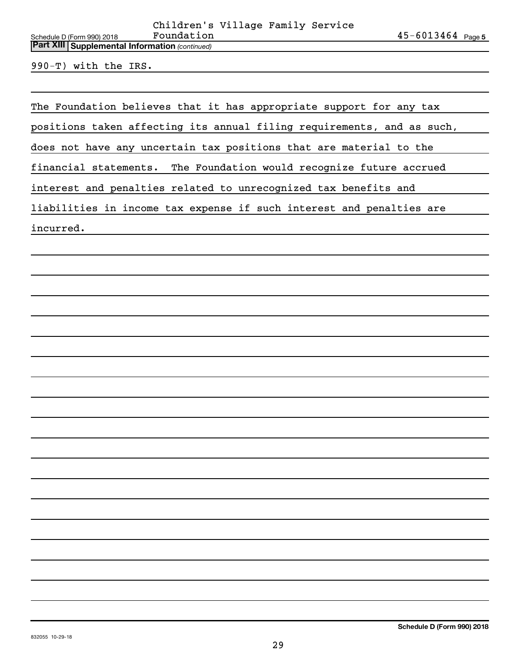*(continued)* **Part XIII Supplemental Information** 

990-T) with the IRS.

The Foundation believes that it has appropriate support for any tax

positions taken affecting its annual filing requirements, and as such,

does not have any uncertain tax positions that are material to the

financial statements. The Foundation would recognize future accrued

interest and penalties related to unrecognized tax benefits and

liabilities in income tax expense if such interest and penalties are

incurred.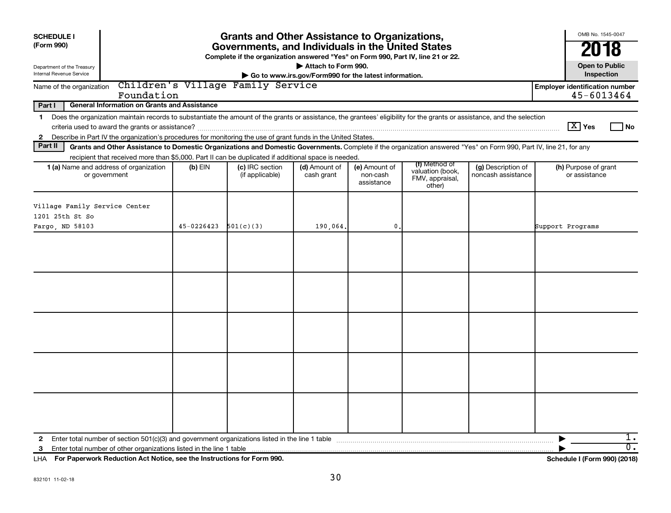| <b>SCHEDULE I</b><br>(Form 990)<br>Department of the Treasury                                                                                                                                                                                                                                      | <b>Grants and Other Assistance to Organizations,</b><br>Governments, and Individuals in the United States<br>Complete if the organization answered "Yes" on Form 990, Part IV, line 21 or 22.<br>Attach to Form 990.<br>Go to www.irs.gov/Form990 for the latest information.             |  |                                   |  |  |  |  |                                                     |  |  |  |  |
|----------------------------------------------------------------------------------------------------------------------------------------------------------------------------------------------------------------------------------------------------------------------------------------------------|-------------------------------------------------------------------------------------------------------------------------------------------------------------------------------------------------------------------------------------------------------------------------------------------|--|-----------------------------------|--|--|--|--|-----------------------------------------------------|--|--|--|--|
| Internal Revenue Service                                                                                                                                                                                                                                                                           |                                                                                                                                                                                                                                                                                           |  | Children's Village Family Service |  |  |  |  | Inspection                                          |  |  |  |  |
| Name of the organization                                                                                                                                                                                                                                                                           | Foundation                                                                                                                                                                                                                                                                                |  |                                   |  |  |  |  | <b>Employer identification number</b><br>45-6013464 |  |  |  |  |
| Part I<br><b>General Information on Grants and Assistance</b>                                                                                                                                                                                                                                      |                                                                                                                                                                                                                                                                                           |  |                                   |  |  |  |  |                                                     |  |  |  |  |
| $\mathbf 1$<br>$\mathbf{2}$                                                                                                                                                                                                                                                                        | Does the organization maintain records to substantiate the amount of the grants or assistance, the grantees' eligibility for the grants or assistance, and the selection<br>Describe in Part IV the organization's procedures for monitoring the use of grant funds in the United States. |  |                                   |  |  |  |  | $\boxed{\text{X}}$ Yes<br>l No                      |  |  |  |  |
| Part II                                                                                                                                                                                                                                                                                            | Grants and Other Assistance to Domestic Organizations and Domestic Governments. Complete if the organization answered "Yes" on Form 990, Part IV, line 21, for any                                                                                                                        |  |                                   |  |  |  |  |                                                     |  |  |  |  |
|                                                                                                                                                                                                                                                                                                    | recipient that received more than \$5,000. Part II can be duplicated if additional space is needed.                                                                                                                                                                                       |  |                                   |  |  |  |  | (h) Purpose of grant                                |  |  |  |  |
| (f) Method of<br>(c) IRC section<br>(e) Amount of<br>1 (a) Name and address of organization<br>$(b)$ EIN<br>(d) Amount of<br>(g) Description of<br>valuation (book,<br>cash grant<br>noncash assistance<br>or government<br>(if applicable)<br>non-cash<br>FMV, appraisal,<br>assistance<br>other) |                                                                                                                                                                                                                                                                                           |  |                                   |  |  |  |  |                                                     |  |  |  |  |
| Village Family Service Center<br>1201 25th St So                                                                                                                                                                                                                                                   |                                                                                                                                                                                                                                                                                           |  |                                   |  |  |  |  | Support Programs                                    |  |  |  |  |
| $45-0226423$ $501(c)(3)$<br>Fargo, ND 58103<br>190,064.<br>0.                                                                                                                                                                                                                                      |                                                                                                                                                                                                                                                                                           |  |                                   |  |  |  |  |                                                     |  |  |  |  |
| 3                                                                                                                                                                                                                                                                                                  |                                                                                                                                                                                                                                                                                           |  |                                   |  |  |  |  | 1.<br>$\overline{0}$ .                              |  |  |  |  |

**For Paperwork Reduction Act Notice, see the Instructions for Form 990. Schedule I (Form 990) (2018)** LHA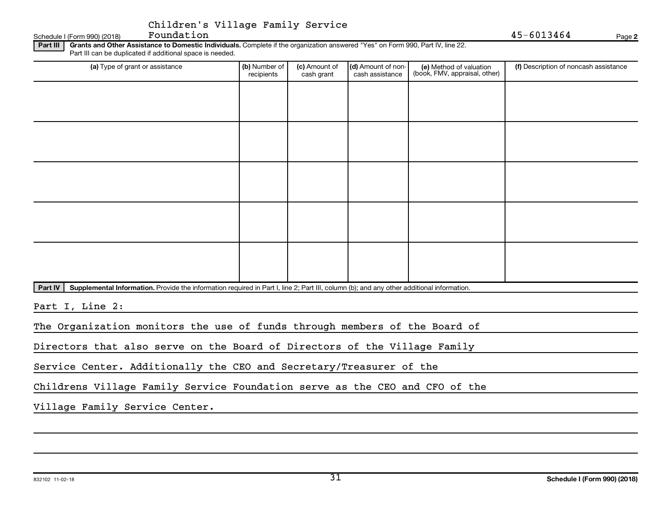| Children's Village Family Service |  |  |
|-----------------------------------|--|--|
|                                   |  |  |

Schedule I (Form 990)  $(2018)$  Foundation

**2**

Part III | Grants and Other Assistance to Domestic Individuals. Complete if the organization answered "Yes" on Form 990, Part IV, line 22. Part III can be duplicated if additional space is needed.

| (a) Type of grant or assistance | (b) Number of<br>recipients | (c) Amount of<br>cash grant | (d) Amount of non-<br>cash assistance | (e) Method of valuation<br>(book, FMV, appraisal, other) | (f) Description of noncash assistance |
|---------------------------------|-----------------------------|-----------------------------|---------------------------------------|----------------------------------------------------------|---------------------------------------|
|                                 |                             |                             |                                       |                                                          |                                       |
|                                 |                             |                             |                                       |                                                          |                                       |
|                                 |                             |                             |                                       |                                                          |                                       |
|                                 |                             |                             |                                       |                                                          |                                       |
|                                 |                             |                             |                                       |                                                          |                                       |
|                                 |                             |                             |                                       |                                                          |                                       |
|                                 |                             |                             |                                       |                                                          |                                       |
|                                 |                             |                             |                                       |                                                          |                                       |
|                                 |                             |                             |                                       |                                                          |                                       |
|                                 |                             |                             |                                       |                                                          |                                       |
| and the contract of the con-    |                             |                             |                                       |                                                          |                                       |

Part IV | Supplemental Information. Provide the information required in Part I, line 2; Part III, column (b); and any other additional information.

Part I, Line 2:

The Organization monitors the use of funds through members of the Board of

Directors that also serve on the Board of Directors of the Village Family

Service Center. Additionally the CEO and Secretary/Treasurer of the

Childrens Village Family Service Foundation serve as the CEO and CFO of the

Village Family Service Center.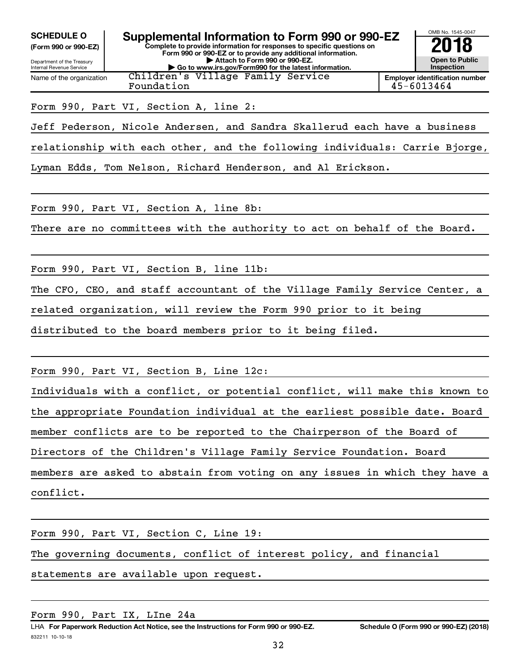**(Form 990 or 990-EZ)**

Name of the organization

Department of the Treasury Internal Revenue Service

**Form 990 or 990-EZ or to provide any additional information. | Attach to Form 990 or 990-EZ. | Go to www.irs.gov/Form990 for the latest information.** Children's Village Family Service

**Complete to provide information for responses to specific questions on**



**Employer identification number** Foundation 45-6013464

#### Form 990, Part VI, Section A, line 2:

Jeff Pederson, Nicole Andersen, and Sandra Skallerud each have a business

relationship with each other, and the following individuals: Carrie Bjorge,

Lyman Edds, Tom Nelson, Richard Henderson, and Al Erickson.

Form 990, Part VI, Section A, line 8b:

There are no committees with the authority to act on behalf of the Board.

Form 990, Part VI, Section B, line 11b:

The CFO, CEO, and staff accountant of the Village Family Service Center, a

related organization, will review the Form 990 prior to it being

distributed to the board members prior to it being filed.

Form 990, Part VI, Section B, Line 12c:

Individuals with a conflict, or potential conflict, will make this known to the appropriate Foundation individual at the earliest possible date. Board

member conflicts are to be reported to the Chairperson of the Board of

Directors of the Children's Village Family Service Foundation. Board

members are asked to abstain from voting on any issues in which they have a conflict.

Form 990, Part VI, Section C, Line 19:

The governing documents, conflict of interest policy, and financial

statements are available upon request.

Form 990, Part IX, LIne 24a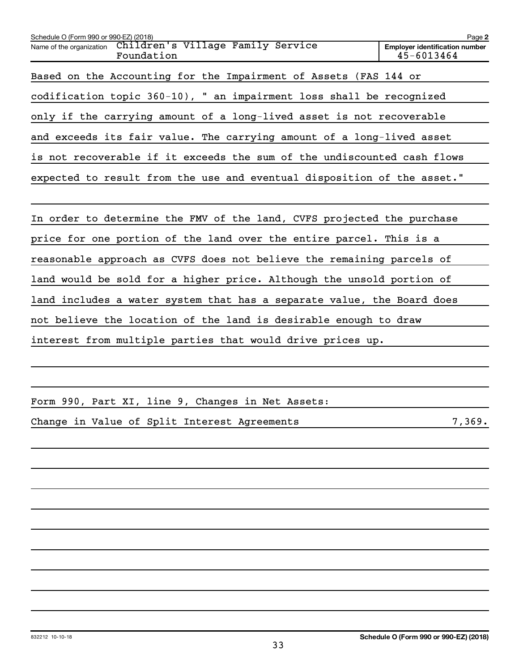| Schedule O (Form 990 or 990-EZ) (2018)                                      | Page 2                                              |
|-----------------------------------------------------------------------------|-----------------------------------------------------|
| Children's Village Family Service<br>Name of the organization<br>Foundation | <b>Employer identification number</b><br>45-6013464 |
| Based on the Accounting for the Impairment of Assets (FAS 144 or            |                                                     |
| codification topic 360-10), " an impairment loss shall be recognized        |                                                     |
| only if the carrying amount of a long-lived asset is not recoverable        |                                                     |
| and exceeds its fair value. The carrying amount of a long-lived asset       |                                                     |
| is not recoverable if it exceeds the sum of the undiscounted cash flows     |                                                     |
| expected to result from the use and eventual disposition of the asset."     |                                                     |
|                                                                             |                                                     |
| In order to determine the FMV of the land, CVFS projected the purchase      |                                                     |
| price for one portion of the land over the entire parcel. This is a         |                                                     |
| reasonable approach as CVFS does not believe the remaining parcels of       |                                                     |
| land would be sold for a higher price. Although the unsold portion of       |                                                     |
| land includes a water system that has a separate value, the Board does      |                                                     |
| not believe the location of the land is desirable enough to draw            |                                                     |
| interest from multiple parties that would drive prices up.                  |                                                     |
|                                                                             |                                                     |

Form 990, Part XI, line 9, Changes in Net Assets:

Change in Value of Split Interest Agreements 7,369.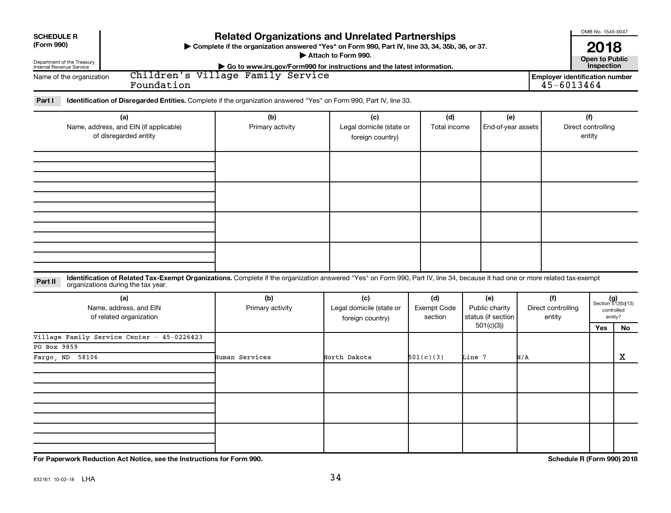| <b>SCHEDULE R</b><br>(Form 990)<br>Department of the Treasury<br>Internal Revenue Service<br>Name of the organization | Children's Village Family Service<br>Foundation                                                                                                                              | <b>Related Organizations and Unrelated Partnerships</b><br>> Complete if the organization answered "Yes" on Form 990, Part IV, line 33, 34, 35b, 36, or 37.<br>Attach to Form 990.<br>Go to www.irs.gov/Form990 for instructions and the latest information. |                                                     |                               |                                                          | <b>Employer identification number</b><br>45-6013464 | OMB No. 1545-0047<br>2018<br><b>Open to Public</b><br>Inspection |                                                      |
|-----------------------------------------------------------------------------------------------------------------------|------------------------------------------------------------------------------------------------------------------------------------------------------------------------------|--------------------------------------------------------------------------------------------------------------------------------------------------------------------------------------------------------------------------------------------------------------|-----------------------------------------------------|-------------------------------|----------------------------------------------------------|-----------------------------------------------------|------------------------------------------------------------------|------------------------------------------------------|
| Part I<br>(a)<br>Name, address, and EIN (if applicable)<br>of disregarded entity                                      | Identification of Disregarded Entities. Complete if the organization answered "Yes" on Form 990, Part IV, line 33.                                                           | (b)<br>(c)<br>Primary activity<br>Legal domicile (state or<br>foreign country)                                                                                                                                                                               |                                                     | (d)<br>Total income           | (e)<br>End-of-year assets                                |                                                     | (f)<br>Direct controlling<br>entity                              |                                                      |
|                                                                                                                       |                                                                                                                                                                              |                                                                                                                                                                                                                                                              |                                                     |                               |                                                          |                                                     |                                                                  |                                                      |
| Part II<br>organizations during the tax year.                                                                         | Identification of Related Tax-Exempt Organizations. Complete if the organization answered "Yes" on Form 990, Part IV, line 34, because it had one or more related tax-exempt |                                                                                                                                                                                                                                                              |                                                     |                               |                                                          |                                                     |                                                                  |                                                      |
| (a)<br>Name, address, and EIN<br>of related organization                                                              | (b)<br>Primary activity                                                                                                                                                      |                                                                                                                                                                                                                                                              | (c)<br>Legal domicile (state or<br>foreign country) | (d)<br>Exempt Code<br>section | (e)<br>Public charity<br>status (if section<br>501(c)(3) | (f)<br>Direct controlling<br>entity                 |                                                                  | $(g)$<br>Section 512(b)(13)<br>controlled<br>entity? |
| Village Family Service Center - 45-0226423<br>PO Box 9859<br>58106<br>Fargo, ND                                       | Human Services                                                                                                                                                               | North Dakota                                                                                                                                                                                                                                                 | 501(c)(3)                                           | Line 7                        | N/A                                                      |                                                     | Yes                                                              | No.<br>$\mathbf X$                                   |
|                                                                                                                       |                                                                                                                                                                              |                                                                                                                                                                                                                                                              |                                                     |                               |                                                          |                                                     |                                                                  |                                                      |
|                                                                                                                       |                                                                                                                                                                              |                                                                                                                                                                                                                                                              |                                                     |                               |                                                          |                                                     |                                                                  |                                                      |
|                                                                                                                       |                                                                                                                                                                              |                                                                                                                                                                                                                                                              |                                                     |                               |                                                          |                                                     |                                                                  |                                                      |

**For Paperwork Reduction Act Notice, see the Instructions for Form 990. Schedule R (Form 990) 2018**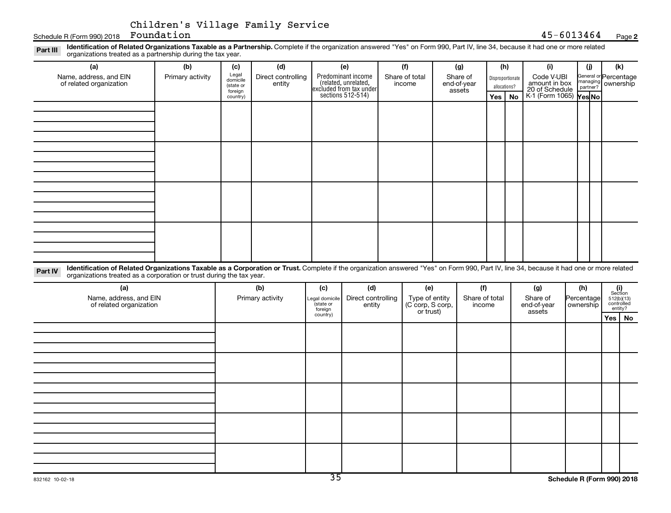#### **2**

| Schedule R (Form 990) 2018                                                                                                                                                                                                                                                  | CHITULEN S VIIIAGE FAMILY SELVICE<br>Foundation |                                                              |                                     |                                                          |                                                                                                   |                                                        |                                          |     |                                               | 45-6013464                                                                     |                                |                                             | Page 2                                                  |
|-----------------------------------------------------------------------------------------------------------------------------------------------------------------------------------------------------------------------------------------------------------------------------|-------------------------------------------------|--------------------------------------------------------------|-------------------------------------|----------------------------------------------------------|---------------------------------------------------------------------------------------------------|--------------------------------------------------------|------------------------------------------|-----|-----------------------------------------------|--------------------------------------------------------------------------------|--------------------------------|---------------------------------------------|---------------------------------------------------------|
| Identification of Related Organizations Taxable as a Partnership. Complete if the organization answered "Yes" on Form 990, Part IV, line 34, because it had one or more related<br>Part III<br>organizations treated as a partnership during the tax year.                  |                                                 |                                                              |                                     |                                                          |                                                                                                   |                                                        |                                          |     |                                               |                                                                                |                                |                                             |                                                         |
| (a)<br>Name, address, and EIN<br>of related organization                                                                                                                                                                                                                    | (b)<br>Primary activity                         | (c)<br>Legal<br>domicile<br>(state or<br>foreign<br>country) | (d)<br>Direct controlling<br>entity |                                                          | (e)<br>Predominant income<br>(related, unrelated,<br>excluded from tax under<br>sections 512-514) | (f)<br>Share of total<br>income                        | (g)<br>Share of<br>end-of-year<br>assets | Yes | (h)<br>Disproportionate<br>allocations?<br>No | (i)<br>Code V-UBI<br>amount in box<br>20 of Schedule<br>K-1 (Form 1065) Yes No | (j)<br>managing<br>partner?    | General or Percentage<br>managing ownership | (k)                                                     |
|                                                                                                                                                                                                                                                                             |                                                 |                                                              |                                     |                                                          |                                                                                                   |                                                        |                                          |     |                                               |                                                                                |                                |                                             |                                                         |
|                                                                                                                                                                                                                                                                             |                                                 |                                                              |                                     |                                                          |                                                                                                   |                                                        |                                          |     |                                               |                                                                                |                                |                                             |                                                         |
|                                                                                                                                                                                                                                                                             |                                                 |                                                              |                                     |                                                          |                                                                                                   |                                                        |                                          |     |                                               |                                                                                |                                |                                             |                                                         |
|                                                                                                                                                                                                                                                                             |                                                 |                                                              |                                     |                                                          |                                                                                                   |                                                        |                                          |     |                                               |                                                                                |                                |                                             |                                                         |
|                                                                                                                                                                                                                                                                             |                                                 |                                                              |                                     |                                                          |                                                                                                   |                                                        |                                          |     |                                               |                                                                                |                                |                                             |                                                         |
| Identification of Related Organizations Taxable as a Corporation or Trust. Complete if the organization answered "Yes" on Form 990, Part IV, line 34, because it had one or more related<br>Part IV<br>organizations treated as a corporation or trust during the tax year. |                                                 |                                                              |                                     |                                                          |                                                                                                   |                                                        |                                          |     |                                               |                                                                                |                                |                                             |                                                         |
| (a)<br>Name, address, and EIN<br>of related organization                                                                                                                                                                                                                    |                                                 |                                                              | (b)<br>Primary activity             | (c)<br>Legal domicile<br>state or<br>foreign<br>country) | (d)<br>Direct controlling<br>entity                                                               | (e)<br>Type of entity<br>(C corp, S corp,<br>or trust) | (f)<br>Share of total<br>income          |     |                                               | (g)<br>Share of<br>end-of-year<br>assets                                       | (h)<br>Percentage<br>ownership |                                             | $(i)$<br>Section<br>512(b)(13)<br>controlled<br>entity? |
|                                                                                                                                                                                                                                                                             |                                                 |                                                              |                                     |                                                          |                                                                                                   |                                                        |                                          |     |                                               |                                                                                |                                |                                             | $Yes \mid No$                                           |
|                                                                                                                                                                                                                                                                             |                                                 |                                                              |                                     |                                                          |                                                                                                   |                                                        |                                          |     |                                               |                                                                                |                                |                                             |                                                         |
|                                                                                                                                                                                                                                                                             |                                                 |                                                              |                                     |                                                          |                                                                                                   |                                                        |                                          |     |                                               |                                                                                |                                |                                             |                                                         |
|                                                                                                                                                                                                                                                                             |                                                 |                                                              |                                     |                                                          |                                                                                                   |                                                        |                                          |     |                                               |                                                                                |                                |                                             |                                                         |
|                                                                                                                                                                                                                                                                             |                                                 |                                                              |                                     |                                                          |                                                                                                   |                                                        |                                          |     |                                               |                                                                                |                                |                                             |                                                         |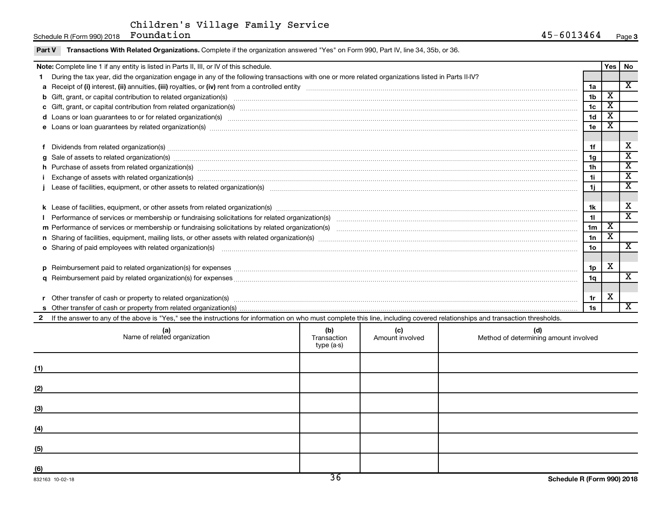Schedule R (Form 990) 2018 Photo Regelection Regelection Regelection Regelection Regelection Regelection Regelection Regelection Regelection Regelection Regelection Regelection Regelection Regelection Regelection Regelecti

| Part V                                                                                                                                                                                                                               | Transactions With Related Organizations. Complete if the organization answered "Yes" on Form 990, Part IV, line 34, 35b, or 36.                                                                                                |                         |                        |                                              |                 |                                                  |                             |
|--------------------------------------------------------------------------------------------------------------------------------------------------------------------------------------------------------------------------------------|--------------------------------------------------------------------------------------------------------------------------------------------------------------------------------------------------------------------------------|-------------------------|------------------------|----------------------------------------------|-----------------|--------------------------------------------------|-----------------------------|
|                                                                                                                                                                                                                                      | Note: Complete line 1 if any entity is listed in Parts II, III, or IV of this schedule.                                                                                                                                        |                         |                        |                                              |                 | <b>Yes</b>                                       | No                          |
|                                                                                                                                                                                                                                      | During the tax year, did the organization engage in any of the following transactions with one or more related organizations listed in Parts II-IV?                                                                            |                         |                        |                                              |                 |                                                  |                             |
|                                                                                                                                                                                                                                      |                                                                                                                                                                                                                                |                         |                        |                                              | 1a              |                                                  | $\overline{\mathbf{x}}$     |
| b                                                                                                                                                                                                                                    |                                                                                                                                                                                                                                |                         |                        |                                              | 1 <sub>b</sub>  | х                                                |                             |
|                                                                                                                                                                                                                                      |                                                                                                                                                                                                                                |                         |                        |                                              | 1 <sub>c</sub>  | $\overline{\text{x}}$                            |                             |
|                                                                                                                                                                                                                                      |                                                                                                                                                                                                                                |                         |                        |                                              | 1 <sub>d</sub>  | $\overline{\textbf{x}}$<br>$\overline{\text{x}}$ |                             |
| 1e                                                                                                                                                                                                                                   |                                                                                                                                                                                                                                |                         |                        |                                              |                 |                                                  |                             |
|                                                                                                                                                                                                                                      |                                                                                                                                                                                                                                |                         |                        |                                              |                 |                                                  |                             |
|                                                                                                                                                                                                                                      | Dividends from related organization(s) manufacture and contract the contract of the contract of the contract of                                                                                                                |                         |                        |                                              | 1f              |                                                  | х                           |
|                                                                                                                                                                                                                                      | Sale of assets to related organization(s) www.assettion.com/www.assettion.com/www.assettion.com/www.assettion.com/www.assettion.com/www.assettion.com/www.assettion.com/www.assettion.com/www.assettion.com/www.assettion.com/ |                         |                        |                                              | 1 <sub>g</sub>  |                                                  | $\overline{\text{x}}$       |
|                                                                                                                                                                                                                                      | h Purchase of assets from related organization(s) manufactured content to the content of the content of the content of the content of the content of the content of the content of the content of the content of the content o |                         |                        |                                              | 1 <sub>h</sub>  |                                                  | $\overline{\textbf{x}}$     |
| 11<br>Exchange of assets with related organization(s) www.andron.com/www.andron.com/www.andron.com/www.andron.com/www.andron.com/www.andron.com/www.andron.com/www.andron.com/www.andron.com/www.andron.com/www.andron.com/www.andro |                                                                                                                                                                                                                                |                         |                        |                                              |                 |                                                  | $\overline{\textbf{x}}$     |
| 1j                                                                                                                                                                                                                                   |                                                                                                                                                                                                                                |                         |                        |                                              |                 |                                                  | $\overline{\textnormal{x}}$ |
|                                                                                                                                                                                                                                      |                                                                                                                                                                                                                                |                         |                        |                                              |                 |                                                  |                             |
|                                                                                                                                                                                                                                      |                                                                                                                                                                                                                                |                         |                        |                                              | 1k              |                                                  | X                           |
|                                                                                                                                                                                                                                      |                                                                                                                                                                                                                                |                         |                        |                                              | 11              |                                                  | $\overline{\textnormal{x}}$ |
|                                                                                                                                                                                                                                      |                                                                                                                                                                                                                                |                         |                        |                                              | 1 <sub>m</sub>  | $\overline{\textbf{x}}$                          |                             |
|                                                                                                                                                                                                                                      |                                                                                                                                                                                                                                |                         |                        |                                              | 1n              | $\overline{\textbf{x}}$                          |                             |
|                                                                                                                                                                                                                                      | o Sharing of paid employees with related organization(s) manufactured and content to the content of the content of the content of the content of the content of the content of the content of the content of the content of th |                         |                        |                                              | 10 <sub>o</sub> |                                                  | $\overline{\mathbf{x}}$     |
|                                                                                                                                                                                                                                      |                                                                                                                                                                                                                                |                         |                        |                                              |                 |                                                  |                             |
|                                                                                                                                                                                                                                      | Reimbursement paid to related organization(s) for expenses [11111] Research Manuscript] Reimbursement paid to related organization(s) for expenses [11111] [111] Manuscript] [11] Manuscript] Reimbursement paid to related or |                         |                        |                                              | 1p              | X                                                |                             |
| a                                                                                                                                                                                                                                    |                                                                                                                                                                                                                                |                         |                        |                                              | 1q              |                                                  | $\overline{\mathbf{x}}$     |
|                                                                                                                                                                                                                                      |                                                                                                                                                                                                                                |                         |                        |                                              |                 |                                                  |                             |
|                                                                                                                                                                                                                                      | х<br>1r<br>Other transfer of cash or property to related organization(s) www.communities.com/www.communities/communities/                                                                                                      |                         |                        |                                              |                 |                                                  |                             |
|                                                                                                                                                                                                                                      |                                                                                                                                                                                                                                |                         |                        |                                              | 1s              |                                                  | $\overline{\mathbf{X}}$     |
|                                                                                                                                                                                                                                      | If the answer to any of the above is "Yes," see the instructions for information on who must complete this line, including covered relationships and transaction thresholds.                                                   |                         |                        |                                              |                 |                                                  |                             |
|                                                                                                                                                                                                                                      | (a)<br>Name of related organization                                                                                                                                                                                            | (b)<br>Transaction<br>t | (c)<br>Amount involved | (d)<br>Method of determining amount involved |                 |                                                  |                             |

|     | Name of related organization | $\sim$<br>Transaction<br>type (a-s) | Amount involved | Method of determining amount involved |
|-----|------------------------------|-------------------------------------|-----------------|---------------------------------------|
| (1) |                              |                                     |                 |                                       |
| (2) |                              |                                     |                 |                                       |
| (3) |                              |                                     |                 |                                       |
| (4) |                              |                                     |                 |                                       |
| (5) |                              |                                     |                 |                                       |
| (6) |                              | $\overline{\phantom{a}}$            |                 |                                       |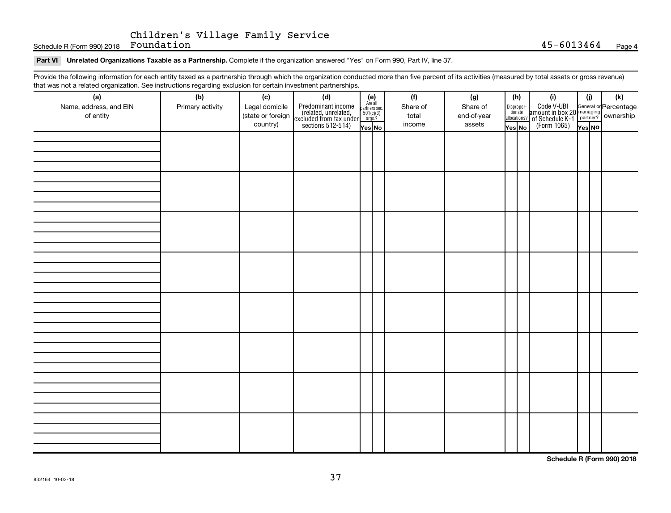Schedule R (Form 990) 2018 Page Foundation 45-6013464

#### Part VI Unrelated Organizations Taxable as a Partnership. Complete if the organization answered "Yes" on Form 990, Part IV, line 37.

Provide the following information for each entity taxed as a partnership through which the organization conducted more than five percent of its activities (measured by total assets or gross revenue) that was not a related organization. See instructions regarding exclusion for certain investment partnerships.

| that was not a related organization. Occ instructions regarding excitation for certain investment partnerships.<br>(a) | (b)              | (c)                           |                                                                                                                                                                                                                           |  | (f)             | (g)                   |  | (h)                   | (i)                                                                                                | (i)    | (k) |  |  |
|------------------------------------------------------------------------------------------------------------------------|------------------|-------------------------------|---------------------------------------------------------------------------------------------------------------------------------------------------------------------------------------------------------------------------|--|-----------------|-----------------------|--|-----------------------|----------------------------------------------------------------------------------------------------|--------|-----|--|--|
| Name, address, and EIN                                                                                                 | Primary activity | Legal domicile                | (d)<br>Predominant income<br>(related, unrelated,<br>excluded from tax under<br>sections 512-514)<br>$\begin{array}{r} \n\text{Re all} \\ \text{are also} \\ \text{excillated} \\ \text{sections: } 512-514\n\end{array}$ |  | Share of        | Share of              |  | Dispropor-<br>tionate | Code V-UBI<br>amount in box 20 managing<br>of Schedule K-1<br>(Form 1065)<br>$\overline{V}$ ves No |        |     |  |  |
| of entity                                                                                                              |                  | (state or foreign<br>country) |                                                                                                                                                                                                                           |  | total<br>income | end-of-year<br>assets |  | allocations?          |                                                                                                    |        |     |  |  |
|                                                                                                                        |                  |                               |                                                                                                                                                                                                                           |  |                 |                       |  | Yes No                |                                                                                                    | Yes No |     |  |  |
|                                                                                                                        |                  |                               |                                                                                                                                                                                                                           |  |                 |                       |  |                       |                                                                                                    |        |     |  |  |
|                                                                                                                        |                  |                               |                                                                                                                                                                                                                           |  |                 |                       |  |                       |                                                                                                    |        |     |  |  |
|                                                                                                                        |                  |                               |                                                                                                                                                                                                                           |  |                 |                       |  |                       |                                                                                                    |        |     |  |  |
|                                                                                                                        |                  |                               |                                                                                                                                                                                                                           |  |                 |                       |  |                       |                                                                                                    |        |     |  |  |
|                                                                                                                        |                  |                               |                                                                                                                                                                                                                           |  |                 |                       |  |                       |                                                                                                    |        |     |  |  |
|                                                                                                                        |                  |                               |                                                                                                                                                                                                                           |  |                 |                       |  |                       |                                                                                                    |        |     |  |  |
|                                                                                                                        |                  |                               |                                                                                                                                                                                                                           |  |                 |                       |  |                       |                                                                                                    |        |     |  |  |
|                                                                                                                        |                  |                               |                                                                                                                                                                                                                           |  |                 |                       |  |                       |                                                                                                    |        |     |  |  |
|                                                                                                                        |                  |                               |                                                                                                                                                                                                                           |  |                 |                       |  |                       |                                                                                                    |        |     |  |  |
|                                                                                                                        |                  |                               |                                                                                                                                                                                                                           |  |                 |                       |  |                       |                                                                                                    |        |     |  |  |
|                                                                                                                        |                  |                               |                                                                                                                                                                                                                           |  |                 |                       |  |                       |                                                                                                    |        |     |  |  |
|                                                                                                                        |                  |                               |                                                                                                                                                                                                                           |  |                 |                       |  |                       |                                                                                                    |        |     |  |  |
|                                                                                                                        |                  |                               |                                                                                                                                                                                                                           |  |                 |                       |  |                       |                                                                                                    |        |     |  |  |
|                                                                                                                        |                  |                               |                                                                                                                                                                                                                           |  |                 |                       |  |                       |                                                                                                    |        |     |  |  |
|                                                                                                                        |                  |                               |                                                                                                                                                                                                                           |  |                 |                       |  |                       |                                                                                                    |        |     |  |  |
|                                                                                                                        |                  |                               |                                                                                                                                                                                                                           |  |                 |                       |  |                       |                                                                                                    |        |     |  |  |
|                                                                                                                        |                  |                               |                                                                                                                                                                                                                           |  |                 |                       |  |                       |                                                                                                    |        |     |  |  |
|                                                                                                                        |                  |                               |                                                                                                                                                                                                                           |  |                 |                       |  |                       |                                                                                                    |        |     |  |  |
|                                                                                                                        |                  |                               |                                                                                                                                                                                                                           |  |                 |                       |  |                       |                                                                                                    |        |     |  |  |
|                                                                                                                        |                  |                               |                                                                                                                                                                                                                           |  |                 |                       |  |                       |                                                                                                    |        |     |  |  |
|                                                                                                                        |                  |                               |                                                                                                                                                                                                                           |  |                 |                       |  |                       |                                                                                                    |        |     |  |  |
|                                                                                                                        |                  |                               |                                                                                                                                                                                                                           |  |                 |                       |  |                       |                                                                                                    |        |     |  |  |
|                                                                                                                        |                  |                               |                                                                                                                                                                                                                           |  |                 |                       |  |                       |                                                                                                    |        |     |  |  |
|                                                                                                                        |                  |                               |                                                                                                                                                                                                                           |  |                 |                       |  |                       |                                                                                                    |        |     |  |  |
|                                                                                                                        |                  |                               |                                                                                                                                                                                                                           |  |                 |                       |  |                       |                                                                                                    |        |     |  |  |
|                                                                                                                        |                  |                               |                                                                                                                                                                                                                           |  |                 |                       |  |                       |                                                                                                    |        |     |  |  |
|                                                                                                                        |                  |                               |                                                                                                                                                                                                                           |  |                 |                       |  |                       |                                                                                                    |        |     |  |  |

**Schedule R (Form 990) 2018**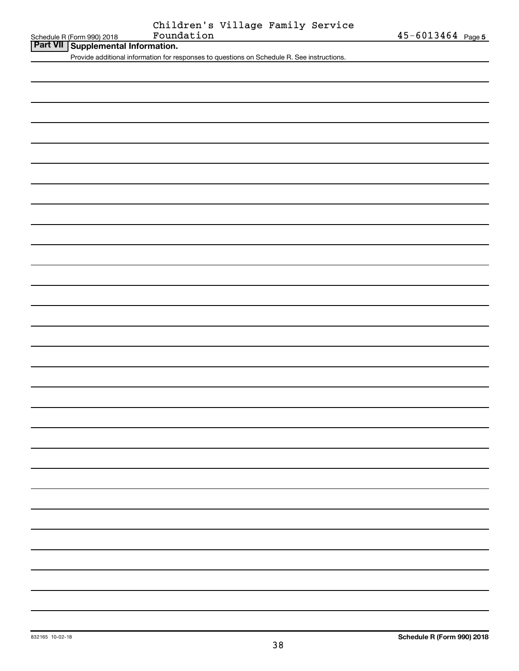| Part VII   Supplemental Information. |
|--------------------------------------|

Provide additional information for responses to questions on Schedule R. See instructions.